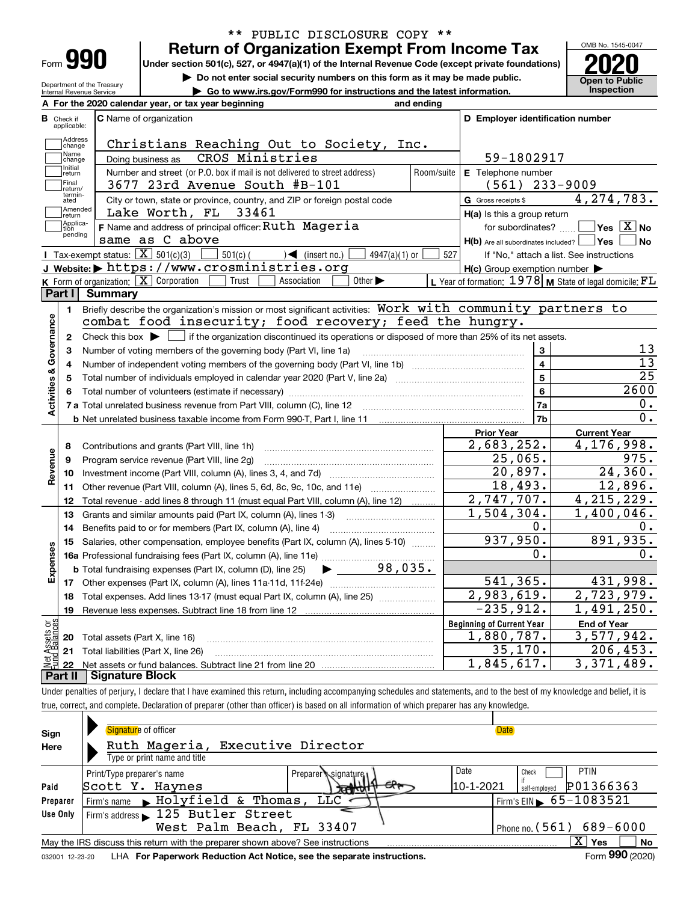| =orm |  |
|------|--|

## **Return of Organization Exempt From Income Tax** \*\* PUBLIC DISCLOSURE COPY \*\*

**Under section 501(c), 527, or 4947(a)(1) of the Internal Revenue Code (except private foundations) 2020**

**| Do not enter social security numbers on this form as it may be made public.**

OMB No. 1545-0047

**Open to Public** 

Department of the Treasury Internal Revenue Service **| Go to www.irs.gov/Form990 for instructions and the latest information. Inspection**

 **For the 2020 calendar year, or tax year beginning and ending AC** Name of organization **<sup>C</sup> <sup>D</sup> Employer identification number B**Check if applicable:**Address**<br>Change Christians Reaching Out to Society, Inc. Name<br>Change 59-1802917 CROS Ministries Doing business as Initial<br>
return **E** Telephone number Number and street (or P.O. box if mail is not delivered to street address)  $\begin{array}{|l|l|}\n3677 & 237 \\
\end{array}$ 3677 23rd Avenue South #B-101 (561) 233-9009 Final return/ termin-atedG Gross receipts \$ 4,274,783.  $\overline{e}$  City or town, state or province, country, and ZIP or foreign postal code  $\overline{G}$  Gross receipts \$ **communisment**<br> **return** Lake Worth, FL 33461 **H(a)** Is this a group return Applica-tion pending **F Yes No** Name and address of principal officer: for subordinates? ~~ for subordinates?  $Yes[X]$  No same as C above Are all subordinates included?  $\Box$  Yes  $\Box$  If "No," attach a list. See instructions **Yes No** H(b) Are all subordinates included? **J** Tax-exempt status:  $\overline{\mathbf{X}}$  501(c)(3)  $\overline{\mathbf{S}}$  501(c)(  $\overline{\mathbf{S}}$  ) (insert no.)  $\overline{\mathbf{S}}$  4947(a)(1) or  $\overline{\mathbf{S}}$  527<br>**J Website: https://www.**crosministries.org Tax-exempt status:  $\boxed{\text{X}}$ **H(c)** Group exemption number Form of organization: <u>[X]</u> Corporation **[1]** Trust | Association | Other | U Year of formation: 1978 | M State of legal domicile: FL<br>**art I | Summary K** Form of organization:  $\boxed{\mathbf{X}}$ Trust Association **LPart I Summary** Briefly describe the organization's mission or most significant activities:  $\texttt{Work with community partners to}$ **1Activities & Governance Activities & Governance** combat food insecurity; food recovery; feed the hungry. Check this box  $\blacktriangleright$ Check this box  $\blacktriangleright$  if the organization discontinued its operations or disposed of more than 25% of its net assets. **2**13 **3**Number of voting members of the governing body (Part VI, line 1a) ………………………………………………… **3**13 **4**Number of independent voting members of the governing body (Part VI, line 1b) www.community.community.com **4**25 Total number of individuals employed in calendar year 2020 (Part V, line 2a) **55**2600 **66**Total number of volunteers (estimate if necessary) 0. **7a7a**Total unrelated business revenue from Part VIII, column (C), line 12 **7b**0. **b** Net unrelated business taxable income from Form 990-T, Part I, line 11 **Prior Year Current Year** 2,683,252. 4,176,998. Contributions and grants (Part VIII, line 1h)<br>Program service revenue (Part VIII, line 2g) **8**Revenue **Revenue** 25,065. 975. **9**Program service revenue (Part VIII, line 2g) ………………………………………………………<br>Investment income (Part VIII, column (A), lines 3, 4, and 7d) ……………………………… 20,897. 24,360. **1011**Other revenue (Part VIII, column (A), lines 5, 6d, 8c, 9c, 10c, and 11e)  $\ldots$ 18,493. 12,896. Total revenue - add lines 8 through 11 (must equal Part VIII, column (A), line 12) ......... 2,747,707. 4,215,229. **12**1,504,304. 1,400,046. **13**Grants and similar amounts paid (Part IX, column (A), lines 1-3) ……………………………  $0.$ 0. **14**Benefits paid to or for members (Part IX, column (A), line 4) 937,950. 891,935. **15**Salaries, other compensation, employee benefits (Part IX, column (A), lines 5-10)  $\,$  , , , , , , , **Expenses** 0. 0. **16a**Professional fundraising fees (Part IX, column (A), line 11e) ~~~~~~~~~~~~~~ | 98,035. **b**Total fundraising expenses (Part IX, column (D), line 25) 541,365. 431,998. **17**Other expenses (Part IX, column (A), lines 11a-11d, 11f-24e) ………………………………… 2,983,619. 2,723,979. **18**Total expenses. Add lines 13-17 (must equal Part IX, column (A), line 25) ~~~~~~~1,491,250. **19**Revenue less expenses. Subtract line 18 from line 12 **Beginning of Current Year** vet Assets or<br>und Balances **End of Year** Total assets (Part X, line 16) <u>1,880,787. 3,577,942. </u><br> 35,170. 206,453. **20**35,170. 206,453.<br>845,617. 3,371,489. **21**Total liabilities (Part X, line 26) **22**Net assets or fund balances. Subtract line 21 from line 20 1,845,617. 3,371,489. **Part II Signature Block**

Under penalties of perjury, I declare that I have examined this return, including accompanying schedules and statements, and to the best of my knowledge and belief, it is true, correct, and complete. Declaration of preparer (other than officer) is based on all information of which preparer has any knowledge.

| Sign<br>Here                 | Signature of officer<br>Ruth Mageria, Executive Director<br>Type or print name and title                                                                                               |                    | <b>Date</b>                |                                                                               |
|------------------------------|----------------------------------------------------------------------------------------------------------------------------------------------------------------------------------------|--------------------|----------------------------|-------------------------------------------------------------------------------|
| Paid<br>Preparer<br>Use Only | Print/Type preparer's name<br>Scott Y. Haynes<br>Firm's name helyfield & Thomas, LLC<br>Firm's address 125 Butler Street                                                               | Preparer Signature | Date<br>Check<br>10-1-2021 | <b>PTIN</b><br>P01366363<br>self-emploved<br>Firm's EIN 65-1083521            |
| 032001 12-23-20              | West Palm Beach, FL 33407<br>May the IRS discuss this return with the preparer shown above? See instructions<br>LHA For Paperwork Reduction Act Notice, see the separate instructions. |                    |                            | Phone no. $(561) 689 - 6000$<br>$X \mid Y$ es<br><b>No</b><br>Form 990 (2020) |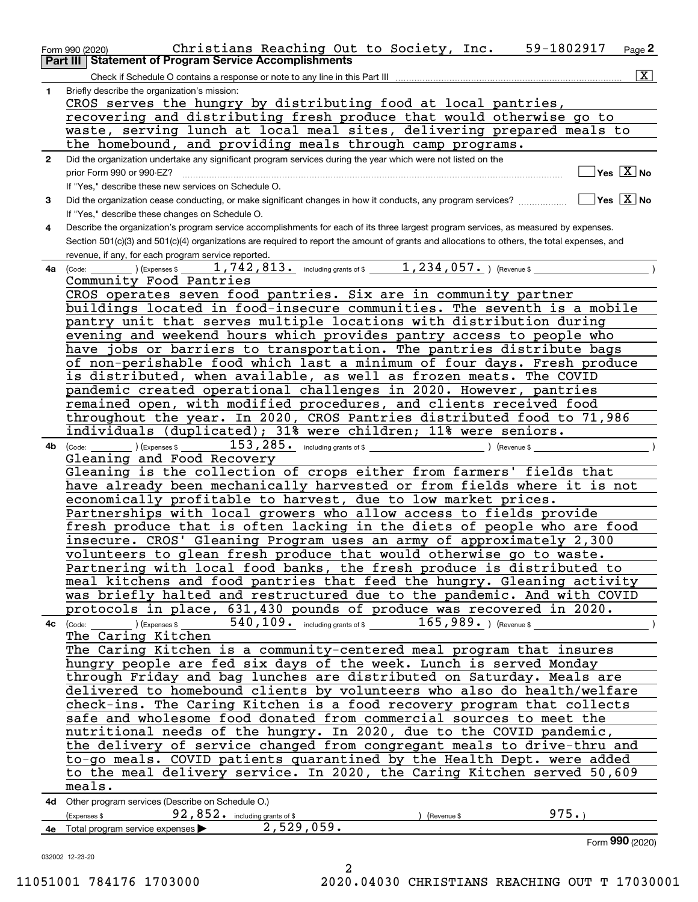|              | 59-1802917<br>Christians Reaching Out to Society, Inc.<br>Page $2$<br>Form 990 (2020)                                                                           |
|--------------|-----------------------------------------------------------------------------------------------------------------------------------------------------------------|
|              | <b>Part III   Statement of Program Service Accomplishments</b>                                                                                                  |
|              | $\boxed{\text{X}}$                                                                                                                                              |
| $\mathbf{1}$ | Briefly describe the organization's mission:                                                                                                                    |
|              | CROS serves the hungry by distributing food at local pantries,                                                                                                  |
|              | recovering and distributing fresh produce that would otherwise go to                                                                                            |
|              | waste, serving lunch at local meal sites, delivering prepared meals to                                                                                          |
|              | the homebound, and providing meals through camp programs.                                                                                                       |
|              |                                                                                                                                                                 |
| $\mathbf{2}$ | Did the organization undertake any significant program services during the year which were not listed on the                                                    |
|              | $\exists$ Yes $\boxed{\text{X}}$ No                                                                                                                             |
|              | If "Yes," describe these new services on Schedule O.                                                                                                            |
| 3            | $\boxed{\phantom{1}}$ Yes $\boxed{\text{X}}$ No<br>Did the organization cease conducting, or make significant changes in how it conducts, any program services? |
|              | If "Yes," describe these changes on Schedule O.                                                                                                                 |
| 4            | Describe the organization's program service accomplishments for each of its three largest program services, as measured by expenses.                            |
|              | Section 501(c)(3) and 501(c)(4) organizations are required to report the amount of grants and allocations to others, the total expenses, and                    |
|              | revenue, if any, for each program service reported.                                                                                                             |
| 4a           | 1,742,813. including grants of \$ 1,234,057. ) (Revenue \$<br>(Code: ) (Expenses \$                                                                             |
|              | Community Food Pantries                                                                                                                                         |
|              | CROS operates seven food pantries. Six are in community partner                                                                                                 |
|              | buildings located in food-insecure communities. The seventh is a mobile                                                                                         |
|              | pantry unit that serves multiple locations with distribution during                                                                                             |
|              | evening and weekend hours which provides pantry access to people who                                                                                            |
|              | have jobs or barriers to transportation. The pantries distribute bags                                                                                           |
|              | of non-perishable food which last a minimum of four days. Fresh produce                                                                                         |
|              |                                                                                                                                                                 |
|              | is distributed, when available, as well as frozen meats. The COVID                                                                                              |
|              | pandemic created operational challenges in 2020. However, pantries                                                                                              |
|              | remained open, with modified procedures, and clients received food                                                                                              |
|              | throughout the year. In 2020, CROS Pantries distributed food to 71,986                                                                                          |
|              | individuals (duplicated); 31% were children; 11% were seniors.                                                                                                  |
| 4b           | ) (Expenses \$ 153, 285. including grants of \$ $($ Pevenue \$ $)$ (Revenue \$<br>(Code:                                                                        |
|              | Gleaning and Food Recovery                                                                                                                                      |
|              | Gleaning is the collection of crops either from farmers' fields that                                                                                            |
|              | have already been mechanically harvested or from fields where it is not                                                                                         |
|              | economically profitable to harvest, due to low market prices.                                                                                                   |
|              | Partnerships with local growers who allow access to fields provide                                                                                              |
|              | fresh produce that is often lacking in the diets of people who are food                                                                                         |
|              | insecure. CROS' Gleaning Program uses an army of approximately 2,300                                                                                            |
|              | volunteers to glean fresh produce that would otherwise go to waste.                                                                                             |
|              | Partnering with local food banks, the fresh produce is distributed to                                                                                           |
|              | meal kitchens and food pantries that feed the hungry. Gleaning activity                                                                                         |
|              |                                                                                                                                                                 |
|              | was briefly halted and restructured due to the pandemic. And with COVID                                                                                         |
|              | protocols in place, 631,430 pounds of produce was recovered in 2020.                                                                                            |
|              |                                                                                                                                                                 |
|              | The Caring Kitchen                                                                                                                                              |
|              | The Caring Kitchen is a community-centered meal program that insures                                                                                            |
|              | hungry people are fed six days of the week. Lunch is served Monday                                                                                              |
|              | through Friday and bag lunches are distributed on Saturday. Meals are                                                                                           |
|              | delivered to homebound clients by volunteers who also do health/welfare                                                                                         |
|              | check-ins. The Caring Kitchen is a food recovery program that collects                                                                                          |
|              | safe and wholesome food donated from commercial sources to meet the                                                                                             |
|              | nutritional needs of the hungry. In 2020, due to the COVID pandemic,                                                                                            |
|              | the delivery of service changed from congregant meals to drive-thru and                                                                                         |
|              | to-go meals. COVID patients quarantined by the Health Dept. were added                                                                                          |
|              | to the meal delivery service. In 2020, the Caring Kitchen served 50,609                                                                                         |
|              |                                                                                                                                                                 |
|              | meals.                                                                                                                                                          |
|              | 4d Other program services (Describe on Schedule O.)                                                                                                             |
|              | 975.<br>(Expenses \$ $92, 852$ a including grants of \$<br>(Revenue \$                                                                                          |
|              | 4e Total program service expenses > 2,529,059.                                                                                                                  |
|              | Form 990 (2020)                                                                                                                                                 |

032002 12-23-20

2 11051001 784176 1703000 2020.04030 CHRISTIANS REACHING OUT T 17030001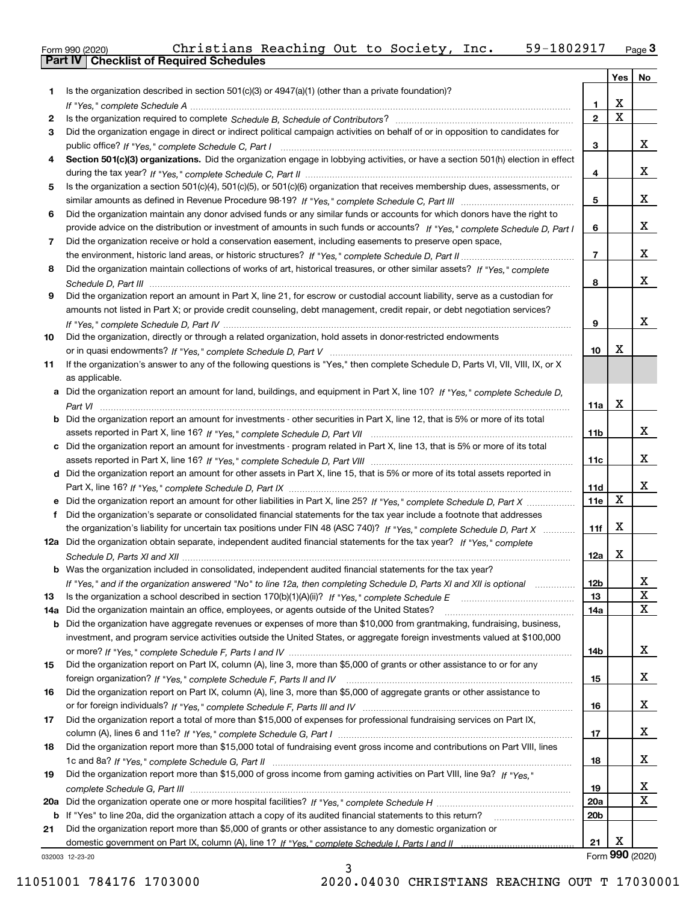| Form 990 (2020) |                                                  | Christians Reaching Out to Society, Inc. |  |  | 59-1802917 | Page 3 |
|-----------------|--------------------------------------------------|------------------------------------------|--|--|------------|--------|
|                 | <b>Part IV   Checklist of Required Schedules</b> |                                          |  |  |            |        |

|     |                                                                                                                                       |                 | Yes         | No              |
|-----|---------------------------------------------------------------------------------------------------------------------------------------|-----------------|-------------|-----------------|
| 1   | Is the organization described in section $501(c)(3)$ or $4947(a)(1)$ (other than a private foundation)?                               |                 |             |                 |
|     |                                                                                                                                       | 1.              | х           |                 |
| 2   |                                                                                                                                       | $\overline{2}$  | $\mathbf x$ |                 |
| 3   | Did the organization engage in direct or indirect political campaign activities on behalf of or in opposition to candidates for       |                 |             |                 |
|     |                                                                                                                                       | з               |             | x               |
| 4   | Section 501(c)(3) organizations. Did the organization engage in lobbying activities, or have a section 501(h) election in effect      |                 |             |                 |
|     |                                                                                                                                       | 4               |             | x               |
| 5   | Is the organization a section 501(c)(4), 501(c)(5), or 501(c)(6) organization that receives membership dues, assessments, or          |                 |             |                 |
|     |                                                                                                                                       | 5               |             | x               |
| 6   | Did the organization maintain any donor advised funds or any similar funds or accounts for which donors have the right to             |                 |             |                 |
|     | provide advice on the distribution or investment of amounts in such funds or accounts? If "Yes," complete Schedule D, Part I          | 6               |             | x               |
| 7   | Did the organization receive or hold a conservation easement, including easements to preserve open space,                             |                 |             |                 |
|     |                                                                                                                                       | $\overline{7}$  |             | x               |
| 8   | Did the organization maintain collections of works of art, historical treasures, or other similar assets? If "Yes," complete          |                 |             |                 |
|     |                                                                                                                                       | 8               |             | x               |
| 9   | Did the organization report an amount in Part X, line 21, for escrow or custodial account liability, serve as a custodian for         |                 |             |                 |
|     | amounts not listed in Part X; or provide credit counseling, debt management, credit repair, or debt negotiation services?             |                 |             |                 |
|     |                                                                                                                                       | 9               |             | x               |
| 10  | Did the organization, directly or through a related organization, hold assets in donor-restricted endowments                          |                 |             |                 |
|     |                                                                                                                                       | 10              | x           |                 |
| 11  | If the organization's answer to any of the following questions is "Yes," then complete Schedule D, Parts VI, VIII, VIII, IX, or X     |                 |             |                 |
|     | as applicable.                                                                                                                        |                 |             |                 |
|     | a Did the organization report an amount for land, buildings, and equipment in Part X, line 10? If "Yes," complete Schedule D,         |                 |             |                 |
|     |                                                                                                                                       | 11a             | X           |                 |
|     | <b>b</b> Did the organization report an amount for investments - other securities in Part X, line 12, that is 5% or more of its total |                 |             |                 |
|     |                                                                                                                                       | 11b             |             | x               |
|     | c Did the organization report an amount for investments - program related in Part X, line 13, that is 5% or more of its total         |                 |             |                 |
|     |                                                                                                                                       | 11c             |             | x               |
|     | d Did the organization report an amount for other assets in Part X, line 15, that is 5% or more of its total assets reported in       |                 |             |                 |
|     |                                                                                                                                       | 11d             |             | x               |
|     | e Did the organization report an amount for other liabilities in Part X, line 25? If "Yes," complete Schedule D, Part X               | <b>11e</b>      | Χ           |                 |
| f   | Did the organization's separate or consolidated financial statements for the tax year include a footnote that addresses               |                 |             |                 |
|     | the organization's liability for uncertain tax positions under FIN 48 (ASC 740)? If "Yes," complete Schedule D, Part X                | 11f             | X           |                 |
|     | 12a Did the organization obtain separate, independent audited financial statements for the tax year? If "Yes," complete               |                 |             |                 |
|     |                                                                                                                                       | 12a             | X           |                 |
|     | <b>b</b> Was the organization included in consolidated, independent audited financial statements for the tax year?                    |                 |             |                 |
|     | If "Yes," and if the organization answered "No" to line 12a, then completing Schedule D, Parts XI and XII is optional                 | 12b             |             | A               |
| 13  |                                                                                                                                       | 13              |             | X               |
| 14a | Did the organization maintain an office, employees, or agents outside of the United States?                                           | 14a             |             | x               |
|     | <b>b</b> Did the organization have aggregate revenues or expenses of more than \$10,000 from grantmaking, fundraising, business,      |                 |             |                 |
|     | investment, and program service activities outside the United States, or aggregate foreign investments valued at \$100,000            |                 |             |                 |
|     |                                                                                                                                       | 14b             |             | x               |
| 15  | Did the organization report on Part IX, column (A), line 3, more than \$5,000 of grants or other assistance to or for any             |                 |             |                 |
|     |                                                                                                                                       | 15              |             | x               |
| 16  | Did the organization report on Part IX, column (A), line 3, more than \$5,000 of aggregate grants or other assistance to              |                 |             |                 |
|     |                                                                                                                                       | 16              |             | x               |
| 17  | Did the organization report a total of more than \$15,000 of expenses for professional fundraising services on Part IX,               |                 |             |                 |
|     |                                                                                                                                       | 17              |             | x               |
| 18  | Did the organization report more than \$15,000 total of fundraising event gross income and contributions on Part VIII, lines          |                 |             |                 |
|     |                                                                                                                                       | 18              |             | x               |
| 19  | Did the organization report more than \$15,000 of gross income from gaming activities on Part VIII, line 9a? If "Yes."                |                 |             |                 |
|     |                                                                                                                                       | 19              |             | X               |
|     |                                                                                                                                       | <b>20a</b>      |             | x               |
|     | b If "Yes" to line 20a, did the organization attach a copy of its audited financial statements to this return?                        | 20 <sub>b</sub> |             |                 |
| 21  | Did the organization report more than \$5,000 of grants or other assistance to any domestic organization or                           |                 |             |                 |
|     |                                                                                                                                       | 21              | Х           |                 |
|     | 032003 12-23-20                                                                                                                       |                 |             | Form 990 (2020) |
|     | ٦                                                                                                                                     |                 |             |                 |

3

032003 12-23-20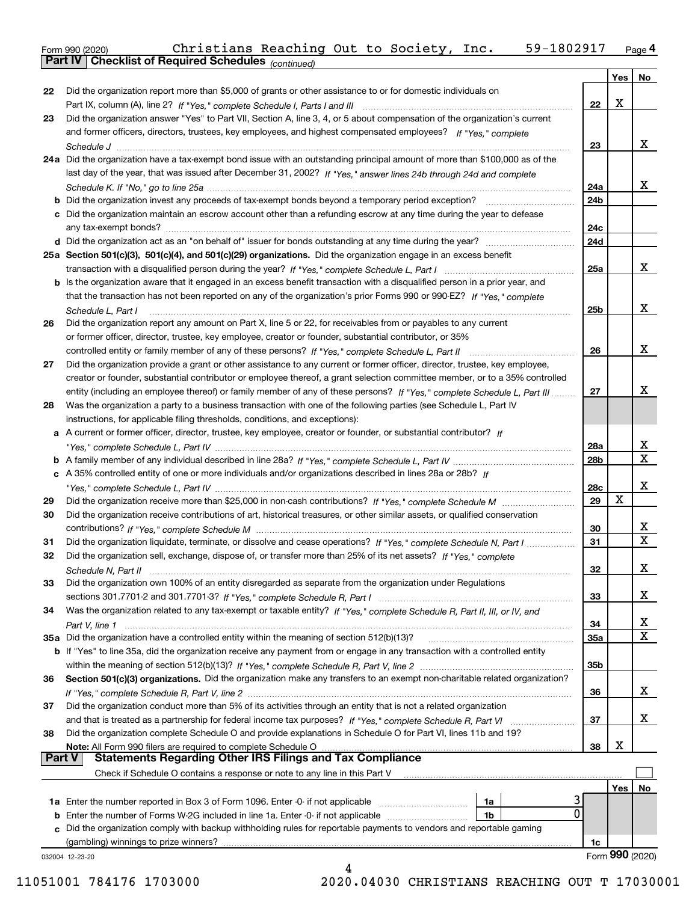Form 990 (2020) Christians Reaching Out to Society, Inc. 59-1802917 <sub>Page</sub> 4<br>**Part IV | Checklist of Required Schedules** <sub>(continued)</sub>

|        | Part IV   Grieckijst of Required Scriedules <sub>(continued)</sub>                                                                 |     |                 |    |
|--------|------------------------------------------------------------------------------------------------------------------------------------|-----|-----------------|----|
|        |                                                                                                                                    |     | Yes             | No |
| 22     | Did the organization report more than \$5,000 of grants or other assistance to or for domestic individuals on                      |     |                 |    |
|        |                                                                                                                                    | 22  | х               |    |
| 23     | Did the organization answer "Yes" to Part VII, Section A, line 3, 4, or 5 about compensation of the organization's current         |     |                 |    |
|        | and former officers, directors, trustees, key employees, and highest compensated employees? If "Yes," complete                     |     |                 |    |
|        |                                                                                                                                    | 23  |                 | x  |
|        | 24a Did the organization have a tax-exempt bond issue with an outstanding principal amount of more than \$100,000 as of the        |     |                 |    |
|        | last day of the year, that was issued after December 31, 2002? If "Yes," answer lines 24b through 24d and complete                 |     |                 |    |
|        |                                                                                                                                    | 24a |                 | x  |
|        | <b>b</b> Did the organization invest any proceeds of tax-exempt bonds beyond a temporary period exception?                         | 24b |                 |    |
|        | c Did the organization maintain an escrow account other than a refunding escrow at any time during the year to defease             |     |                 |    |
|        |                                                                                                                                    | 24c |                 |    |
|        |                                                                                                                                    | 24d |                 |    |
|        | 25a Section 501(c)(3), 501(c)(4), and 501(c)(29) organizations. Did the organization engage in an excess benefit                   |     |                 |    |
|        |                                                                                                                                    | 25a |                 | x  |
|        | b Is the organization aware that it engaged in an excess benefit transaction with a disqualified person in a prior year, and       |     |                 |    |
|        | that the transaction has not been reported on any of the organization's prior Forms 990 or 990-EZ? If "Yes," complete              |     |                 |    |
|        | Schedule L, Part I                                                                                                                 | 25b |                 | x  |
| 26     | Did the organization report any amount on Part X, line 5 or 22, for receivables from or payables to any current                    |     |                 |    |
|        | or former officer, director, trustee, key employee, creator or founder, substantial contributor, or 35%                            |     |                 |    |
|        |                                                                                                                                    | 26  |                 | x  |
| 27     | Did the organization provide a grant or other assistance to any current or former officer, director, trustee, key employee,        |     |                 |    |
|        | creator or founder, substantial contributor or employee thereof, a grant selection committee member, or to a 35% controlled        |     |                 |    |
|        | entity (including an employee thereof) or family member of any of these persons? If "Yes," complete Schedule L, Part III           | 27  |                 | x  |
| 28     | Was the organization a party to a business transaction with one of the following parties (see Schedule L, Part IV                  |     |                 |    |
|        | instructions, for applicable filing thresholds, conditions, and exceptions):                                                       |     |                 |    |
|        | a A current or former officer, director, trustee, key employee, creator or founder, or substantial contributor? If                 |     |                 |    |
|        |                                                                                                                                    | 28a |                 | х  |
|        |                                                                                                                                    | 28b |                 | Х  |
|        | c A 35% controlled entity of one or more individuals and/or organizations described in lines 28a or 28b? If                        |     |                 |    |
|        |                                                                                                                                    | 28c |                 | x  |
| 29     |                                                                                                                                    | 29  | х               |    |
| 30     | Did the organization receive contributions of art, historical treasures, or other similar assets, or qualified conservation        |     |                 |    |
|        |                                                                                                                                    | 30  |                 | х  |
| 31     | Did the organization liquidate, terminate, or dissolve and cease operations? If "Yes," complete Schedule N, Part I                 | 31  |                 | x  |
| 32     | Did the organization sell, exchange, dispose of, or transfer more than 25% of its net assets? If "Yes," complete                   |     |                 |    |
|        | Schedule N. Part II                                                                                                                | 32  |                 | х  |
| 33     | Did the organization own 100% of an entity disregarded as separate from the organization under Regulations                         |     |                 |    |
|        |                                                                                                                                    | 33  |                 | x  |
| 34     | Was the organization related to any tax-exempt or taxable entity? If "Yes," complete Schedule R, Part II, III, or IV, and          |     |                 |    |
|        |                                                                                                                                    | 34  |                 | х  |
|        | 35a Did the organization have a controlled entity within the meaning of section 512(b)(13)?                                        | 35a |                 | х  |
|        | <b>b</b> If "Yes" to line 35a, did the organization receive any payment from or engage in any transaction with a controlled entity |     |                 |    |
|        |                                                                                                                                    | 35b |                 |    |
| 36     | Section 501(c)(3) organizations. Did the organization make any transfers to an exempt non-charitable related organization?         |     |                 |    |
|        |                                                                                                                                    | 36  |                 | x  |
| 37     | Did the organization conduct more than 5% of its activities through an entity that is not a related organization                   |     |                 |    |
|        |                                                                                                                                    | 37  |                 | х  |
| 38     | Did the organization complete Schedule O and provide explanations in Schedule O for Part VI, lines 11b and 19?                     |     |                 |    |
|        | Note: All Form 990 filers are required to complete Schedule O                                                                      | 38  | х               |    |
| Part V | <b>Statements Regarding Other IRS Filings and Tax Compliance</b>                                                                   |     |                 |    |
|        | Check if Schedule O contains a response or note to any line in this Part V                                                         |     |                 |    |
|        |                                                                                                                                    |     | Yes             | No |
|        | 1a                                                                                                                                 |     |                 |    |
|        | 0<br><b>b</b> Enter the number of Forms W-2G included in line 1a. Enter -0- if not applicable<br>1b                                |     |                 |    |
|        | c Did the organization comply with backup withholding rules for reportable payments to vendors and reportable gaming               |     |                 |    |
|        | (gambling) winnings to prize winners?                                                                                              | 1c  |                 |    |
|        | 032004 12-23-20                                                                                                                    |     | Form 990 (2020) |    |
|        | 4                                                                                                                                  |     |                 |    |

 <sup>11051001 784176 1703000 2020.04030</sup> CHRISTIANS REACHING OUT T 17030001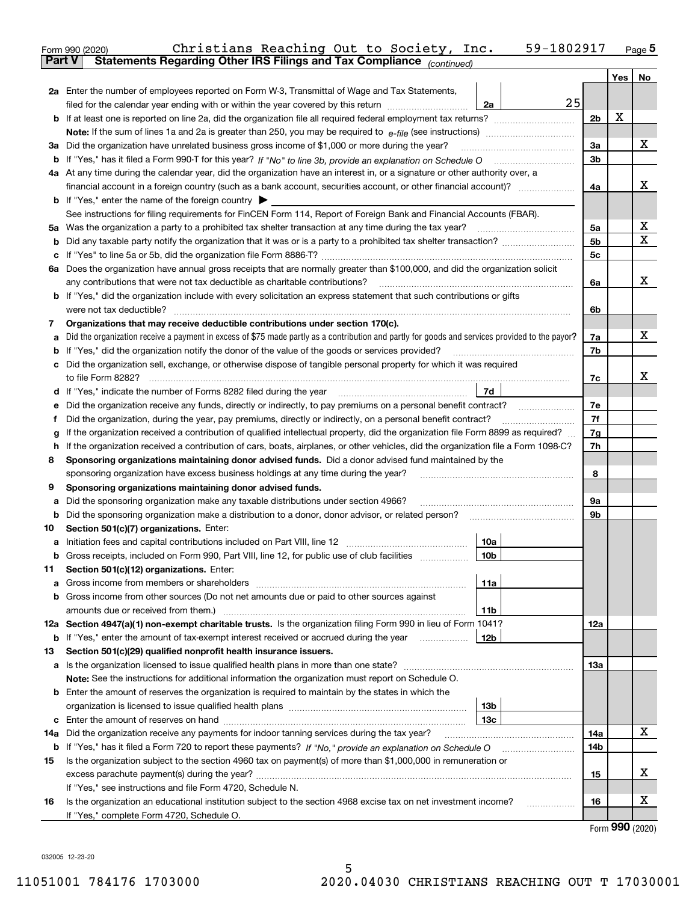|    | 59-1802917<br>Christians Reaching Out to Society, Inc.<br>Form 990 (2020)                                                                                    |                |     | <u>Page 5</u> |  |  |  |  |  |  |
|----|--------------------------------------------------------------------------------------------------------------------------------------------------------------|----------------|-----|---------------|--|--|--|--|--|--|
|    | Statements Regarding Other IRS Filings and Tax Compliance (continued)<br><b>Part V</b>                                                                       |                |     |               |  |  |  |  |  |  |
|    |                                                                                                                                                              |                | Yes | No            |  |  |  |  |  |  |
|    | 2a Enter the number of employees reported on Form W-3, Transmittal of Wage and Tax Statements,                                                               |                |     |               |  |  |  |  |  |  |
|    | 25<br>filed for the calendar year ending with or within the year covered by this return<br>2a                                                                |                |     |               |  |  |  |  |  |  |
|    |                                                                                                                                                              | 2 <sub>b</sub> | X   |               |  |  |  |  |  |  |
|    |                                                                                                                                                              |                |     |               |  |  |  |  |  |  |
|    | 3a Did the organization have unrelated business gross income of \$1,000 or more during the year?                                                             | 3a             |     | х             |  |  |  |  |  |  |
|    |                                                                                                                                                              | 3b             |     |               |  |  |  |  |  |  |
|    | 4a At any time during the calendar year, did the organization have an interest in, or a signature or other authority over, a                                 |                |     |               |  |  |  |  |  |  |
|    | financial account in a foreign country (such as a bank account, securities account, or other financial account)?                                             |                |     |               |  |  |  |  |  |  |
|    | <b>b</b> If "Yes," enter the name of the foreign country $\blacktriangleright$                                                                               |                |     |               |  |  |  |  |  |  |
|    | See instructions for filing requirements for FinCEN Form 114, Report of Foreign Bank and Financial Accounts (FBAR).                                          |                |     |               |  |  |  |  |  |  |
|    |                                                                                                                                                              | 5a             |     | х             |  |  |  |  |  |  |
|    |                                                                                                                                                              | 5b             |     | x             |  |  |  |  |  |  |
|    |                                                                                                                                                              | 5c             |     |               |  |  |  |  |  |  |
|    | 6a Does the organization have annual gross receipts that are normally greater than \$100,000, and did the organization solicit                               |                |     |               |  |  |  |  |  |  |
|    |                                                                                                                                                              | 6a             |     | х             |  |  |  |  |  |  |
|    | <b>b</b> If "Yes," did the organization include with every solicitation an express statement that such contributions or gifts                                |                |     |               |  |  |  |  |  |  |
|    | were not tax deductible?                                                                                                                                     | 6b             |     |               |  |  |  |  |  |  |
| 7  | Organizations that may receive deductible contributions under section 170(c).                                                                                |                |     |               |  |  |  |  |  |  |
| а  | Did the organization receive a payment in excess of \$75 made partly as a contribution and partly for goods and services provided to the payor?              | 7a             |     | х             |  |  |  |  |  |  |
|    | <b>b</b> If "Yes," did the organization notify the donor of the value of the goods or services provided?                                                     | 7b             |     |               |  |  |  |  |  |  |
|    | c Did the organization sell, exchange, or otherwise dispose of tangible personal property for which it was required                                          |                |     |               |  |  |  |  |  |  |
|    |                                                                                                                                                              | 7c             |     | x             |  |  |  |  |  |  |
|    | 7d                                                                                                                                                           |                |     |               |  |  |  |  |  |  |
| е  |                                                                                                                                                              | 7e             |     |               |  |  |  |  |  |  |
| f  | Did the organization, during the year, pay premiums, directly or indirectly, on a personal benefit contract?                                                 | 7f             |     |               |  |  |  |  |  |  |
| g  | If the organization received a contribution of qualified intellectual property, did the organization file Form 8899 as required?                             | 7g             |     |               |  |  |  |  |  |  |
| h  | If the organization received a contribution of cars, boats, airplanes, or other vehicles, did the organization file a Form 1098-C?                           | 7h             |     |               |  |  |  |  |  |  |
| 8  | Sponsoring organizations maintaining donor advised funds. Did a donor advised fund maintained by the                                                         |                |     |               |  |  |  |  |  |  |
|    | sponsoring organization have excess business holdings at any time during the year?                                                                           | 8              |     |               |  |  |  |  |  |  |
| 9  | Sponsoring organizations maintaining donor advised funds.                                                                                                    |                |     |               |  |  |  |  |  |  |
| а  | Did the sponsoring organization make any taxable distributions under section 4966?                                                                           | 9а             |     |               |  |  |  |  |  |  |
|    |                                                                                                                                                              | 9b             |     |               |  |  |  |  |  |  |
| 10 | Section 501(c)(7) organizations. Enter:                                                                                                                      |                |     |               |  |  |  |  |  |  |
|    | 10a                                                                                                                                                          |                |     |               |  |  |  |  |  |  |
|    | 10b <br>Gross receipts, included on Form 990, Part VIII, line 12, for public use of club facilities                                                          |                |     |               |  |  |  |  |  |  |
| 11 | Section 501(c)(12) organizations. Enter:                                                                                                                     |                |     |               |  |  |  |  |  |  |
| а  | Gross income from members or shareholders<br>11a                                                                                                             |                |     |               |  |  |  |  |  |  |
|    | b Gross income from other sources (Do not net amounts due or paid to other sources against                                                                   |                |     |               |  |  |  |  |  |  |
|    | amounts due or received from them.)<br>11b<br>12a Section 4947(a)(1) non-exempt charitable trusts. Is the organization filing Form 990 in lieu of Form 1041? | 12a            |     |               |  |  |  |  |  |  |
|    | 12 <sub>b</sub><br><b>b</b> If "Yes," enter the amount of tax-exempt interest received or accrued during the year <i>manument</i> of                         |                |     |               |  |  |  |  |  |  |
| 13 | Section 501(c)(29) qualified nonprofit health insurance issuers.                                                                                             |                |     |               |  |  |  |  |  |  |
|    | a Is the organization licensed to issue qualified health plans in more than one state?                                                                       | 13а            |     |               |  |  |  |  |  |  |
|    | Note: See the instructions for additional information the organization must report on Schedule O.                                                            |                |     |               |  |  |  |  |  |  |
|    | <b>b</b> Enter the amount of reserves the organization is required to maintain by the states in which the                                                    |                |     |               |  |  |  |  |  |  |
|    | 13b                                                                                                                                                          |                |     |               |  |  |  |  |  |  |
|    | 13с                                                                                                                                                          |                |     |               |  |  |  |  |  |  |
|    | 14a Did the organization receive any payments for indoor tanning services during the tax year?                                                               | 14a            |     | X             |  |  |  |  |  |  |
|    | <b>b</b> If "Yes," has it filed a Form 720 to report these payments? If "No," provide an explanation on Schedule O                                           | 14b            |     |               |  |  |  |  |  |  |
| 15 | Is the organization subject to the section 4960 tax on payment(s) of more than \$1,000,000 in remuneration or                                                |                |     |               |  |  |  |  |  |  |
|    |                                                                                                                                                              | 15             |     | X             |  |  |  |  |  |  |
|    | If "Yes," see instructions and file Form 4720, Schedule N.                                                                                                   |                |     |               |  |  |  |  |  |  |
| 16 | Is the organization an educational institution subject to the section 4968 excise tax on net investment income?                                              | 16             |     | х             |  |  |  |  |  |  |
|    | If "Yes," complete Form 4720, Schedule O.                                                                                                                    |                |     |               |  |  |  |  |  |  |
|    |                                                                                                                                                              |                |     | $\mathbf{QQ}$ |  |  |  |  |  |  |

Form (2020) **990**

032005 12-23-20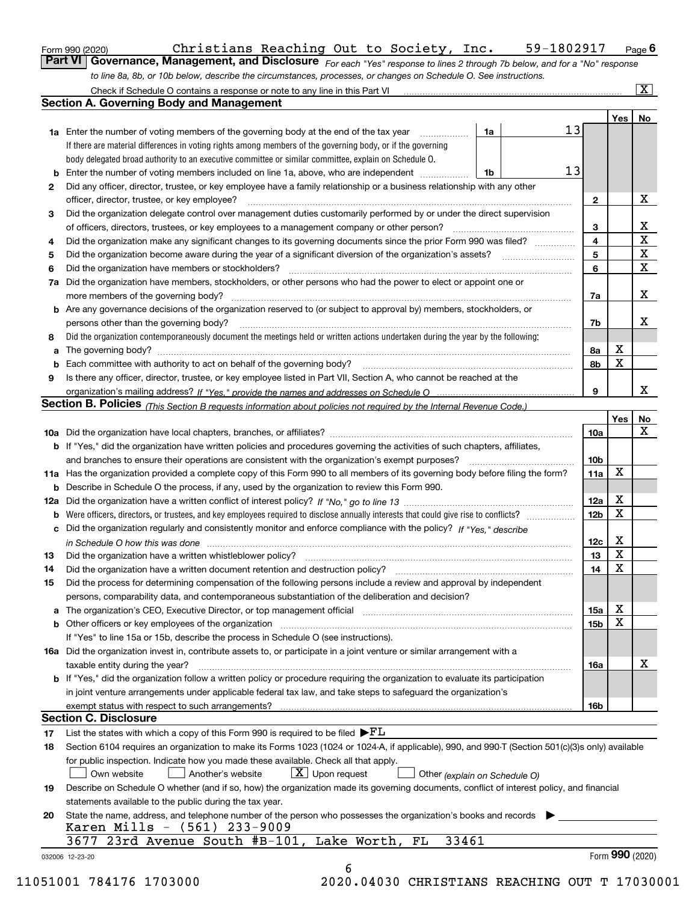|  | Form 990 (2020) |
|--|-----------------|
|  |                 |

## *For each "Yes" response to lines 2 through 7b below, and for a "No" response* **6Part VI Governance, Management, and Disclosure**  Christians Reaching Out to Society, Inc. 59-1802917 Christians Reaching Out to Society, Inc. 59-1802917 Page 6

*to line 8a, 8b, or 10b below, describe the circumstances, processes, or changes on Schedule O. See instructions.*

|    | <b>1a</b> Enter the number of voting members of the governing body at the end of the tax year                                                                                                                                  | 1a |  | 13 |                 | Yes <sub>1</sub> | No                      |  |  |  |  |  |
|----|--------------------------------------------------------------------------------------------------------------------------------------------------------------------------------------------------------------------------------|----|--|----|-----------------|------------------|-------------------------|--|--|--|--|--|
|    | If there are material differences in voting rights among members of the governing body, or if the governing                                                                                                                    |    |  |    |                 |                  |                         |  |  |  |  |  |
|    | body delegated broad authority to an executive committee or similar committee, explain on Schedule O.                                                                                                                          |    |  |    |                 |                  |                         |  |  |  |  |  |
| b  | Enter the number of voting members included on line 1a, above, who are independent <i>manumum</i>                                                                                                                              | 1b |  | 13 |                 |                  |                         |  |  |  |  |  |
| 2  | Did any officer, director, trustee, or key employee have a family relationship or a business relationship with any other                                                                                                       |    |  |    |                 |                  |                         |  |  |  |  |  |
|    | officer, director, trustee, or key employee?                                                                                                                                                                                   |    |  |    | $\mathbf{2}$    |                  | X                       |  |  |  |  |  |
| 3  | Did the organization delegate control over management duties customarily performed by or under the direct supervision                                                                                                          |    |  |    |                 |                  |                         |  |  |  |  |  |
|    |                                                                                                                                                                                                                                |    |  |    | 3               |                  | $\mathbf{X}$            |  |  |  |  |  |
| 4  | Did the organization make any significant changes to its governing documents since the prior Form 990 was filed?                                                                                                               |    |  |    | 4               |                  | $\overline{\texttt{x}}$ |  |  |  |  |  |
| 5  |                                                                                                                                                                                                                                |    |  |    | 5               |                  | $\overline{\mathbf{x}}$ |  |  |  |  |  |
| 6  | Did the organization have members or stockholders?                                                                                                                                                                             |    |  |    |                 |                  |                         |  |  |  |  |  |
| 7a | Did the organization have members, stockholders, or other persons who had the power to elect or appoint one or                                                                                                                 |    |  |    |                 |                  |                         |  |  |  |  |  |
|    |                                                                                                                                                                                                                                |    |  |    | 7a              |                  | X                       |  |  |  |  |  |
|    | <b>b</b> Are any governance decisions of the organization reserved to (or subject to approval by) members, stockholders, or                                                                                                    |    |  |    |                 |                  |                         |  |  |  |  |  |
|    | persons other than the governing body?                                                                                                                                                                                         |    |  |    | 7b              |                  | X                       |  |  |  |  |  |
| 8  | Did the organization contemporaneously document the meetings held or written actions undertaken during the year by the following:                                                                                              |    |  |    |                 |                  |                         |  |  |  |  |  |
| a  |                                                                                                                                                                                                                                |    |  |    | 8а              | X                |                         |  |  |  |  |  |
|    |                                                                                                                                                                                                                                |    |  |    | 8b              | X                |                         |  |  |  |  |  |
| 9  | Is there any officer, director, trustee, or key employee listed in Part VII, Section A, who cannot be reached at the                                                                                                           |    |  |    |                 |                  |                         |  |  |  |  |  |
|    |                                                                                                                                                                                                                                |    |  |    | 9               |                  | X                       |  |  |  |  |  |
|    | Section B. Policies <sub>(This</sub> Section B requests information about policies not required by the Internal Revenue Code.)                                                                                                 |    |  |    |                 |                  |                         |  |  |  |  |  |
|    |                                                                                                                                                                                                                                |    |  |    |                 | Yes              | No                      |  |  |  |  |  |
|    |                                                                                                                                                                                                                                |    |  |    | 10a             |                  | X                       |  |  |  |  |  |
|    | <b>b</b> If "Yes," did the organization have written policies and procedures governing the activities of such chapters, affiliates,                                                                                            |    |  |    |                 |                  |                         |  |  |  |  |  |
|    |                                                                                                                                                                                                                                |    |  |    | 10 <sub>b</sub> |                  |                         |  |  |  |  |  |
|    | 11a Has the organization provided a complete copy of this Form 990 to all members of its governing body before filing the form?                                                                                                |    |  |    | 11a             | X                |                         |  |  |  |  |  |
|    | <b>b</b> Describe in Schedule O the process, if any, used by the organization to review this Form 990.                                                                                                                         |    |  |    |                 |                  |                         |  |  |  |  |  |
|    |                                                                                                                                                                                                                                |    |  |    | 12a             | X                |                         |  |  |  |  |  |
| b  |                                                                                                                                                                                                                                |    |  |    | 12 <sub>b</sub> | X                |                         |  |  |  |  |  |
|    | c Did the organization regularly and consistently monitor and enforce compliance with the policy? If "Yes," describe                                                                                                           |    |  |    |                 |                  |                         |  |  |  |  |  |
|    | in Schedule O how this was done measured and the control of the control of the state of the control of the control of the control of the control of the control of the control of the control of the control of the control of |    |  |    | 12c             | X                |                         |  |  |  |  |  |
| 13 |                                                                                                                                                                                                                                |    |  |    | 13              | $\mathbf x$      |                         |  |  |  |  |  |
| 14 | Did the organization have a written document retention and destruction policy? manufactured and the organization have a written document retention and destruction policy?                                                     |    |  |    | 14              | X                |                         |  |  |  |  |  |
| 15 | Did the process for determining compensation of the following persons include a review and approval by independent                                                                                                             |    |  |    |                 |                  |                         |  |  |  |  |  |
|    | persons, comparability data, and contemporaneous substantiation of the deliberation and decision?                                                                                                                              |    |  |    |                 |                  |                         |  |  |  |  |  |
|    | a The organization's CEO, Executive Director, or top management official manufactured content content of the organization's CEO, Executive Director, or top management official manufactured content of the state of the state |    |  |    | 15a             | х                |                         |  |  |  |  |  |
|    | <b>b</b> Other officers or key employees of the organization                                                                                                                                                                   |    |  |    | 15 <sub>b</sub> | X                |                         |  |  |  |  |  |
|    | If "Yes" to line 15a or 15b, describe the process in Schedule O (see instructions).                                                                                                                                            |    |  |    |                 |                  |                         |  |  |  |  |  |
|    | 16a Did the organization invest in, contribute assets to, or participate in a joint venture or similar arrangement with a                                                                                                      |    |  |    |                 |                  |                         |  |  |  |  |  |
|    | taxable entity during the year?                                                                                                                                                                                                |    |  |    | 16a             |                  | X                       |  |  |  |  |  |
|    | b If "Yes," did the organization follow a written policy or procedure requiring the organization to evaluate its participation                                                                                                 |    |  |    |                 |                  |                         |  |  |  |  |  |
|    | in joint venture arrangements under applicable federal tax law, and take steps to safequard the organization's                                                                                                                 |    |  |    |                 |                  |                         |  |  |  |  |  |
|    | exempt status with respect to such arrangements?                                                                                                                                                                               |    |  |    | 16b             |                  |                         |  |  |  |  |  |
|    | <b>Section C. Disclosure</b>                                                                                                                                                                                                   |    |  |    |                 |                  |                         |  |  |  |  |  |
| 17 | List the states with which a copy of this Form 990 is required to be filed $\blacktriangleright$ FL                                                                                                                            |    |  |    |                 |                  |                         |  |  |  |  |  |
| 18 | Section 6104 requires an organization to make its Forms 1023 (1024 or 1024-A, if applicable), 990, and 990-T (Section 501(c)(3)s only) available                                                                               |    |  |    |                 |                  |                         |  |  |  |  |  |
|    | for public inspection. Indicate how you made these available. Check all that apply.                                                                                                                                            |    |  |    |                 |                  |                         |  |  |  |  |  |
|    | $X$ Upon request<br>Another's website<br>Own website<br>Other (explain on Schedule O)                                                                                                                                          |    |  |    |                 |                  |                         |  |  |  |  |  |
| 19 | Describe on Schedule O whether (and if so, how) the organization made its governing documents, conflict of interest policy, and financial                                                                                      |    |  |    |                 |                  |                         |  |  |  |  |  |
|    | statements available to the public during the tax year.                                                                                                                                                                        |    |  |    |                 |                  |                         |  |  |  |  |  |
| 20 | State the name, address, and telephone number of the person who possesses the organization's books and records                                                                                                                 |    |  |    |                 |                  |                         |  |  |  |  |  |
|    | Karen Mills - (561) 233-9009                                                                                                                                                                                                   |    |  |    |                 |                  |                         |  |  |  |  |  |
|    | 33461<br>3677 23rd Avenue South #B-101, Lake Worth, FL                                                                                                                                                                         |    |  |    |                 |                  |                         |  |  |  |  |  |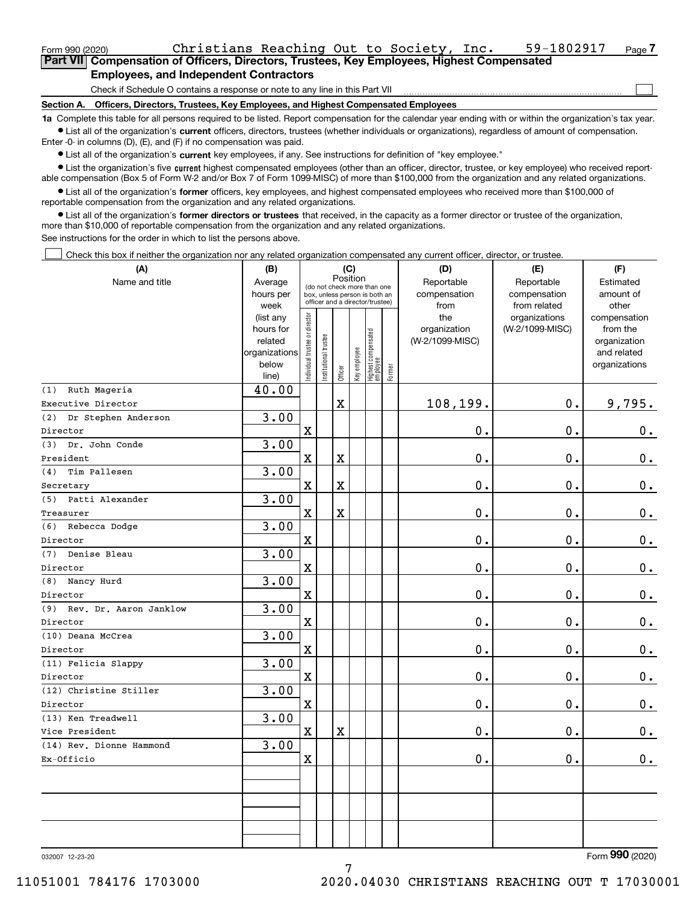| Form 990 (2020)                                                                             | Christians Reaching Out to Society, Inc.                                     |  |  |  |  | 59-1802917 | Page i |  |  |
|---------------------------------------------------------------------------------------------|------------------------------------------------------------------------------|--|--|--|--|------------|--------|--|--|
| Part VIII Compensation of Officers, Directors, Trustees, Key Employees, Highest Compensated |                                                                              |  |  |  |  |            |        |  |  |
|                                                                                             | <b>Employees, and Independent Contractors</b>                                |  |  |  |  |            |        |  |  |
|                                                                                             | Check if Schedule O contains a response or note to any line in this Part VII |  |  |  |  |            |        |  |  |

**Section A. Officers, Directors, Trustees, Key Employees, and Highest Compensated Employees**

**1a**  Complete this table for all persons required to be listed. Report compensation for the calendar year ending with or within the organization's tax year. **•** List all of the organization's current officers, directors, trustees (whether individuals or organizations), regardless of amount of compensation.

Enter -0- in columns (D), (E), and (F) if no compensation was paid.

 $\bullet$  List all of the organization's  $\,$ current key employees, if any. See instructions for definition of "key employee."

• List the organization's five current highest compensated employees (other than an officer, director, trustee, or key employee) who received report-■ List the organization's five current highest compensated employees (other than an officer, director, trustee, or key employee) who received report<br>able compensation (Box 5 of Form W-2 and/or Box 7 of Form 1099-MISC) of

**•** List all of the organization's former officers, key employees, and highest compensated employees who received more than \$100,000 of reportable compensation from the organization and any related organizations.

**former directors or trustees**  ¥ List all of the organization's that received, in the capacity as a former director or trustee of the organization, more than \$10,000 of reportable compensation from the organization and any related organizations.

See instructions for the order in which to list the persons above.

Check this box if neither the organization nor any related organization compensated any current officer, director, or trustee.  $\mathcal{L}^{\text{max}}$ 

| (A)                        | (B)                                                                  |                               |                                                                                                 |                         | (C)          |                                   |        | (D)                                    | (E)                                        | (F)                                                                      |
|----------------------------|----------------------------------------------------------------------|-------------------------------|-------------------------------------------------------------------------------------------------|-------------------------|--------------|-----------------------------------|--------|----------------------------------------|--------------------------------------------|--------------------------------------------------------------------------|
| Name and title             | Average<br>hours per<br>week                                         |                               | (do not check more than one<br>box, unless person is both an<br>officer and a director/trustee) | Position                |              |                                   |        | Reportable<br>compensation<br>from     | Reportable<br>compensation<br>from related | Estimated<br>amount of<br>other                                          |
|                            | (list any<br>hours for<br>related<br>organizations<br>below<br>line) | ndividual trustee or director | Institutional trustee                                                                           | Officer                 | Key employee | Highest compensated<br>  employee | Former | the<br>organization<br>(W-2/1099-MISC) | organizations<br>(W-2/1099-MISC)           | compensation<br>from the<br>organization<br>and related<br>organizations |
| (1) Ruth Mageria           | 40.00                                                                |                               |                                                                                                 |                         |              |                                   |        |                                        |                                            |                                                                          |
| Executive Director         |                                                                      |                               |                                                                                                 | $\mathbf x$             |              |                                   |        | 108,199.                               | 0.                                         | 9,795.                                                                   |
| (2) Dr Stephen Anderson    | 3.00                                                                 |                               |                                                                                                 |                         |              |                                   |        |                                        |                                            |                                                                          |
| Director                   |                                                                      | $\mathbf X$                   |                                                                                                 |                         |              |                                   |        | 0.                                     | $\mathbf 0$ .                              | $\mathbf 0$ .                                                            |
| (3) Dr. John Conde         | 3.00                                                                 |                               |                                                                                                 |                         |              |                                   |        |                                        |                                            |                                                                          |
| President                  |                                                                      | $\mathbf X$                   |                                                                                                 | $\mathbf X$             |              |                                   |        | 0.                                     | $\mathbf 0$ .                              | $\mathbf 0$ .                                                            |
| Tim Pallesen<br>(4)        | 3.00                                                                 |                               |                                                                                                 |                         |              |                                   |        |                                        |                                            |                                                                          |
| Secretary                  |                                                                      | $\mathbf x$                   |                                                                                                 | $\overline{\textbf{X}}$ |              |                                   |        | 0.                                     | 0.                                         | $\mathbf 0$ .                                                            |
| (5) Patti Alexander        | 3.00                                                                 |                               |                                                                                                 |                         |              |                                   |        |                                        |                                            |                                                                          |
| Treasurer                  |                                                                      | $\mathbf X$                   |                                                                                                 | $\mathbf x$             |              |                                   |        | $0$ .                                  | 0.                                         | $\mathbf 0$ .                                                            |
| (6) Rebecca Dodge          | 3.00                                                                 |                               |                                                                                                 |                         |              |                                   |        |                                        |                                            |                                                                          |
| Director                   |                                                                      | $\mathbf x$                   |                                                                                                 |                         |              |                                   |        | 0.                                     | 0.                                         | $\mathbf 0$ .                                                            |
| (7) Denise Bleau           | 3.00                                                                 |                               |                                                                                                 |                         |              |                                   |        |                                        |                                            |                                                                          |
| Director                   |                                                                      | $\mathbf X$                   |                                                                                                 |                         |              |                                   |        | $\mathbf 0$ .                          | $\mathbf 0$ .                              | $\mathbf 0$ .                                                            |
| (8) Nancy Hurd             | 3.00                                                                 |                               |                                                                                                 |                         |              |                                   |        |                                        |                                            |                                                                          |
| Director                   |                                                                      | $\mathbf x$                   |                                                                                                 |                         |              |                                   |        | 0.                                     | 0.                                         | $\mathbf 0$ .                                                            |
| (9) Rev. Dr. Aaron Janklow | 3.00                                                                 |                               |                                                                                                 |                         |              |                                   |        |                                        |                                            |                                                                          |
| Director                   |                                                                      | $\mathbf x$                   |                                                                                                 |                         |              |                                   |        | 0.                                     | 0.                                         | $\mathbf 0$ .                                                            |
| (10) Deana McCrea          | 3.00                                                                 |                               |                                                                                                 |                         |              |                                   |        |                                        |                                            |                                                                          |
| Director                   |                                                                      | $\mathbf X$                   |                                                                                                 |                         |              |                                   |        | $0$ .                                  | 0.                                         | $0$ .                                                                    |
| (11) Felicia Slappy        | 3.00                                                                 |                               |                                                                                                 |                         |              |                                   |        |                                        |                                            |                                                                          |
| Director                   |                                                                      | $\mathbf X$                   |                                                                                                 |                         |              |                                   |        | 0.                                     | $\mathbf 0$ .                              | $\mathbf 0$ .                                                            |
| (12) Christine Stiller     | 3.00                                                                 |                               |                                                                                                 |                         |              |                                   |        |                                        |                                            |                                                                          |
| Director                   |                                                                      | $\mathbf x$                   |                                                                                                 |                         |              |                                   |        | 0.                                     | $\mathbf 0$ .                              | $\mathbf 0$ .                                                            |
| (13) Ken Treadwell         | 3.00                                                                 |                               |                                                                                                 |                         |              |                                   |        |                                        |                                            |                                                                          |
| Vice President             |                                                                      | $\mathbf X$                   |                                                                                                 | $\mathbf x$             |              |                                   |        | 0.                                     | $\mathbf 0$ .                              | 0.                                                                       |
| (14) Rev. Dionne Hammond   | 3.00                                                                 |                               |                                                                                                 |                         |              |                                   |        |                                        |                                            |                                                                          |
| Ex-Officio                 |                                                                      | $\mathbf X$                   |                                                                                                 |                         |              |                                   |        | 0.                                     | 0.                                         | 0.                                                                       |
|                            |                                                                      |                               |                                                                                                 |                         |              |                                   |        |                                        |                                            |                                                                          |
|                            |                                                                      |                               |                                                                                                 |                         |              |                                   |        |                                        |                                            |                                                                          |
|                            |                                                                      |                               |                                                                                                 |                         |              |                                   |        |                                        |                                            |                                                                          |
|                            |                                                                      |                               |                                                                                                 |                         |              |                                   |        |                                        |                                            |                                                                          |
|                            |                                                                      |                               |                                                                                                 |                         |              |                                   |        |                                        |                                            |                                                                          |

7

032007 12-23-20

Form (2020) **990**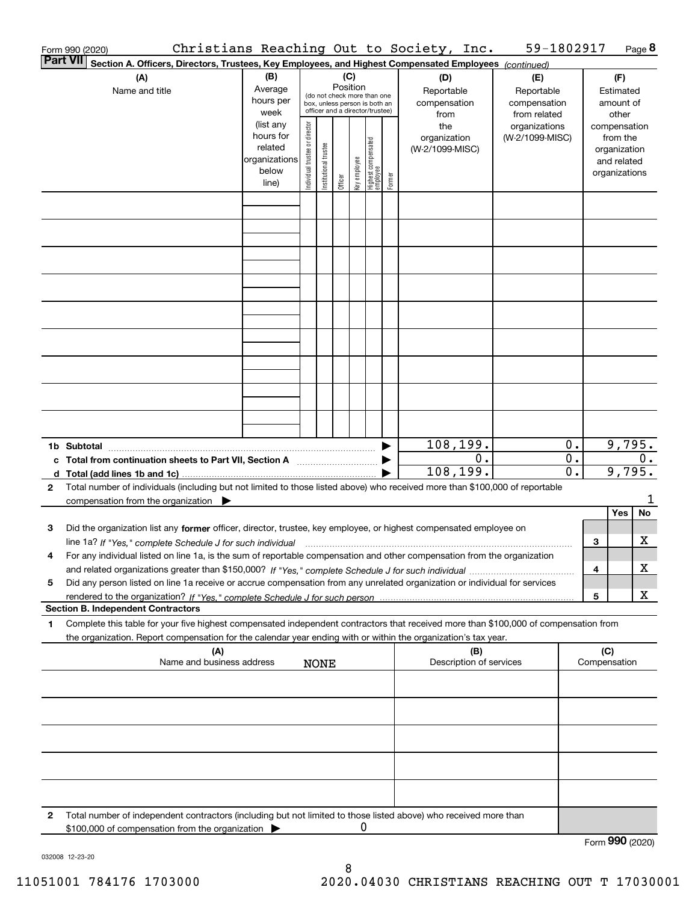|                 | Form 990 (2020)                                                                                                                                                                                                                                                                                                                           |                                                                      |                                |                       |         |              |                                   |        | Christians Reaching Out to Society, Inc.          | 59-1802917                       |             |                                        |                                         | Page 8  |
|-----------------|-------------------------------------------------------------------------------------------------------------------------------------------------------------------------------------------------------------------------------------------------------------------------------------------------------------------------------------------|----------------------------------------------------------------------|--------------------------------|-----------------------|---------|--------------|-----------------------------------|--------|---------------------------------------------------|----------------------------------|-------------|----------------------------------------|-----------------------------------------|---------|
| <b>Part VII</b> | Section A. Officers, Directors, Trustees, Key Employees, and Highest Compensated Employees (continued)<br>(B)<br>(C)<br>(A)<br>(D)<br>Position<br>Average<br>Reportable<br>Name and title<br>(do not check more than one<br>hours per<br>compensation<br>box, unless person is both an<br>officer and a director/trustee)<br>week<br>from |                                                                      |                                |                       |         |              |                                   |        | (E)<br>Reportable<br>compensation<br>from related |                                  |             | (F)<br>Estimated<br>amount of<br>other |                                         |         |
|                 |                                                                                                                                                                                                                                                                                                                                           | (list any<br>hours for<br>related<br>organizations<br>below<br>line) | Individual trustee or director | Institutional trustee | Officer | Key employee | Highest compensated<br>  employee | Former | the<br>organization<br>(W-2/1099-MISC)            | organizations<br>(W-2/1099-MISC) |             | compensation<br>organizations          | from the<br>organization<br>and related |         |
|                 |                                                                                                                                                                                                                                                                                                                                           |                                                                      |                                |                       |         |              |                                   |        |                                                   |                                  |             |                                        |                                         |         |
|                 |                                                                                                                                                                                                                                                                                                                                           |                                                                      |                                |                       |         |              |                                   |        |                                                   |                                  |             |                                        |                                         |         |
|                 |                                                                                                                                                                                                                                                                                                                                           |                                                                      |                                |                       |         |              |                                   |        |                                                   |                                  |             |                                        |                                         |         |
|                 |                                                                                                                                                                                                                                                                                                                                           |                                                                      |                                |                       |         |              |                                   |        |                                                   |                                  |             |                                        |                                         |         |
|                 |                                                                                                                                                                                                                                                                                                                                           |                                                                      |                                |                       |         |              |                                   |        |                                                   |                                  |             |                                        |                                         |         |
|                 | 1b Subtotal<br>c Total from continuation sheets to Part VII, Section A [111] [120] [20]                                                                                                                                                                                                                                                   |                                                                      |                                |                       |         |              |                                   |        | 108, 199.<br>0.                                   |                                  | 0.<br>$0$ . |                                        | 9,795.                                  | $0$ .   |
| $\mathbf{2}$    | Total number of individuals (including but not limited to those listed above) who received more than \$100,000 of reportable<br>compensation from the organization $\blacktriangleright$                                                                                                                                                  |                                                                      |                                |                       |         |              |                                   |        | 108, 199.                                         |                                  | 0.          |                                        | 9,795.<br><b>Yes</b>                    | 1<br>No |
| 3<br>4          | Did the organization list any former officer, director, trustee, key employee, or highest compensated employee on<br>For any individual listed on line 1a, is the sum of reportable compensation and other compensation from the organization                                                                                             |                                                                      |                                |                       |         |              |                                   |        |                                                   |                                  |             | 3                                      |                                         | x       |
| 5               | Did any person listed on line 1a receive or accrue compensation from any unrelated organization or individual for services                                                                                                                                                                                                                |                                                                      |                                |                       |         |              |                                   |        |                                                   |                                  |             | 4<br>5                                 |                                         | х<br>х  |
| 1               | <b>Section B. Independent Contractors</b><br>Complete this table for your five highest compensated independent contractors that received more than \$100,000 of compensation from<br>the organization. Report compensation for the calendar year ending with or within the organization's tax year.                                       |                                                                      |                                |                       |         |              |                                   |        |                                                   |                                  |             |                                        |                                         |         |
|                 | (A)<br>Name and business address                                                                                                                                                                                                                                                                                                          |                                                                      |                                | <b>NONE</b>           |         |              |                                   |        | (B)<br>Description of services                    |                                  |             | (C)<br>Compensation                    |                                         |         |
|                 |                                                                                                                                                                                                                                                                                                                                           |                                                                      |                                |                       |         |              |                                   |        |                                                   |                                  |             |                                        |                                         |         |
|                 |                                                                                                                                                                                                                                                                                                                                           |                                                                      |                                |                       |         |              |                                   |        |                                                   |                                  |             |                                        |                                         |         |
| 2               | Total number of independent contractors (including but not limited to those listed above) who received more than                                                                                                                                                                                                                          |                                                                      |                                |                       |         |              |                                   |        |                                                   |                                  |             |                                        |                                         |         |
|                 | \$100,000 of compensation from the organization                                                                                                                                                                                                                                                                                           |                                                                      |                                |                       |         | Ü            |                                   |        |                                                   |                                  |             | Form 990 (2020)                        |                                         |         |

032008 12-23-20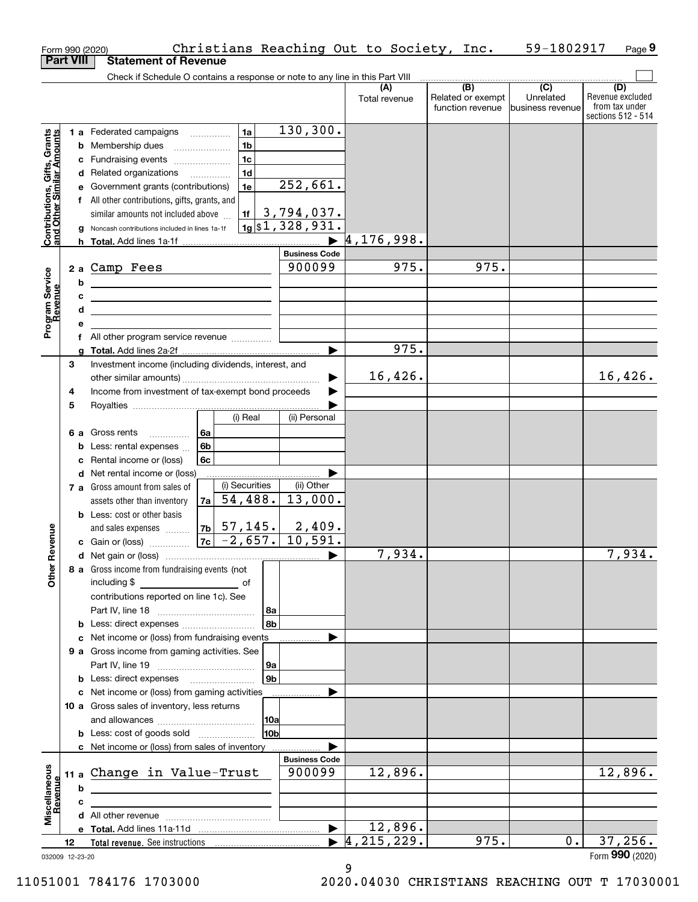| <b>Part VIII</b><br>Check if Schedule O contains a response or note to any line in this Part VIII<br>$\overline{(\mathsf{B})}$ $\overline{(\mathsf{C})}$<br>(D)<br>(A)<br>Related or exempt<br>Unrelated<br>Total revenue<br>function revenue<br>business revenue<br>130, 300.<br>1a<br>1 a Federated campaigns<br>Contributions, Gifts, Grants<br>and Other Similar Amounts<br>1 <sub>b</sub><br><b>b</b> Membership dues<br>$\overline{\phantom{a}}$<br>1c<br>c Fundraising events<br>1d<br>d Related organizations<br>252,661.<br>e Government grants (contributions)<br>1e<br>f All other contributions, gifts, grants, and<br>3,794,037.<br>similar amounts not included above<br>1f<br>1g \$1,328,931.<br>g Noncash contributions included in lines 1a-1f<br>4,176,998.<br><b>Business Code</b><br>975.<br>975.<br>900099<br>2 a Camp Fees<br>Program Service<br>Revenue<br>b<br><u> 1989 - Johann Stoff, Amerikaansk politiker (</u><br>с<br><u> 1989 - Andrea Stadt Britain, amerikansk politiker (</u><br>d<br><u> 1989 - Johann Stein, mars an de Brazilian (b. 1989)</u><br>е<br>f All other program service revenue<br>975.<br>a<br>З<br>Investment income (including dividends, interest, and<br>16,426.<br>Income from investment of tax-exempt bond proceeds<br>4<br>5<br>(i) Real<br>(ii) Personal<br><b>6 a</b> Gross rents<br>l 6a<br>6b<br><b>b</b> Less: rental expenses<br>c Rental income or (loss)<br>6с<br><b>d</b> Net rental income or (loss)<br>(i) Securities<br>(ii) Other<br>7 a Gross amount from sales of<br>54,488.<br>13,000.<br>7al<br>assets other than inventory<br><b>b</b> Less: cost or other basis<br>$ \mathbf{z_b} $ 57,145. 2,409.<br>evenue<br>and sales expenses<br>$-2,657.$ 10,591.<br> 7c <br>c Gain or (loss)<br>7,934.<br>7,934.<br>Other R<br>8 a Gross income from fundraising events (not<br>including \$<br>contributions reported on line 1c). See<br> 8a<br>8b<br>c Net income or (loss) from fundraising events<br>9 a Gross income from gaming activities. See<br> 9a<br>9 <sub>b</sub><br><b>b</b> Less: direct expenses <b>manually</b><br>c Net income or (loss) from gaming activities<br>10 a Gross sales of inventory, less returns<br> 10a<br>10 <sub>b</sub><br><b>b</b> Less: cost of goods sold<br>c Net income or (loss) from sales of inventory<br><b>Business Code</b><br>Miscellaneous<br>11 a Change in Value-Trust<br>900099<br>12,896.<br>Revenue<br>b<br><u> Alexandria de la contrada de la contrada de la contrada de la contrada de la contrada de la contrada de la c</u><br>c<br>12,896.<br>$\blacktriangleright$<br>4, 215, 229.<br>975.<br>$0$ .<br>▶<br>12<br>032009 12-23-20 |  |  | Christians Reaching Out to Society, Inc.<br>Form 990 (2020) |  | 59-1802917 | Page 9                                                   |
|--------------------------------------------------------------------------------------------------------------------------------------------------------------------------------------------------------------------------------------------------------------------------------------------------------------------------------------------------------------------------------------------------------------------------------------------------------------------------------------------------------------------------------------------------------------------------------------------------------------------------------------------------------------------------------------------------------------------------------------------------------------------------------------------------------------------------------------------------------------------------------------------------------------------------------------------------------------------------------------------------------------------------------------------------------------------------------------------------------------------------------------------------------------------------------------------------------------------------------------------------------------------------------------------------------------------------------------------------------------------------------------------------------------------------------------------------------------------------------------------------------------------------------------------------------------------------------------------------------------------------------------------------------------------------------------------------------------------------------------------------------------------------------------------------------------------------------------------------------------------------------------------------------------------------------------------------------------------------------------------------------------------------------------------------------------------------------------------------------------------------------------------------------------------------------------------------------------------------------------------------------------------------------------------------------------------------------------------------------------------------------------------------------------------------------------------------------------------------------------------------------------------------------------------------------------------------------------------------------------------------------------------------------------------|--|--|-------------------------------------------------------------|--|------------|----------------------------------------------------------|
|                                                                                                                                                                                                                                                                                                                                                                                                                                                                                                                                                                                                                                                                                                                                                                                                                                                                                                                                                                                                                                                                                                                                                                                                                                                                                                                                                                                                                                                                                                                                                                                                                                                                                                                                                                                                                                                                                                                                                                                                                                                                                                                                                                                                                                                                                                                                                                                                                                                                                                                                                                                                                                                                    |  |  | <b>Statement of Revenue</b>                                 |  |            |                                                          |
|                                                                                                                                                                                                                                                                                                                                                                                                                                                                                                                                                                                                                                                                                                                                                                                                                                                                                                                                                                                                                                                                                                                                                                                                                                                                                                                                                                                                                                                                                                                                                                                                                                                                                                                                                                                                                                                                                                                                                                                                                                                                                                                                                                                                                                                                                                                                                                                                                                                                                                                                                                                                                                                                    |  |  |                                                             |  |            |                                                          |
|                                                                                                                                                                                                                                                                                                                                                                                                                                                                                                                                                                                                                                                                                                                                                                                                                                                                                                                                                                                                                                                                                                                                                                                                                                                                                                                                                                                                                                                                                                                                                                                                                                                                                                                                                                                                                                                                                                                                                                                                                                                                                                                                                                                                                                                                                                                                                                                                                                                                                                                                                                                                                                                                    |  |  |                                                             |  |            | Revenue excluded<br>from tax under<br>sections 512 - 514 |
|                                                                                                                                                                                                                                                                                                                                                                                                                                                                                                                                                                                                                                                                                                                                                                                                                                                                                                                                                                                                                                                                                                                                                                                                                                                                                                                                                                                                                                                                                                                                                                                                                                                                                                                                                                                                                                                                                                                                                                                                                                                                                                                                                                                                                                                                                                                                                                                                                                                                                                                                                                                                                                                                    |  |  |                                                             |  |            |                                                          |
|                                                                                                                                                                                                                                                                                                                                                                                                                                                                                                                                                                                                                                                                                                                                                                                                                                                                                                                                                                                                                                                                                                                                                                                                                                                                                                                                                                                                                                                                                                                                                                                                                                                                                                                                                                                                                                                                                                                                                                                                                                                                                                                                                                                                                                                                                                                                                                                                                                                                                                                                                                                                                                                                    |  |  |                                                             |  |            |                                                          |
|                                                                                                                                                                                                                                                                                                                                                                                                                                                                                                                                                                                                                                                                                                                                                                                                                                                                                                                                                                                                                                                                                                                                                                                                                                                                                                                                                                                                                                                                                                                                                                                                                                                                                                                                                                                                                                                                                                                                                                                                                                                                                                                                                                                                                                                                                                                                                                                                                                                                                                                                                                                                                                                                    |  |  |                                                             |  |            |                                                          |
|                                                                                                                                                                                                                                                                                                                                                                                                                                                                                                                                                                                                                                                                                                                                                                                                                                                                                                                                                                                                                                                                                                                                                                                                                                                                                                                                                                                                                                                                                                                                                                                                                                                                                                                                                                                                                                                                                                                                                                                                                                                                                                                                                                                                                                                                                                                                                                                                                                                                                                                                                                                                                                                                    |  |  |                                                             |  |            | 16,426.                                                  |
|                                                                                                                                                                                                                                                                                                                                                                                                                                                                                                                                                                                                                                                                                                                                                                                                                                                                                                                                                                                                                                                                                                                                                                                                                                                                                                                                                                                                                                                                                                                                                                                                                                                                                                                                                                                                                                                                                                                                                                                                                                                                                                                                                                                                                                                                                                                                                                                                                                                                                                                                                                                                                                                                    |  |  |                                                             |  |            |                                                          |
|                                                                                                                                                                                                                                                                                                                                                                                                                                                                                                                                                                                                                                                                                                                                                                                                                                                                                                                                                                                                                                                                                                                                                                                                                                                                                                                                                                                                                                                                                                                                                                                                                                                                                                                                                                                                                                                                                                                                                                                                                                                                                                                                                                                                                                                                                                                                                                                                                                                                                                                                                                                                                                                                    |  |  |                                                             |  |            |                                                          |
|                                                                                                                                                                                                                                                                                                                                                                                                                                                                                                                                                                                                                                                                                                                                                                                                                                                                                                                                                                                                                                                                                                                                                                                                                                                                                                                                                                                                                                                                                                                                                                                                                                                                                                                                                                                                                                                                                                                                                                                                                                                                                                                                                                                                                                                                                                                                                                                                                                                                                                                                                                                                                                                                    |  |  |                                                             |  |            |                                                          |
|                                                                                                                                                                                                                                                                                                                                                                                                                                                                                                                                                                                                                                                                                                                                                                                                                                                                                                                                                                                                                                                                                                                                                                                                                                                                                                                                                                                                                                                                                                                                                                                                                                                                                                                                                                                                                                                                                                                                                                                                                                                                                                                                                                                                                                                                                                                                                                                                                                                                                                                                                                                                                                                                    |  |  |                                                             |  |            |                                                          |
|                                                                                                                                                                                                                                                                                                                                                                                                                                                                                                                                                                                                                                                                                                                                                                                                                                                                                                                                                                                                                                                                                                                                                                                                                                                                                                                                                                                                                                                                                                                                                                                                                                                                                                                                                                                                                                                                                                                                                                                                                                                                                                                                                                                                                                                                                                                                                                                                                                                                                                                                                                                                                                                                    |  |  |                                                             |  |            |                                                          |
|                                                                                                                                                                                                                                                                                                                                                                                                                                                                                                                                                                                                                                                                                                                                                                                                                                                                                                                                                                                                                                                                                                                                                                                                                                                                                                                                                                                                                                                                                                                                                                                                                                                                                                                                                                                                                                                                                                                                                                                                                                                                                                                                                                                                                                                                                                                                                                                                                                                                                                                                                                                                                                                                    |  |  |                                                             |  |            |                                                          |
|                                                                                                                                                                                                                                                                                                                                                                                                                                                                                                                                                                                                                                                                                                                                                                                                                                                                                                                                                                                                                                                                                                                                                                                                                                                                                                                                                                                                                                                                                                                                                                                                                                                                                                                                                                                                                                                                                                                                                                                                                                                                                                                                                                                                                                                                                                                                                                                                                                                                                                                                                                                                                                                                    |  |  |                                                             |  |            |                                                          |
|                                                                                                                                                                                                                                                                                                                                                                                                                                                                                                                                                                                                                                                                                                                                                                                                                                                                                                                                                                                                                                                                                                                                                                                                                                                                                                                                                                                                                                                                                                                                                                                                                                                                                                                                                                                                                                                                                                                                                                                                                                                                                                                                                                                                                                                                                                                                                                                                                                                                                                                                                                                                                                                                    |  |  |                                                             |  |            |                                                          |
|                                                                                                                                                                                                                                                                                                                                                                                                                                                                                                                                                                                                                                                                                                                                                                                                                                                                                                                                                                                                                                                                                                                                                                                                                                                                                                                                                                                                                                                                                                                                                                                                                                                                                                                                                                                                                                                                                                                                                                                                                                                                                                                                                                                                                                                                                                                                                                                                                                                                                                                                                                                                                                                                    |  |  |                                                             |  |            |                                                          |
|                                                                                                                                                                                                                                                                                                                                                                                                                                                                                                                                                                                                                                                                                                                                                                                                                                                                                                                                                                                                                                                                                                                                                                                                                                                                                                                                                                                                                                                                                                                                                                                                                                                                                                                                                                                                                                                                                                                                                                                                                                                                                                                                                                                                                                                                                                                                                                                                                                                                                                                                                                                                                                                                    |  |  |                                                             |  |            |                                                          |
|                                                                                                                                                                                                                                                                                                                                                                                                                                                                                                                                                                                                                                                                                                                                                                                                                                                                                                                                                                                                                                                                                                                                                                                                                                                                                                                                                                                                                                                                                                                                                                                                                                                                                                                                                                                                                                                                                                                                                                                                                                                                                                                                                                                                                                                                                                                                                                                                                                                                                                                                                                                                                                                                    |  |  |                                                             |  |            | 12,896.                                                  |
|                                                                                                                                                                                                                                                                                                                                                                                                                                                                                                                                                                                                                                                                                                                                                                                                                                                                                                                                                                                                                                                                                                                                                                                                                                                                                                                                                                                                                                                                                                                                                                                                                                                                                                                                                                                                                                                                                                                                                                                                                                                                                                                                                                                                                                                                                                                                                                                                                                                                                                                                                                                                                                                                    |  |  |                                                             |  |            |                                                          |
|                                                                                                                                                                                                                                                                                                                                                                                                                                                                                                                                                                                                                                                                                                                                                                                                                                                                                                                                                                                                                                                                                                                                                                                                                                                                                                                                                                                                                                                                                                                                                                                                                                                                                                                                                                                                                                                                                                                                                                                                                                                                                                                                                                                                                                                                                                                                                                                                                                                                                                                                                                                                                                                                    |  |  |                                                             |  |            |                                                          |
|                                                                                                                                                                                                                                                                                                                                                                                                                                                                                                                                                                                                                                                                                                                                                                                                                                                                                                                                                                                                                                                                                                                                                                                                                                                                                                                                                                                                                                                                                                                                                                                                                                                                                                                                                                                                                                                                                                                                                                                                                                                                                                                                                                                                                                                                                                                                                                                                                                                                                                                                                                                                                                                                    |  |  |                                                             |  |            | 37,256.                                                  |
|                                                                                                                                                                                                                                                                                                                                                                                                                                                                                                                                                                                                                                                                                                                                                                                                                                                                                                                                                                                                                                                                                                                                                                                                                                                                                                                                                                                                                                                                                                                                                                                                                                                                                                                                                                                                                                                                                                                                                                                                                                                                                                                                                                                                                                                                                                                                                                                                                                                                                                                                                                                                                                                                    |  |  |                                                             |  |            | Form 990 (2020)                                          |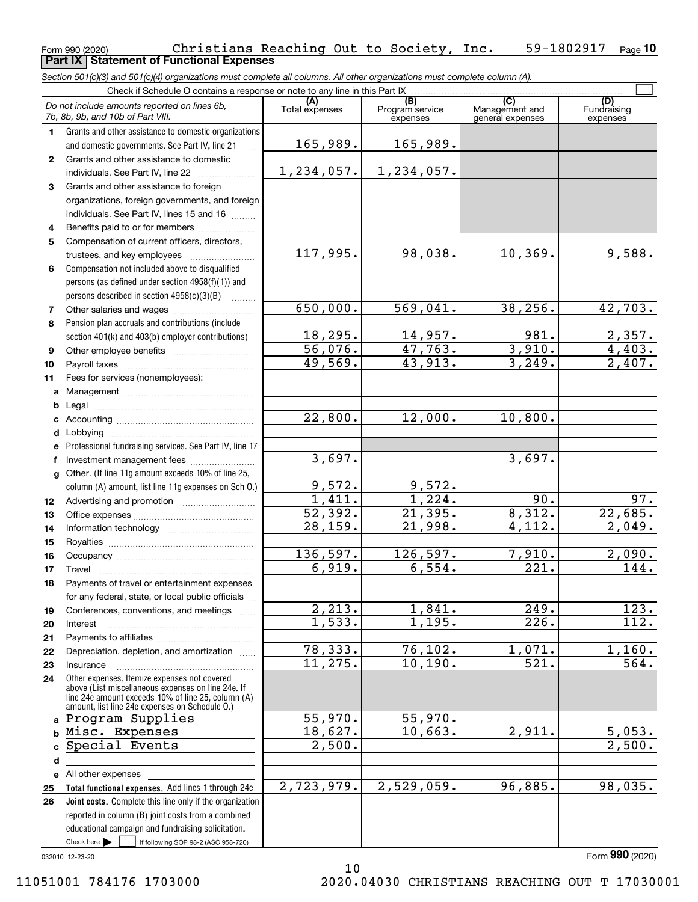## Form 990 (2020) Page **Part IX Statement of Functional Expenses** Christians Reaching Out to Society, Inc. 59-1802917 **10**

*Section 501(c)(3) and 501(c)(4) organizations must complete all columns. All other organizations must complete column (A).*

|              | Check if Schedule O contains a response or note to any line in this Part IX                                                                                                                                |                      |                                    |                                           |                                |
|--------------|------------------------------------------------------------------------------------------------------------------------------------------------------------------------------------------------------------|----------------------|------------------------------------|-------------------------------------------|--------------------------------|
|              | Do not include amounts reported on lines 6b,<br>7b, 8b, 9b, and 10b of Part VIII.                                                                                                                          | Total expenses       | (B)<br>Program service<br>expenses | (C)<br>Management and<br>general expenses | (D)<br>Fundraising<br>expenses |
| 1.           | Grants and other assistance to domestic organizations                                                                                                                                                      |                      |                                    |                                           |                                |
|              | and domestic governments. See Part IV, line 21                                                                                                                                                             | 165,989.             | 165,989.                           |                                           |                                |
| $\mathbf{2}$ | Grants and other assistance to domestic                                                                                                                                                                    |                      |                                    |                                           |                                |
|              | individuals. See Part IV, line 22                                                                                                                                                                          | 1,234,057.           | 1,234,057.                         |                                           |                                |
| 3            | Grants and other assistance to foreign                                                                                                                                                                     |                      |                                    |                                           |                                |
|              | organizations, foreign governments, and foreign                                                                                                                                                            |                      |                                    |                                           |                                |
|              | individuals. See Part IV, lines 15 and 16                                                                                                                                                                  |                      |                                    |                                           |                                |
| 4            | Benefits paid to or for members                                                                                                                                                                            |                      |                                    |                                           |                                |
| 5            | Compensation of current officers, directors,                                                                                                                                                               |                      |                                    |                                           |                                |
|              | trustees, and key employees                                                                                                                                                                                | 117,995.             | 98,038.                            | 10, 369.                                  | 9,588.                         |
| 6            | Compensation not included above to disqualified                                                                                                                                                            |                      |                                    |                                           |                                |
|              | persons (as defined under section 4958(f)(1)) and                                                                                                                                                          |                      |                                    |                                           |                                |
|              | persons described in section 4958(c)(3)(B)                                                                                                                                                                 |                      |                                    |                                           |                                |
| 7            |                                                                                                                                                                                                            | 650,000.             | 569,041.                           | 38, 256.                                  | 42,703.                        |
| 8            | Pension plan accruals and contributions (include                                                                                                                                                           |                      |                                    |                                           |                                |
|              | section 401(k) and 403(b) employer contributions)                                                                                                                                                          | 18,295.              | $\frac{14,957.}{47,763.}$          | 981.<br>3,910.                            | $\frac{2,357.}{4,403.}$        |
| 9            |                                                                                                                                                                                                            | 56,076.<br>49,569.   |                                    |                                           |                                |
| 10           |                                                                                                                                                                                                            |                      | 43,913.                            | 3,249.                                    | 2,407.                         |
| 11           | Fees for services (nonemployees):                                                                                                                                                                          |                      |                                    |                                           |                                |
| a            |                                                                                                                                                                                                            |                      |                                    |                                           |                                |
| b            |                                                                                                                                                                                                            | 22,800.              | 12,000.                            | 10,800.                                   |                                |
| c            |                                                                                                                                                                                                            |                      |                                    |                                           |                                |
| d            | Professional fundraising services. See Part IV, line 17                                                                                                                                                    |                      |                                    |                                           |                                |
| f            | Investment management fees                                                                                                                                                                                 | 3,697.               |                                    | 3,697.                                    |                                |
| a            | Other. (If line 11g amount exceeds 10% of line 25,                                                                                                                                                         |                      |                                    |                                           |                                |
|              | column (A) amount, list line 11g expenses on Sch O.)                                                                                                                                                       | 9,572.               | 9,572.                             |                                           |                                |
| 12           |                                                                                                                                                                                                            | 1,411.               | 1,224.                             | $\overline{90}$ .                         | 97.                            |
| 13           |                                                                                                                                                                                                            | $\overline{52,392.}$ | $\overline{21,395}$ .              | 8,312.                                    | 22,685.                        |
| 14           |                                                                                                                                                                                                            | 28,159.              | 21,998.                            | 4,112.                                    | 2,049.                         |
| 15           |                                                                                                                                                                                                            |                      |                                    |                                           |                                |
| 16           |                                                                                                                                                                                                            | 136,597.             | 126,597.                           | 7,910.                                    | 2,090.                         |
| 17           | Travel                                                                                                                                                                                                     | 6,919.               | 6,554.                             | 221.                                      | 144.                           |
| 18           | Payments of travel or entertainment expenses                                                                                                                                                               |                      |                                    |                                           |                                |
|              | for any federal, state, or local public officials                                                                                                                                                          |                      |                                    |                                           |                                |
| 19           | Conferences, conventions, and meetings                                                                                                                                                                     | 2,213.               | 1,841.                             | 249.                                      | 123.                           |
| 20           | Interest                                                                                                                                                                                                   | 1,533.               | 1,195.                             | 226.                                      | 112.                           |
| 21           |                                                                                                                                                                                                            |                      |                                    |                                           |                                |
| 22           | Depreciation, depletion, and amortization                                                                                                                                                                  | 78,333.              | 76, 102.                           | 1,071.                                    | 1,160.                         |
| 23           | Insurance                                                                                                                                                                                                  | 11,275.              | 10, 190.                           | 521.                                      | 564.                           |
| 24           | Other expenses. Itemize expenses not covered<br>above (List miscellaneous expenses on line 24e. If<br>line 24e amount exceeds 10% of line 25, column (A)<br>amount, list line 24e expenses on Schedule O.) |                      |                                    |                                           |                                |
| a            | Program Supplies                                                                                                                                                                                           | 55,970.              | 55,970.                            |                                           |                                |
|              | Misc. Expenses                                                                                                                                                                                             | 18,627.              | 10,663.                            | 2,911.                                    | 5,053.                         |
|              | Special Events                                                                                                                                                                                             | 2,500.               |                                    |                                           | 2,500.                         |
| d            |                                                                                                                                                                                                            |                      |                                    |                                           |                                |
|              | e All other expenses                                                                                                                                                                                       |                      |                                    |                                           |                                |
| 25           | Total functional expenses. Add lines 1 through 24e                                                                                                                                                         | 2,723,979.           | 2,529,059.                         | 96,885.                                   | 98,035.                        |
| 26           | Joint costs. Complete this line only if the organization                                                                                                                                                   |                      |                                    |                                           |                                |
|              | reported in column (B) joint costs from a combined                                                                                                                                                         |                      |                                    |                                           |                                |
|              | educational campaign and fundraising solicitation.                                                                                                                                                         |                      |                                    |                                           |                                |
|              | Check here $\blacktriangleright$<br>if following SOP 98-2 (ASC 958-720)                                                                                                                                    |                      |                                    |                                           |                                |

10

032010 12-23-20

Form (2020) **990**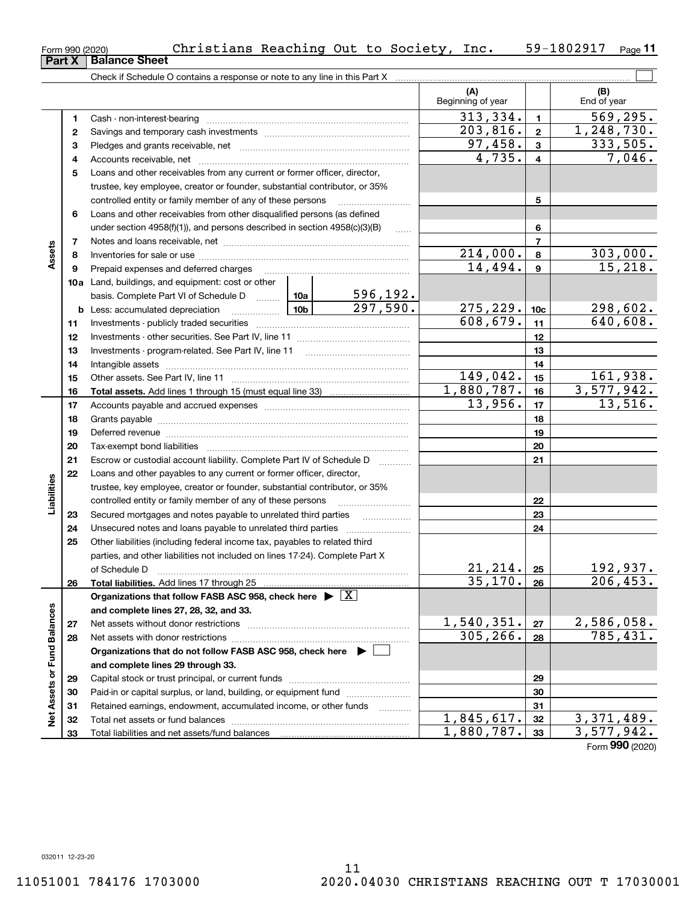**and complete lines 27, 28, 32, and 33.**

**and complete lines 29 through 33.**

Total liabilities and net assets/fund balances

**Organizations that do not follow FASB ASC 958, check here** |

Net assets without donor restrictions <sub>…………………………………………………</sub>…… Net assets with donor restrictions ~~~~~~~~~~~~~~~~~~~~~~

Capital stock or trust principal, or current funds ~~~~~~~~~~~~~~~Paid-in or capital surplus, or land, building, or equipment fund www.commun.com Retained earnings, endowment, accumulated income, or other funds Total net assets or fund balances ~~~~~~~~~~~~~~~~~~~~~~

**45678910a**Land, buildings, and equipment: cost or other **1112131415161718192021222324252645678910c11121314151617181920212223242526b** Less: accumulated depreciation  $\ldots$  **10b** basis. Complete Part VI of Schedule D www.ptimes. **Total assets. Total liabilities. Organizations that follow FASB ASC 958, check here** Add lines 17 through 25 | X Accounts receivable, net ~~~~~~~~~~~~~~~~~~~~~~~~~~ Loans and other receivables from any current or former officer, director, trustee, key employee, creator or founder, substantial contributor, or 35% controlled entity or family member of any of these persons ............................ Loans and other receivables from other disqualified persons (as defined under section  $4958(f)(1)$ , and persons described in section  $4958(c)(3)(B)$ Notes and loans receivable, net ~~~~~~~~~~~~~~~~~~~~~~~Inventories for sale or use ~~~~~~~~~~~~~~~~~~~~~~~~~~Prepaid expenses and deferred charges ~~~~~~~~~~~~~~~~~~ Investments - publicly traded securities ~~~~~~~~~~~~~~~~~~~ Investments - other securities. See Part IV, line 11 ~~~~~~~~~~~~~~ Investments - program-related. See Part IV, line 11 ~~~~~~~~~~~~~Intangible assets ~~~~~~~~~~~~~~~~~~~~~~~~~~~~~~ Other assets. See Part IV, line 11 ~~~~~~~~~~~~~~~~~~~~~~ Add lines 1 through 15 (must equal line 33) Accounts payable and accrued expenses ~~~~~~~~~~~~~~~~~~ Grants payable ~~~~~~~~~~~~~~~~~~~~~~~~~~~~~~~ Deferred revenue ~~~~~~~~~~~~~~~~~~~~~~~~~~~~~~ Tax-exempt bond liabilities …………………………………………………………… Escrow or custodial account liability. Complete Part IV of Schedule D Loans and other payables to any current or former officer, director, trustee, key employee, creator or founder, substantial contributor, or 35% controlled entity or family member of any of these persons ~~~~~~~~~Secured mortgages and notes payable to unrelated third parties Unsecured notes and loans payable to unrelated third parties Other liabilities (including federal income tax, payables to related third parties, and other liabilities not included on lines 17-24). Complete Part X of Schedule D ~~~~~~~~~~~~~~~~~~~~~~~~~~~~~~~ 4,735. 7,046.  $214,000$ .  $|8|$  303,000. 14,494. 15,218.  $608,679.$  11 640,608. 596,192.  $297,590.$  275, 229.  $10c$  298, 602. 149,042. 15 161,938.  $\begin{array}{|c|c|c|c|c|c|}\n\hline\n1,880,787. & \textbf{16} & \textbf{3},577,942. \\
\hline\n13,956. & \textbf{17} & \textbf{13},516. \\
\hline\n\end{array}$ 13,516.  $21,214. |25|$  192,937.  $35, 170. |26| 206, 453.$ 

**3** Pledges and grants receivable, net  $\ldots$  **multimes contained and grants receivable**, net **multimes contained and grants receivable**, net **multimes contained and grants receivable** 

Cash - non-interest-bearing ~~~~~~~~~~~~~~~~~~~~~~~~~ Savings and temporary cash investments ~~~~~~~~~~~~~~~~~~

Check if Schedule O contains a response or note to any line in this Part X

Form 990 (2020) Christians Reaching Out to Society, Inc. 59-1802917  $\,$  Page **11Part X** Balance Sheet

**(A)**

**(B)**

**123**

 $313,334.$   $1 \mid 569,295.$ 

 $203,816. |2 | 1,248,730.$ 

 $97,458.$  3 333,505.

Beginning of year  $\begin{vmatrix} 1 & 1 \\ 1 & 1 \end{vmatrix}$  End of year

Form (2020) **990**

1,880,787. 3,577,942.

**2728**

 $305,266.$ 

 $\begin{array}{|c|c|c|c|c|c|}\n\hline\n1,540,351. & \text{27} & \text{2},586,058. \\
\hline\n305,266. & \text{28} & 785,431. \\
\hline\n\end{array}$ 

1,845,617. 32 3,371,489.<br>1,880,787. 33 3,577,942.

032011 12-23-20

**2728**

**Liabilities**

iabilities

**Net Assets or Fund Balances**

ğ

Assets or Fund Balances

**12**

**Assets**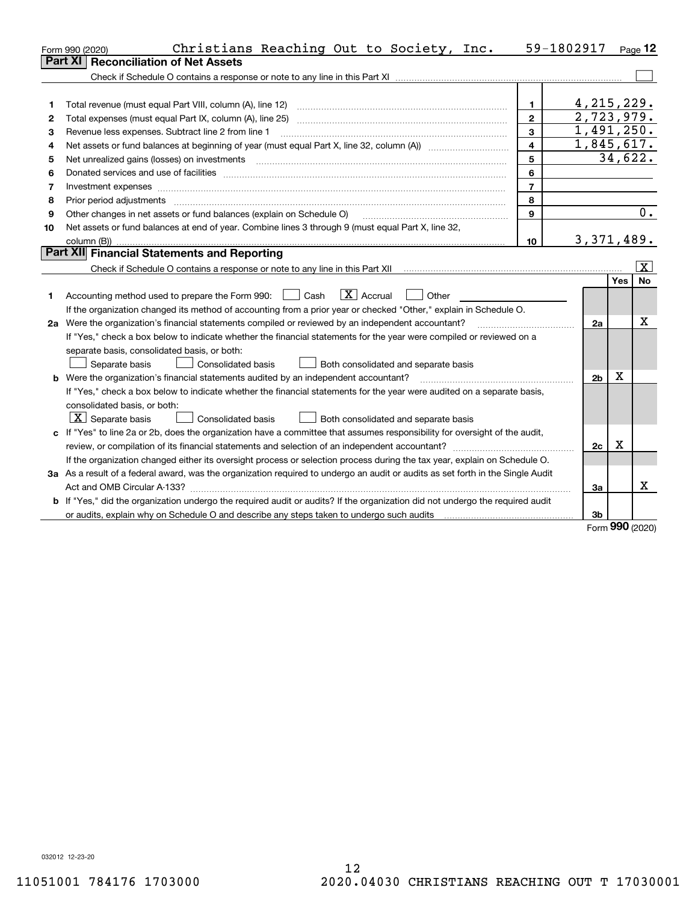|    | Christians Reaching Out to Society, Inc.<br>Form 990 (2020)                                                                     |                         | 59-1802917                 |            | $Page$ 12        |
|----|---------------------------------------------------------------------------------------------------------------------------------|-------------------------|----------------------------|------------|------------------|
|    | <b>Reconciliation of Net Assets</b><br>Part XI                                                                                  |                         |                            |            |                  |
|    |                                                                                                                                 |                         |                            |            |                  |
|    |                                                                                                                                 |                         |                            |            |                  |
| 1  | Total revenue (must equal Part VIII, column (A), line 12)                                                                       | 1.                      | 4, 215, 229.               |            |                  |
| 2  | Total expenses (must equal Part IX, column (A), line 25)                                                                        | $\overline{2}$          | $\overline{2}$ , 723, 979. |            |                  |
| 3  | Revenue less expenses. Subtract line 2 from line 1                                                                              | 3                       | 1,491,250.                 |            |                  |
| 4  |                                                                                                                                 | $\overline{\mathbf{4}}$ | 1,845,617.                 |            |                  |
| 5  | Net unrealized gains (losses) on investments                                                                                    | 5                       |                            | 34,622.    |                  |
| 6  |                                                                                                                                 | 6                       |                            |            |                  |
| 7  | Investment expenses                                                                                                             | $\overline{7}$          |                            |            |                  |
| 8  | Prior period adjustments                                                                                                        | 8                       |                            |            |                  |
| 9  | Other changes in net assets or fund balances (explain on Schedule O)                                                            | 9                       |                            |            | $\overline{0}$ . |
| 10 | Net assets or fund balances at end of year. Combine lines 3 through 9 (must equal Part X, line 32,                              |                         |                            |            |                  |
|    |                                                                                                                                 | 10 <sup>10</sup>        | 3,371,489.                 |            |                  |
|    | Part XII Financial Statements and Reporting                                                                                     |                         |                            |            |                  |
|    |                                                                                                                                 |                         |                            |            | x                |
|    |                                                                                                                                 |                         |                            | <b>Yes</b> | No               |
| 1  | $ X $ Accrual<br>Accounting method used to prepare the Form 990: <u>I</u> Cash<br>Other                                         |                         |                            |            |                  |
|    | If the organization changed its method of accounting from a prior year or checked "Other," explain in Schedule O.               |                         |                            |            |                  |
|    | 2a Were the organization's financial statements compiled or reviewed by an independent accountant?                              |                         | 2a                         |            | X                |
|    | If "Yes," check a box below to indicate whether the financial statements for the year were compiled or reviewed on a            |                         |                            |            |                  |
|    | separate basis, consolidated basis, or both:                                                                                    |                         |                            |            |                  |
|    | Separate basis<br>Consolidated basis<br>Both consolidated and separate basis                                                    |                         |                            |            |                  |
|    | <b>b</b> Were the organization's financial statements audited by an independent accountant?                                     |                         | 2 <sub>b</sub>             | X          |                  |
|    | If "Yes," check a box below to indicate whether the financial statements for the year were audited on a separate basis,         |                         |                            |            |                  |
|    | consolidated basis, or both:                                                                                                    |                         |                            |            |                  |
|    | $ \mathbf{X} $ Separate basis<br><b>Consolidated basis</b><br>Both consolidated and separate basis                              |                         |                            |            |                  |
|    | c If "Yes" to line 2a or 2b, does the organization have a committee that assumes responsibility for oversight of the audit,     |                         |                            |            |                  |
|    | review, or compilation of its financial statements and selection of an independent accountant? [[[[[[[[[[[[[[                   |                         | 2c                         | Χ          |                  |
|    | If the organization changed either its oversight process or selection process during the tax year, explain on Schedule O.       |                         |                            |            |                  |
|    | 3a As a result of a federal award, was the organization required to undergo an audit or audits as set forth in the Single Audit |                         |                            |            |                  |
|    |                                                                                                                                 |                         | За                         |            | x                |
|    | b If "Yes," did the organization undergo the required audit or audits? If the organization did not undergo the required audit   |                         |                            |            |                  |
|    | or audits, explain why on Schedule O and describe any steps taken to undergo such audits                                        |                         | 3b                         | nnn        |                  |

Form (2020) **990**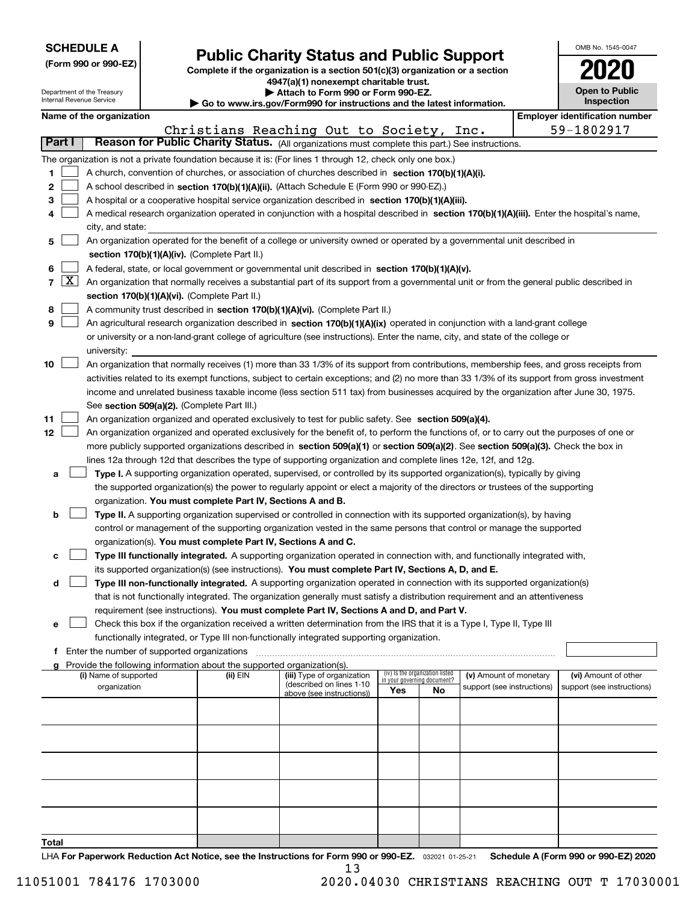Department of the Treasury Internal Revenue Service

|  |  | (Form 990 or 990-EZ) |
|--|--|----------------------|
|  |  |                      |

## **Public Charity Status and Public Support**

**Complete if the organization is a section 501(c)(3) organization or a section 4947(a)(1) nonexempt charitable trust. | Attach to Form 990 or Form 990-EZ.** 

| Go to www.irs.gov/Form990 for instructions and the latest information. |  |  |
|------------------------------------------------------------------------|--|--|

| OMB No. 1545-0047                   |
|-------------------------------------|
| 2020                                |
| <b>Open to Public</b><br>Inspection |

| Name of the organization |  |
|--------------------------|--|
|--------------------------|--|

|               |                     | Name of the organization                                                                                                                                       | <b>Employer identification number</b> |  |  |  |  |  |
|---------------|---------------------|----------------------------------------------------------------------------------------------------------------------------------------------------------------|---------------------------------------|--|--|--|--|--|
|               |                     | Christians Reaching Out to Society, Inc.                                                                                                                       | 59-1802917                            |  |  |  |  |  |
| <b>Part I</b> |                     | Reason for Public Charity Status. (All organizations must complete this part.) See instructions.                                                               |                                       |  |  |  |  |  |
|               |                     | The organization is not a private foundation because it is: (For lines 1 through 12, check only one box.)                                                      |                                       |  |  |  |  |  |
| 1             |                     | A church, convention of churches, or association of churches described in section 170(b)(1)(A)(i).                                                             |                                       |  |  |  |  |  |
| 2             |                     | A school described in section 170(b)(1)(A)(ii). (Attach Schedule E (Form 990 or 990-EZ).)                                                                      |                                       |  |  |  |  |  |
| з             |                     | A hospital or a cooperative hospital service organization described in section 170(b)(1)(A)(iii).                                                              |                                       |  |  |  |  |  |
| 4             |                     | A medical research organization operated in conjunction with a hospital described in section 170(b)(1)(A)(iii). Enter the hospital's name,<br>city, and state: |                                       |  |  |  |  |  |
| 5             |                     | An organization operated for the benefit of a college or university owned or operated by a governmental unit described in                                      |                                       |  |  |  |  |  |
|               |                     | section 170(b)(1)(A)(iv). (Complete Part II.)                                                                                                                  |                                       |  |  |  |  |  |
| 6             |                     | A federal, state, or local government or governmental unit described in section 170(b)(1)(A)(v).                                                               |                                       |  |  |  |  |  |
| 7             | $\lfloor x \rfloor$ | An organization that normally receives a substantial part of its support from a governmental unit or from the general public described in                      |                                       |  |  |  |  |  |
|               |                     | section 170(b)(1)(A)(vi). (Complete Part II.)                                                                                                                  |                                       |  |  |  |  |  |
| 8             |                     | A community trust described in section 170(b)(1)(A)(vi). (Complete Part II.)                                                                                   |                                       |  |  |  |  |  |
| 9             |                     | An agricultural research organization described in section 170(b)(1)(A)(ix) operated in conjunction with a land-grant college                                  |                                       |  |  |  |  |  |
|               |                     | or university or a non-land-grant college of agriculture (see instructions). Enter the name, city, and state of the college or                                 |                                       |  |  |  |  |  |
|               |                     | university:                                                                                                                                                    |                                       |  |  |  |  |  |
| 10            |                     | An organization that normally receives (1) more than 33 1/3% of its support from contributions, membership fees, and gross receipts from                       |                                       |  |  |  |  |  |
|               |                     | activities related to its exempt functions, subject to certain exceptions; and (2) no more than 33 1/3% of its support from gross investment                   |                                       |  |  |  |  |  |
|               |                     | income and unrelated business taxable income (less section 511 tax) from businesses acquired by the organization after June 30, 1975.                          |                                       |  |  |  |  |  |
|               |                     | See section 509(a)(2). (Complete Part III.)                                                                                                                    |                                       |  |  |  |  |  |
| 11            |                     | An organization organized and operated exclusively to test for public safety. See section 509(a)(4).                                                           |                                       |  |  |  |  |  |
| 12            |                     | An organization organized and operated exclusively for the benefit of, to perform the functions of, or to carry out the purposes of one or                     |                                       |  |  |  |  |  |
|               |                     | more publicly supported organizations described in section 509(a)(1) or section 509(a)(2). See section 509(a)(3). Check the box in                             |                                       |  |  |  |  |  |
|               |                     | lines 12a through 12d that describes the type of supporting organization and complete lines 12e, 12f, and 12g.                                                 |                                       |  |  |  |  |  |
| a             |                     | Type I. A supporting organization operated, supervised, or controlled by its supported organization(s), typically by giving                                    |                                       |  |  |  |  |  |
|               |                     | the supported organization(s) the power to regularly appoint or elect a majority of the directors or trustees of the supporting                                |                                       |  |  |  |  |  |
|               |                     | organization. You must complete Part IV, Sections A and B.                                                                                                     |                                       |  |  |  |  |  |
| b             |                     | Type II. A supporting organization supervised or controlled in connection with its supported organization(s), by having                                        |                                       |  |  |  |  |  |
|               |                     | control or management of the supporting organization vested in the same persons that control or manage the supported                                           |                                       |  |  |  |  |  |
|               |                     | organization(s). You must complete Part IV, Sections A and C.                                                                                                  |                                       |  |  |  |  |  |
| c             |                     | Type III functionally integrated. A supporting organization operated in connection with, and functionally integrated with,                                     |                                       |  |  |  |  |  |
|               |                     | its supported organization(s) (see instructions). You must complete Part IV, Sections A, D, and E.                                                             |                                       |  |  |  |  |  |
| d             |                     | Type III non-functionally integrated. A supporting organization operated in connection with its supported organization(s)                                      |                                       |  |  |  |  |  |
|               |                     | that is not functionally integrated. The organization generally must satisfy a distribution requirement and an attentiveness                                   |                                       |  |  |  |  |  |

requirement (see instructions). **You must complete Part IV, Sections A and D, and Part V.** 

**e**Check this box if the organization received a written determination from the IRS that it is a Type I, Type II, Type III functionally integrated, or Type III non-functionally integrated supporting organization.  $\mathcal{L}^{\text{max}}$ 

**f**Enter the number of supported organizations ~~~~~~~~~~~~~~~~~~~~~~~~~~~~~~~~~~~~~

|                       | Provide the following information about the supported organization(s). |                                                       |                                                                |     |                            |                            |  |  |  |  |
|-----------------------|------------------------------------------------------------------------|-------------------------------------------------------|----------------------------------------------------------------|-----|----------------------------|----------------------------|--|--|--|--|
| (i) Name of supported | (ii) EIN                                                               | (iii) Type of organization                            | (iv) Is the organization listed<br>in your governing document? |     | (v) Amount of monetary     | (vi) Amount of other       |  |  |  |  |
| organization          |                                                                        | (described on lines 1-10<br>above (see instructions)) | Yes                                                            | No. | support (see instructions) | support (see instructions) |  |  |  |  |
|                       |                                                                        |                                                       |                                                                |     |                            |                            |  |  |  |  |
|                       |                                                                        |                                                       |                                                                |     |                            |                            |  |  |  |  |
|                       |                                                                        |                                                       |                                                                |     |                            |                            |  |  |  |  |
|                       |                                                                        |                                                       |                                                                |     |                            |                            |  |  |  |  |
|                       |                                                                        |                                                       |                                                                |     |                            |                            |  |  |  |  |
|                       |                                                                        |                                                       |                                                                |     |                            |                            |  |  |  |  |
|                       |                                                                        |                                                       |                                                                |     |                            |                            |  |  |  |  |
|                       |                                                                        |                                                       |                                                                |     |                            |                            |  |  |  |  |
|                       |                                                                        |                                                       |                                                                |     |                            |                            |  |  |  |  |
|                       |                                                                        |                                                       |                                                                |     |                            |                            |  |  |  |  |
| Total                 |                                                                        |                                                       |                                                                |     |                            |                            |  |  |  |  |

LHA For Paperwork Reduction Act Notice, see the Instructions for Form 990 or 990-EZ. <sub>032021</sub> o1-25-21 Schedule A (Form 990 or 990-EZ) 2020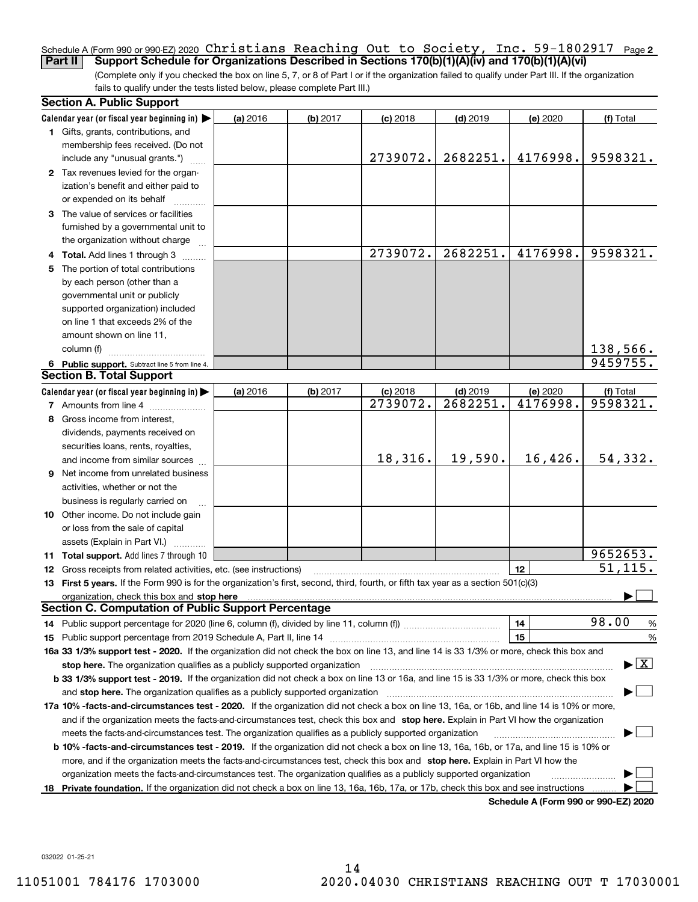### <u>Schedule A (Form 990 or 990-EZ) 2020</u> Christians Reaching Out to Society, Inc. 59-1802917 <sub>Page</sub> 2 Christians Reaching Out to Society, Inc. 59-1802917

(Complete only if you checked the box on line 5, 7, or 8 of Part I or if the organization failed to qualify under Part III. If the organization fails to qualify under the tests listed below, please complete Part III.) **Part II Support Schedule for Organizations Described in Sections 170(b)(1)(A)(iv) and 170(b)(1)(A)(vi)**

| <b>Section A. Public Support</b>                                                                                                               |          |          |            |            |                                      |                                          |
|------------------------------------------------------------------------------------------------------------------------------------------------|----------|----------|------------|------------|--------------------------------------|------------------------------------------|
| Calendar year (or fiscal year beginning in) $\blacktriangleright$                                                                              | (a) 2016 | (b) 2017 | $(c)$ 2018 | $(d)$ 2019 | (e) 2020                             | (f) Total                                |
| 1 Gifts, grants, contributions, and                                                                                                            |          |          |            |            |                                      |                                          |
| membership fees received. (Do not                                                                                                              |          |          |            |            |                                      |                                          |
| include any "unusual grants.")                                                                                                                 |          |          | 2739072.   | 2682251.   | 4176998.                             | 9598321.                                 |
| 2 Tax revenues levied for the organ-                                                                                                           |          |          |            |            |                                      |                                          |
| ization's benefit and either paid to                                                                                                           |          |          |            |            |                                      |                                          |
| or expended on its behalf                                                                                                                      |          |          |            |            |                                      |                                          |
| 3 The value of services or facilities                                                                                                          |          |          |            |            |                                      |                                          |
| furnished by a governmental unit to                                                                                                            |          |          |            |            |                                      |                                          |
| the organization without charge                                                                                                                |          |          |            |            |                                      |                                          |
| 4 Total. Add lines 1 through 3                                                                                                                 |          |          | 2739072.   | 2682251.   | 4176998.                             | 9598321.                                 |
| 5 The portion of total contributions                                                                                                           |          |          |            |            |                                      |                                          |
| by each person (other than a                                                                                                                   |          |          |            |            |                                      |                                          |
| governmental unit or publicly                                                                                                                  |          |          |            |            |                                      |                                          |
| supported organization) included                                                                                                               |          |          |            |            |                                      |                                          |
| on line 1 that exceeds 2% of the                                                                                                               |          |          |            |            |                                      |                                          |
| amount shown on line 11,                                                                                                                       |          |          |            |            |                                      |                                          |
| column (f)                                                                                                                                     |          |          |            |            |                                      | 138,566.                                 |
| 6 Public support. Subtract line 5 from line 4.                                                                                                 |          |          |            |            |                                      | 9459755.                                 |
| <b>Section B. Total Support</b>                                                                                                                |          |          |            |            |                                      |                                          |
| Calendar year (or fiscal year beginning in)                                                                                                    | (a) 2016 | (b) 2017 | $(c)$ 2018 | $(d)$ 2019 | (e) 2020                             | (f) Total                                |
| 7 Amounts from line 4                                                                                                                          |          |          | 2739072.   | 2682251.   | 4176998.                             | 9598321.                                 |
| 8 Gross income from interest,                                                                                                                  |          |          |            |            |                                      |                                          |
| dividends, payments received on                                                                                                                |          |          |            |            |                                      |                                          |
|                                                                                                                                                |          |          |            |            |                                      |                                          |
| securities loans, rents, royalties,                                                                                                            |          |          | 18,316.    | 19,590.    | 16,426.                              | 54,332.                                  |
| and income from similar sources                                                                                                                |          |          |            |            |                                      |                                          |
| 9 Net income from unrelated business                                                                                                           |          |          |            |            |                                      |                                          |
| activities, whether or not the                                                                                                                 |          |          |            |            |                                      |                                          |
| business is regularly carried on                                                                                                               |          |          |            |            |                                      |                                          |
| 10 Other income. Do not include gain                                                                                                           |          |          |            |            |                                      |                                          |
| or loss from the sale of capital                                                                                                               |          |          |            |            |                                      |                                          |
| assets (Explain in Part VI.) <b>Constant</b>                                                                                                   |          |          |            |            |                                      |                                          |
| 11 Total support. Add lines 7 through 10                                                                                                       |          |          |            |            |                                      | 9652653.                                 |
| <b>12</b> Gross receipts from related activities, etc. (see instructions)                                                                      |          |          |            |            | 12                                   | 51, 115.                                 |
| 13 First 5 years. If the Form 990 is for the organization's first, second, third, fourth, or fifth tax year as a section 501(c)(3)             |          |          |            |            |                                      |                                          |
| organization, check this box and stop here manufactured and content to the state of the state of the state of                                  |          |          |            |            |                                      |                                          |
| <b>Section C. Computation of Public Support Percentage</b>                                                                                     |          |          |            |            |                                      |                                          |
|                                                                                                                                                |          |          |            |            | 14                                   | 98.00<br>%                               |
|                                                                                                                                                |          |          |            |            | 15                                   | %                                        |
| 16a 33 1/3% support test - 2020. If the organization did not check the box on line 13, and line 14 is 33 1/3% or more, check this box and      |          |          |            |            |                                      |                                          |
| stop here. The organization qualifies as a publicly supported organization                                                                     |          |          |            |            |                                      | $\blacktriangleright$ $\boxed{\text{X}}$ |
| b 33 1/3% support test - 2019. If the organization did not check a box on line 13 or 16a, and line 15 is 33 1/3% or more, check this box       |          |          |            |            |                                      |                                          |
| and stop here. The organization qualifies as a publicly supported organization                                                                 |          |          |            |            |                                      |                                          |
| 17a 10% -facts-and-circumstances test - 2020. If the organization did not check a box on line 13, 16a, or 16b, and line 14 is 10% or more,     |          |          |            |            |                                      |                                          |
| and if the organization meets the facts-and-circumstances test, check this box and stop here. Explain in Part VI how the organization          |          |          |            |            |                                      |                                          |
| meets the facts-and-circumstances test. The organization qualifies as a publicly supported organization                                        |          |          |            |            |                                      |                                          |
| <b>b 10% -facts-and-circumstances test - 2019.</b> If the organization did not check a box on line 13, 16a, 16b, or 17a, and line 15 is 10% or |          |          |            |            |                                      |                                          |
| more, and if the organization meets the facts-and-circumstances test, check this box and stop here. Explain in Part VI how the                 |          |          |            |            |                                      |                                          |
| organization meets the facts-and-circumstances test. The organization qualifies as a publicly supported organization                           |          |          |            |            |                                      |                                          |
| 18 Private foundation. If the organization did not check a box on line 13, 16a, 16b, 17a, or 17b, check this box and see instructions          |          |          |            |            |                                      |                                          |
|                                                                                                                                                |          |          |            |            | Schedule A (Form 990 or 990-F7) 2020 |                                          |

**Schedule A (Form 990 or 990-EZ) 2020**

032022 01-25-21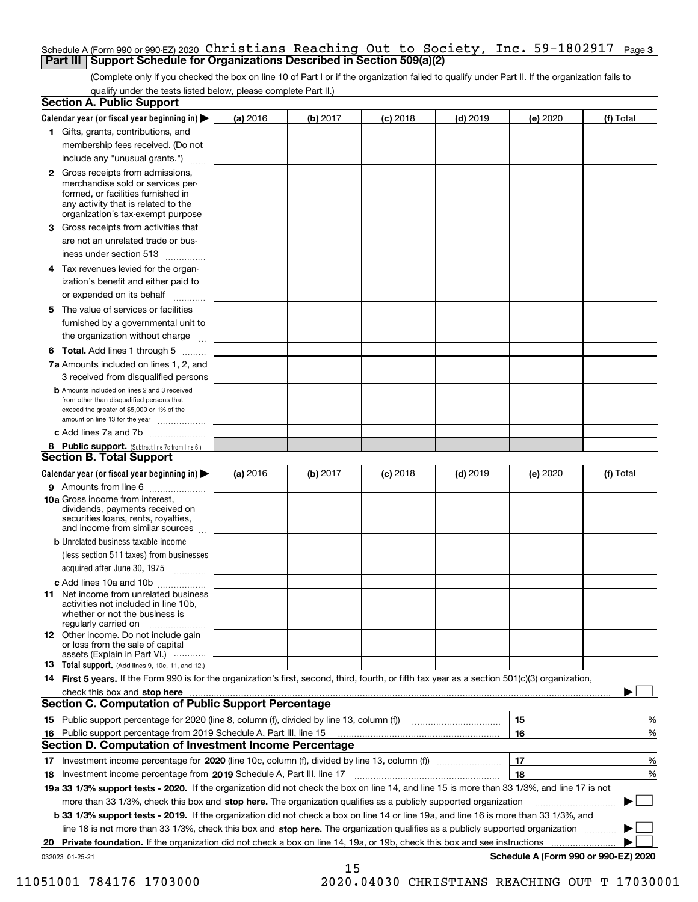## Schedule A (Form 990 or 990-EZ) 2020 Christians Reaching Out to Society, Inc. 59-1802917 <sub>Page 3</sub><br>L**Part III Support Schedule for Organizations Described in Section 509(a)(2) Part III** | Support Schedule for Organizations Described in Section 509(a)(2)

(Complete only if you checked the box on line 10 of Part I or if the organization failed to qualify under Part II. If the organization fails to qualify under the tests listed below, please complete Part II.)

|    | <b>Section A. Public Support</b>                                                                                                                                                                                               |          |          |            |            |          |                                      |
|----|--------------------------------------------------------------------------------------------------------------------------------------------------------------------------------------------------------------------------------|----------|----------|------------|------------|----------|--------------------------------------|
|    | Calendar year (or fiscal year beginning in) $\blacktriangleright$                                                                                                                                                              | (a) 2016 | (b) 2017 | $(c)$ 2018 | $(d)$ 2019 | (e) 2020 | (f) Total                            |
|    | 1 Gifts, grants, contributions, and                                                                                                                                                                                            |          |          |            |            |          |                                      |
|    | membership fees received. (Do not                                                                                                                                                                                              |          |          |            |            |          |                                      |
|    | include any "unusual grants.")                                                                                                                                                                                                 |          |          |            |            |          |                                      |
|    | 2 Gross receipts from admissions,<br>merchandise sold or services per-<br>formed, or facilities furnished in<br>any activity that is related to the<br>organization's tax-exempt purpose                                       |          |          |            |            |          |                                      |
|    | 3 Gross receipts from activities that<br>are not an unrelated trade or bus-                                                                                                                                                    |          |          |            |            |          |                                      |
|    | iness under section 513                                                                                                                                                                                                        |          |          |            |            |          |                                      |
|    | 4 Tax revenues levied for the organ-<br>ization's benefit and either paid to                                                                                                                                                   |          |          |            |            |          |                                      |
|    | or expended on its behalf<br>.                                                                                                                                                                                                 |          |          |            |            |          |                                      |
|    | 5 The value of services or facilities<br>furnished by a governmental unit to<br>the organization without charge                                                                                                                |          |          |            |            |          |                                      |
|    | <b>6 Total.</b> Add lines 1 through 5                                                                                                                                                                                          |          |          |            |            |          |                                      |
|    | 7a Amounts included on lines 1, 2, and<br>3 received from disqualified persons                                                                                                                                                 |          |          |            |            |          |                                      |
|    | <b>b</b> Amounts included on lines 2 and 3 received<br>from other than disqualified persons that<br>exceed the greater of \$5,000 or 1% of the<br>amount on line 13 for the year                                               |          |          |            |            |          |                                      |
|    | c Add lines 7a and 7b                                                                                                                                                                                                          |          |          |            |            |          |                                      |
|    | 8 Public support. (Subtract line 7c from line 6.)                                                                                                                                                                              |          |          |            |            |          |                                      |
|    | <b>Section B. Total Support</b>                                                                                                                                                                                                |          |          |            |            |          |                                      |
|    | Calendar year (or fiscal year beginning in) $\blacktriangleright$                                                                                                                                                              | (a) 2016 | (b) 2017 | $(c)$ 2018 | $(d)$ 2019 | (e) 2020 | (f) Total                            |
|    | 9 Amounts from line 6                                                                                                                                                                                                          |          |          |            |            |          |                                      |
|    | 10a Gross income from interest,<br>dividends, payments received on<br>securities loans, rents, royalties,<br>and income from similar sources                                                                                   |          |          |            |            |          |                                      |
|    | <b>b</b> Unrelated business taxable income                                                                                                                                                                                     |          |          |            |            |          |                                      |
|    | (less section 511 taxes) from businesses                                                                                                                                                                                       |          |          |            |            |          |                                      |
|    | acquired after June 30, 1975                                                                                                                                                                                                   |          |          |            |            |          |                                      |
|    | c Add lines 10a and 10b<br>11 Net income from unrelated business<br>activities not included in line 10b,<br>whether or not the business is<br>regularly carried on                                                             |          |          |            |            |          |                                      |
|    | <b>12</b> Other income. Do not include gain<br>or loss from the sale of capital<br>assets (Explain in Part VI.)                                                                                                                |          |          |            |            |          |                                      |
|    | <b>13</b> Total support. (Add lines 9, 10c, 11, and 12.)                                                                                                                                                                       |          |          |            |            |          |                                      |
|    | 14 First 5 years. If the Form 990 is for the organization's first, second, third, fourth, or fifth tax year as a section 501(c)(3) organization,                                                                               |          |          |            |            |          |                                      |
|    | check this box and stop here manufactured and control the state of the state of the state of the state of the state of the state of the state of the state of the state of the state of the state of the state of the state of |          |          |            |            |          |                                      |
|    | <b>Section C. Computation of Public Support Percentage</b>                                                                                                                                                                     |          |          |            |            |          |                                      |
|    | 15 Public support percentage for 2020 (line 8, column (f), divided by line 13, column (f))                                                                                                                                     |          |          |            |            | 15       | %                                    |
|    | 16 Public support percentage from 2019 Schedule A, Part III, line 15                                                                                                                                                           |          |          |            |            | 16       | %                                    |
|    | <b>Section D. Computation of Investment Income Percentage</b>                                                                                                                                                                  |          |          |            |            |          |                                      |
|    | 17 Investment income percentage for 2020 (line 10c, column (f), divided by line 13, column (f))                                                                                                                                |          |          |            |            | 17       | %                                    |
|    | <b>18</b> Investment income percentage from <b>2019</b> Schedule A, Part III, line 17                                                                                                                                          |          |          |            |            | 18       | %                                    |
|    | 19a 33 1/3% support tests - 2020. If the organization did not check the box on line 14, and line 15 is more than 33 1/3%, and line 17 is not                                                                                   |          |          |            |            |          |                                      |
|    | more than 33 1/3%, check this box and stop here. The organization qualifies as a publicly supported organization                                                                                                               |          |          |            |            |          | ▶                                    |
|    | b 33 1/3% support tests - 2019. If the organization did not check a box on line 14 or line 19a, and line 16 is more than 33 1/3%, and                                                                                          |          |          |            |            |          |                                      |
|    | line 18 is not more than 33 1/3%, check this box and stop here. The organization qualifies as a publicly supported organization                                                                                                |          |          |            |            |          |                                      |
| 20 | Private foundation. If the organization did not check a box on line 14, 19a, or 19b, check this box and see instructions                                                                                                       |          |          |            |            |          | Schedule A (Form 990 or 990-EZ) 2020 |
|    | 032023 01-25-21                                                                                                                                                                                                                |          |          |            |            |          |                                      |

15

 <sup>11051001 784176 1703000 2020.04030</sup> CHRISTIANS REACHING OUT T 17030001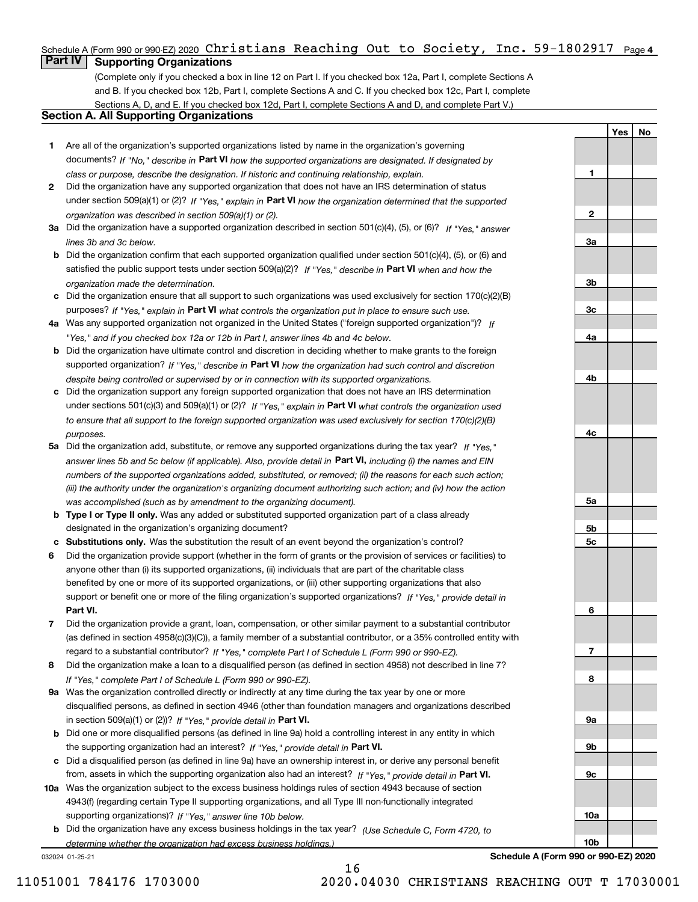# Schedule A (Form 990 or 990-EZ) 2020 Christians Reaching Out to Society, Inc. 59-1802917 <sub>Page 4</sub><br>L**Part IV** L.Supporting Organizations

**Part IV Supporting Organizations**

(Complete only if you checked a box in line 12 on Part I. If you checked box 12a, Part I, complete Sections A and B. If you checked box 12b, Part I, complete Sections A and C. If you checked box 12c, Part I, complete Sections A, D, and E. If you checked box 12d, Part I, complete Sections A and D, and complete Part V.)

## **Section A. All Supporting Organizations**

- **1** Are all of the organization's supported organizations listed by name in the organization's governing documents? If "No," describe in **Part VI** how the supported organizations are designated. If designated by *class or purpose, describe the designation. If historic and continuing relationship, explain.*
- **2** Did the organization have any supported organization that does not have an IRS determination of status under section 509(a)(1) or (2)? If "Yes," explain in Part VI how the organization determined that the supported *organization was described in section 509(a)(1) or (2).*
- **3a** Did the organization have a supported organization described in section 501(c)(4), (5), or (6)? If "Yes," answer *lines 3b and 3c below.*
- **b** Did the organization confirm that each supported organization qualified under section 501(c)(4), (5), or (6) and satisfied the public support tests under section 509(a)(2)? If "Yes," describe in **Part VI** when and how the *organization made the determination.*
- **c**Did the organization ensure that all support to such organizations was used exclusively for section 170(c)(2)(B) purposes? If "Yes," explain in **Part VI** what controls the organization put in place to ensure such use.
- **4a***If* Was any supported organization not organized in the United States ("foreign supported organization")? *"Yes," and if you checked box 12a or 12b in Part I, answer lines 4b and 4c below.*
- **b** Did the organization have ultimate control and discretion in deciding whether to make grants to the foreign supported organization? If "Yes," describe in **Part VI** how the organization had such control and discretion *despite being controlled or supervised by or in connection with its supported organizations.*
- **c** Did the organization support any foreign supported organization that does not have an IRS determination under sections 501(c)(3) and 509(a)(1) or (2)? If "Yes," explain in **Part VI** what controls the organization used *to ensure that all support to the foreign supported organization was used exclusively for section 170(c)(2)(B) purposes.*
- **5a** Did the organization add, substitute, or remove any supported organizations during the tax year? If "Yes," answer lines 5b and 5c below (if applicable). Also, provide detail in **Part VI,** including (i) the names and EIN *numbers of the supported organizations added, substituted, or removed; (ii) the reasons for each such action; (iii) the authority under the organization's organizing document authorizing such action; and (iv) how the action was accomplished (such as by amendment to the organizing document).*
- **b** Type I or Type II only. Was any added or substituted supported organization part of a class already designated in the organization's organizing document?
- **cSubstitutions only.**  Was the substitution the result of an event beyond the organization's control?
- **6** Did the organization provide support (whether in the form of grants or the provision of services or facilities) to **Part VI.** *If "Yes," provide detail in* support or benefit one or more of the filing organization's supported organizations? anyone other than (i) its supported organizations, (ii) individuals that are part of the charitable class benefited by one or more of its supported organizations, or (iii) other supporting organizations that also
- **7**Did the organization provide a grant, loan, compensation, or other similar payment to a substantial contributor *If "Yes," complete Part I of Schedule L (Form 990 or 990-EZ).* regard to a substantial contributor? (as defined in section 4958(c)(3)(C)), a family member of a substantial contributor, or a 35% controlled entity with
- **8** Did the organization make a loan to a disqualified person (as defined in section 4958) not described in line 7? *If "Yes," complete Part I of Schedule L (Form 990 or 990-EZ).*
- **9a** Was the organization controlled directly or indirectly at any time during the tax year by one or more in section 509(a)(1) or (2))? If "Yes," *provide detail in* <code>Part VI.</code> disqualified persons, as defined in section 4946 (other than foundation managers and organizations described
- **b** Did one or more disqualified persons (as defined in line 9a) hold a controlling interest in any entity in which the supporting organization had an interest? If "Yes," provide detail in P**art VI**.
- **c**Did a disqualified person (as defined in line 9a) have an ownership interest in, or derive any personal benefit from, assets in which the supporting organization also had an interest? If "Yes," provide detail in P**art VI.**
- **10a** Was the organization subject to the excess business holdings rules of section 4943 because of section supporting organizations)? If "Yes," answer line 10b below. 4943(f) (regarding certain Type II supporting organizations, and all Type III non-functionally integrated
- **b** Did the organization have any excess business holdings in the tax year? (Use Schedule C, Form 4720, to *determine whether the organization had excess business holdings.)*

16

032024 01-25-21

**Schedule A (Form 990 or 990-EZ) 2020**

**Yes No**

**1**

**2**

**3a**

**3b**

**3c**

**4a**

**4b**

**4c**

**5a**

**5b5c**

**6**

**7**

**8**

**9a**

**9b**

**9c**

**10a**

**10b**

11051001 784176 1703000 2020.04030 CHRISTIANS REACHING OUT T 17030001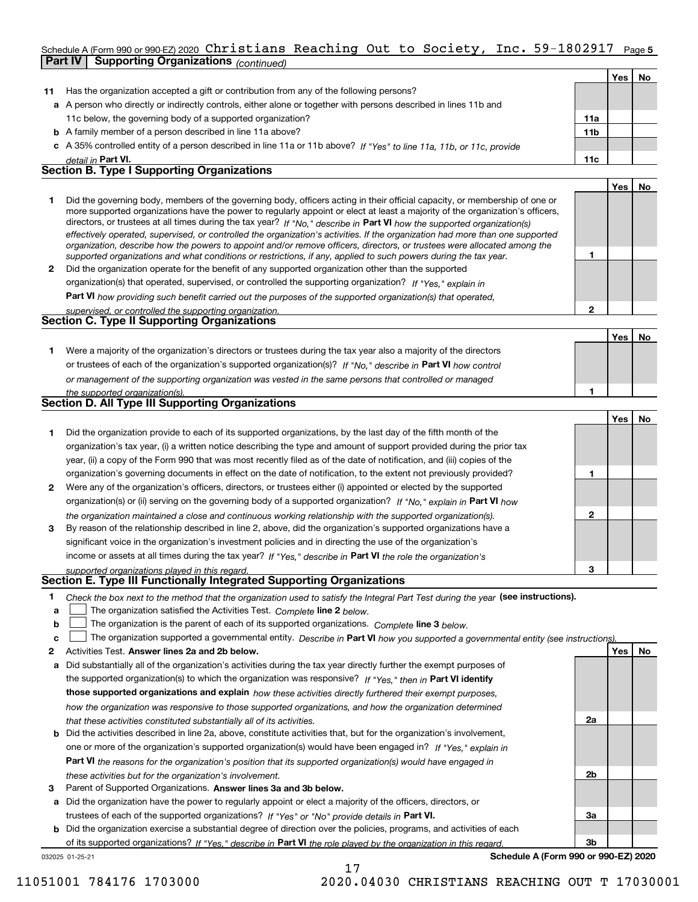### **5**Schedule A (Form 990 or 990-EZ) 2020 Christians Reaching Out to Society, Inc. 59-1802917 Page<br>LPart IV L Supporting Organizations / www.assections.com **Part IV Supporting Organizations** *(continued)*

|    |                                                                                                                                                                                                                                                                                                                                                                                                                                                                                                                                                                                                                                                      |                 | Yes l | No |
|----|------------------------------------------------------------------------------------------------------------------------------------------------------------------------------------------------------------------------------------------------------------------------------------------------------------------------------------------------------------------------------------------------------------------------------------------------------------------------------------------------------------------------------------------------------------------------------------------------------------------------------------------------------|-----------------|-------|----|
| 11 | Has the organization accepted a gift or contribution from any of the following persons?                                                                                                                                                                                                                                                                                                                                                                                                                                                                                                                                                              |                 |       |    |
|    | a A person who directly or indirectly controls, either alone or together with persons described in lines 11b and                                                                                                                                                                                                                                                                                                                                                                                                                                                                                                                                     |                 |       |    |
|    | 11c below, the governing body of a supported organization?                                                                                                                                                                                                                                                                                                                                                                                                                                                                                                                                                                                           | 11a             |       |    |
|    | <b>b</b> A family member of a person described in line 11a above?                                                                                                                                                                                                                                                                                                                                                                                                                                                                                                                                                                                    | 11 <sub>b</sub> |       |    |
|    | c A 35% controlled entity of a person described in line 11a or 11b above? If "Yes" to line 11a, 11b, or 11c, provide                                                                                                                                                                                                                                                                                                                                                                                                                                                                                                                                 |                 |       |    |
|    | detail in Part VI.                                                                                                                                                                                                                                                                                                                                                                                                                                                                                                                                                                                                                                   | 11c             |       |    |
|    | <b>Section B. Type I Supporting Organizations</b>                                                                                                                                                                                                                                                                                                                                                                                                                                                                                                                                                                                                    |                 |       |    |
|    |                                                                                                                                                                                                                                                                                                                                                                                                                                                                                                                                                                                                                                                      |                 | Yes l | No |
|    | Did the governing body, members of the governing body, officers acting in their official capacity, or membership of one or<br>more supported organizations have the power to regularly appoint or elect at least a majority of the organization's officers,<br>directors, or trustees at all times during the tax year? If "No," describe in Part VI how the supported organization(s)<br>effectively operated, supervised, or controlled the organization's activities. If the organization had more than one supported<br>organization, describe how the powers to appoint and/or remove officers, directors, or trustees were allocated among the |                 |       |    |

**2** Did the organization operate for the benefit of any supported organization other than the supported **Part VI**  *how providing such benefit carried out the purposes of the supported organization(s) that operated, supported organizations and what conditions or restrictions, if any, applied to such powers during the tax year. If "Yes," explain in* organization(s) that operated, supervised, or controlled the supporting organization?

| supervised, or controlled the supporting organization. |  |
|--------------------------------------------------------|--|
| Section C. Type II Supporting Organizations            |  |
|                                                        |  |

**1**or trustees of each of the organization's supported organization(s)? If "No," describe in **Part VI** how control **1***or management of the supporting organization was vested in the same persons that controlled or managed the supported organization(s).* Were a majority of the organization's directors or trustees during the tax year also a majority of the directors

| <b>Section D. All Type III Supporting Organizations</b> |  |
|---------------------------------------------------------|--|
|                                                         |  |

|              |                                                                                                                        |   | Yes l | No |
|--------------|------------------------------------------------------------------------------------------------------------------------|---|-------|----|
|              | Did the organization provide to each of its supported organizations, by the last day of the fifth month of the         |   |       |    |
|              | organization's tax year, (i) a written notice describing the type and amount of support provided during the prior tax  |   |       |    |
|              | year, (ii) a copy of the Form 990 that was most recently filed as of the date of notification, and (iii) copies of the |   |       |    |
|              | organization's governing documents in effect on the date of notification, to the extent not previously provided?       |   |       |    |
| $\mathbf{2}$ | Were any of the organization's officers, directors, or trustees either (i) appointed or elected by the supported       |   |       |    |
|              | organization(s) or (ii) serving on the governing body of a supported organization? If "No," explain in Part VI how     |   |       |    |
|              | the organization maintained a close and continuous working relationship with the supported organization(s).            | 2 |       |    |
| 3            | By reason of the relationship described in line 2, above, did the organization's supported organizations have a        |   |       |    |
|              | significant voice in the organization's investment policies and in directing the use of the organization's             |   |       |    |
|              | income or assets at all times during the tax year? If "Yes," describe in Part VI the role the organization's           |   |       |    |
|              | supported organizations played in this regard.                                                                         | з |       |    |

# *supported organizations played in this regard.* **Section E. Type III Functionally Integrated Supporting Organizations**

- **1**Check the box next to the method that the organization used to satisfy the Integral Part Test during the year (see instructions).
- **alinupy** The organization satisfied the Activities Test. Complete line 2 below.
- **b**The organization is the parent of each of its supported organizations. Complete **line 3** below.

|  |  |  | The organization supported a governmental entity. Describe in Part VI how you supported a governmental entity (see instructions). |  |
|--|--|--|-----------------------------------------------------------------------------------------------------------------------------------|--|
|--|--|--|-----------------------------------------------------------------------------------------------------------------------------------|--|

17

- **2**Activities Test.
- **Activities Test. Answer lines 2a and 2b below.**<br>**a** Did substantially all of the organization's activities during the tax year directly further the exempt purposes of the supported organization(s) to which the organization was responsive? If "Yes," then in **Part VI identify those supported organizations and explain**  *how these activities directly furthered their exempt purposes, how the organization was responsive to those supported organizations, and how the organization determined that these activities constituted substantially all of its activities.*
- **b** Did the activities described in line 2a, above, constitute activities that, but for the organization's involvement, **Part VI**  *the reasons for the organization's position that its supported organization(s) would have engaged in* one or more of the organization's supported organization(s) would have been engaged in? If "Yes," e*xplain in these activities but for the organization's involvement.*
- **3** Parent of Supported Organizations. Answer lines 3a and 3b below.

**a** Did the organization have the power to regularly appoint or elect a majority of the officers, directors, or trustees of each of the supported organizations? If "Yes" or "No" provide details in **Part VI.** 

**b** Did the organization exercise a substantial degree of direction over the policies, programs, and activities of each **Part VI**  *If "Yes," describe in the role played by the organization in this regard.* of its supported organizations?

032025 01-25-21

**Schedule A (Form 990 or 990-EZ) 2020**

**2a**

**2b**

**3a**

**3b**

**1**

**2**

**Yes No**

**Yes**

11051001 784176 1703000 2020.04030 CHRISTIANS REACHING OUT T 17030001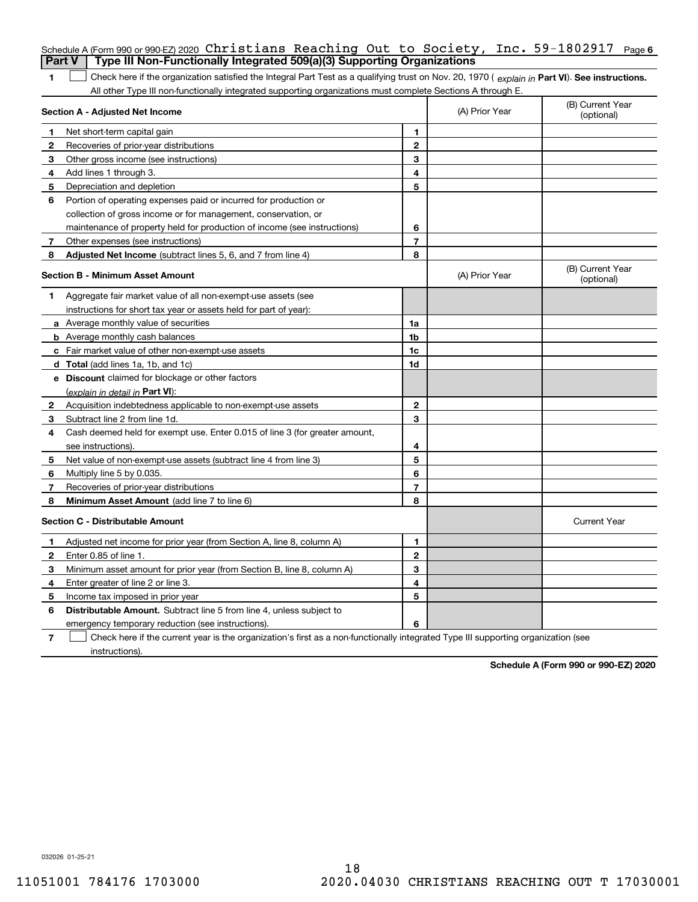|                | Schedule A (Form 990 or 990-EZ) 2020 Christians Reaching Out to Society, Inc. 59-1802917                                                       |              |                | Page 6                         |
|----------------|------------------------------------------------------------------------------------------------------------------------------------------------|--------------|----------------|--------------------------------|
|                | Type III Non-Functionally Integrated 509(a)(3) Supporting Organizations<br><b>Part V</b>                                                       |              |                |                                |
| 1              | Check here if the organization satisfied the Integral Part Test as a qualifying trust on Nov. 20, 1970 (explain in Part VI). See instructions. |              |                |                                |
|                | All other Type III non-functionally integrated supporting organizations must complete Sections A through E.                                    |              |                |                                |
|                | Section A - Adjusted Net Income                                                                                                                |              | (A) Prior Year | (B) Current Year<br>(optional) |
| $\mathbf{1}$   | Net short-term capital gain                                                                                                                    | 1            |                |                                |
| 2              | Recoveries of prior-year distributions                                                                                                         | $\mathbf{2}$ |                |                                |
| 3              | Other gross income (see instructions)                                                                                                          | 3            |                |                                |
| 4              | Add lines 1 through 3.                                                                                                                         | 4            |                |                                |
| 5              | Depreciation and depletion                                                                                                                     | 5            |                |                                |
| 6              | Portion of operating expenses paid or incurred for production or                                                                               |              |                |                                |
|                | collection of gross income or for management, conservation, or                                                                                 |              |                |                                |
|                | maintenance of property held for production of income (see instructions)                                                                       | 6            |                |                                |
| $\mathbf{7}$   | Other expenses (see instructions)                                                                                                              | 7            |                |                                |
| 8              | Adjusted Net Income (subtract lines 5, 6, and 7 from line 4)                                                                                   | 8            |                |                                |
|                | <b>Section B - Minimum Asset Amount</b>                                                                                                        |              | (A) Prior Year | (B) Current Year<br>(optional) |
| 1              | Aggregate fair market value of all non-exempt-use assets (see                                                                                  |              |                |                                |
|                | instructions for short tax year or assets held for part of year):                                                                              |              |                |                                |
|                | <b>a</b> Average monthly value of securities                                                                                                   | 1a           |                |                                |
|                | <b>b</b> Average monthly cash balances                                                                                                         | 1b           |                |                                |
|                | c Fair market value of other non-exempt-use assets                                                                                             | 1c           |                |                                |
|                | d Total (add lines 1a, 1b, and 1c)                                                                                                             | 1d           |                |                                |
|                | e Discount claimed for blockage or other factors                                                                                               |              |                |                                |
|                | (explain in detail in Part VI):                                                                                                                |              |                |                                |
|                | 2 Acquisition indebtedness applicable to non-exempt-use assets                                                                                 | $\mathbf{2}$ |                |                                |
| 3.             | Subtract line 2 from line 1d.                                                                                                                  | 3            |                |                                |
| 4              | Cash deemed held for exempt use. Enter 0.015 of line 3 (for greater amount,                                                                    |              |                |                                |
|                | see instructions).                                                                                                                             | 4            |                |                                |
| 5.             | Net value of non-exempt-use assets (subtract line 4 from line 3)                                                                               | 5            |                |                                |
| 6              | Multiply line 5 by 0.035.                                                                                                                      | 6            |                |                                |
| 7              | Recoveries of prior-year distributions                                                                                                         | 7            |                |                                |
| 8              | Minimum Asset Amount (add line 7 to line 6)                                                                                                    | 8            |                |                                |
|                | <b>Section C - Distributable Amount</b>                                                                                                        |              |                | <b>Current Year</b>            |
| п.             | Adjusted net income for prior year (from Section A, line 8, column A)                                                                          | 1            |                |                                |
| 2              | Enter 0.85 of line 1.                                                                                                                          | 2            |                |                                |
| З.             | Minimum asset amount for prior year (from Section B, line 8, column A)                                                                         | 3            |                |                                |
| 4              | Enter greater of line 2 or line 3.                                                                                                             | 4            |                |                                |
| 5              | Income tax imposed in prior year                                                                                                               | 5            |                |                                |
| 6              | Distributable Amount. Subtract line 5 from line 4, unless subject to                                                                           |              |                |                                |
|                | emergency temporary reduction (see instructions).                                                                                              | 6            |                |                                |
| $\overline{7}$ | Check here if the current year is the organization's first as a non-functionally integrated Type III supporting organization (see              |              |                |                                |

instructions).

**Schedule A (Form 990 or 990-EZ) 2020**

032026 01-25-21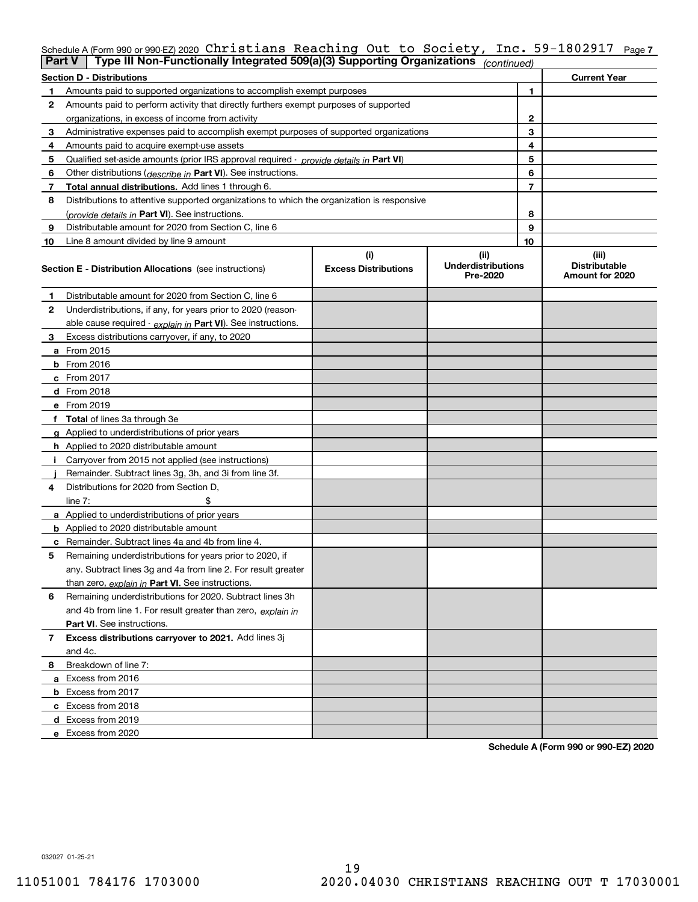### Schedule A (Form 990 or 990-EZ) 2020 <code>Christians Reaching Out to Society, Inc. 59–1802917 Page 7</code> Christians Reaching Out to Society, Inc. 59-1802917

|    | Type III Non-Functionally Integrated 509(a)(3) Supporting Organizations<br><b>Part V</b><br>(continued) |                             |                                       |    |                                         |  |  |
|----|---------------------------------------------------------------------------------------------------------|-----------------------------|---------------------------------------|----|-----------------------------------------|--|--|
|    | <b>Section D - Distributions</b>                                                                        |                             |                                       |    | <b>Current Year</b>                     |  |  |
| 1  | 1<br>Amounts paid to supported organizations to accomplish exempt purposes                              |                             |                                       |    |                                         |  |  |
| 2  | Amounts paid to perform activity that directly furthers exempt purposes of supported                    |                             |                                       |    |                                         |  |  |
|    | organizations, in excess of income from activity                                                        |                             |                                       | 2  |                                         |  |  |
| 3  | Administrative expenses paid to accomplish exempt purposes of supported organizations                   |                             |                                       | 3  |                                         |  |  |
| 4  | Amounts paid to acquire exempt-use assets                                                               |                             |                                       | 4  |                                         |  |  |
| 5  | Qualified set-aside amounts (prior IRS approval required - provide details in Part VI)                  |                             |                                       | 5  |                                         |  |  |
| 6  | Other distributions (describe in Part VI). See instructions.                                            |                             |                                       | 6  |                                         |  |  |
| 7  | Total annual distributions. Add lines 1 through 6.                                                      |                             |                                       | 7  |                                         |  |  |
| 8  | Distributions to attentive supported organizations to which the organization is responsive              |                             |                                       |    |                                         |  |  |
|    | (provide details in Part VI). See instructions.                                                         |                             |                                       | 8  |                                         |  |  |
| 9  | Distributable amount for 2020 from Section C, line 6                                                    |                             |                                       | 9  |                                         |  |  |
| 10 | Line 8 amount divided by line 9 amount                                                                  |                             |                                       | 10 |                                         |  |  |
|    |                                                                                                         | (i)                         | (ii)                                  |    | (iii)                                   |  |  |
|    | <b>Section E - Distribution Allocations</b> (see instructions)                                          | <b>Excess Distributions</b> | <b>Underdistributions</b><br>Pre-2020 |    | <b>Distributable</b><br>Amount for 2020 |  |  |
| 1  | Distributable amount for 2020 from Section C, line 6                                                    |                             |                                       |    |                                         |  |  |
| 2  | Underdistributions, if any, for years prior to 2020 (reason-                                            |                             |                                       |    |                                         |  |  |
|    | able cause required - explain in Part VI). See instructions.                                            |                             |                                       |    |                                         |  |  |
| 3  | Excess distributions carryover, if any, to 2020                                                         |                             |                                       |    |                                         |  |  |
|    | <b>a</b> From 2015                                                                                      |                             |                                       |    |                                         |  |  |
|    | <b>b</b> From 2016                                                                                      |                             |                                       |    |                                         |  |  |
|    | c From 2017                                                                                             |                             |                                       |    |                                         |  |  |
|    | <b>d</b> From 2018                                                                                      |                             |                                       |    |                                         |  |  |
|    | e From 2019                                                                                             |                             |                                       |    |                                         |  |  |
|    | f Total of lines 3a through 3e                                                                          |                             |                                       |    |                                         |  |  |
|    | g Applied to underdistributions of prior years                                                          |                             |                                       |    |                                         |  |  |
|    | <b>h</b> Applied to 2020 distributable amount                                                           |                             |                                       |    |                                         |  |  |
|    | Carryover from 2015 not applied (see instructions)                                                      |                             |                                       |    |                                         |  |  |
|    | Remainder. Subtract lines 3g, 3h, and 3i from line 3f.                                                  |                             |                                       |    |                                         |  |  |
| 4  | Distributions for 2020 from Section D,                                                                  |                             |                                       |    |                                         |  |  |
|    | line $7:$                                                                                               |                             |                                       |    |                                         |  |  |
|    | a Applied to underdistributions of prior years                                                          |                             |                                       |    |                                         |  |  |
|    | <b>b</b> Applied to 2020 distributable amount                                                           |                             |                                       |    |                                         |  |  |
|    | c Remainder. Subtract lines 4a and 4b from line 4.                                                      |                             |                                       |    |                                         |  |  |
| 5  | Remaining underdistributions for years prior to 2020, if                                                |                             |                                       |    |                                         |  |  |
|    | any. Subtract lines 3g and 4a from line 2. For result greater                                           |                             |                                       |    |                                         |  |  |
|    | than zero, explain in Part VI. See instructions.                                                        |                             |                                       |    |                                         |  |  |
| 6  | Remaining underdistributions for 2020. Subtract lines 3h                                                |                             |                                       |    |                                         |  |  |
|    | and 4b from line 1. For result greater than zero, explain in                                            |                             |                                       |    |                                         |  |  |
|    | Part VI. See instructions.                                                                              |                             |                                       |    |                                         |  |  |
| 7  | Excess distributions carryover to 2021. Add lines 3j                                                    |                             |                                       |    |                                         |  |  |
|    | and 4c.                                                                                                 |                             |                                       |    |                                         |  |  |
| 8  | Breakdown of line 7:                                                                                    |                             |                                       |    |                                         |  |  |
|    | a Excess from 2016                                                                                      |                             |                                       |    |                                         |  |  |
|    | <b>b</b> Excess from 2017                                                                               |                             |                                       |    |                                         |  |  |
|    | c Excess from 2018                                                                                      |                             |                                       |    |                                         |  |  |
|    | d Excess from 2019                                                                                      |                             |                                       |    |                                         |  |  |
|    | e Excess from 2020                                                                                      |                             |                                       |    |                                         |  |  |

**Schedule A (Form 990 or 990-EZ) 2020**

032027 01-25-21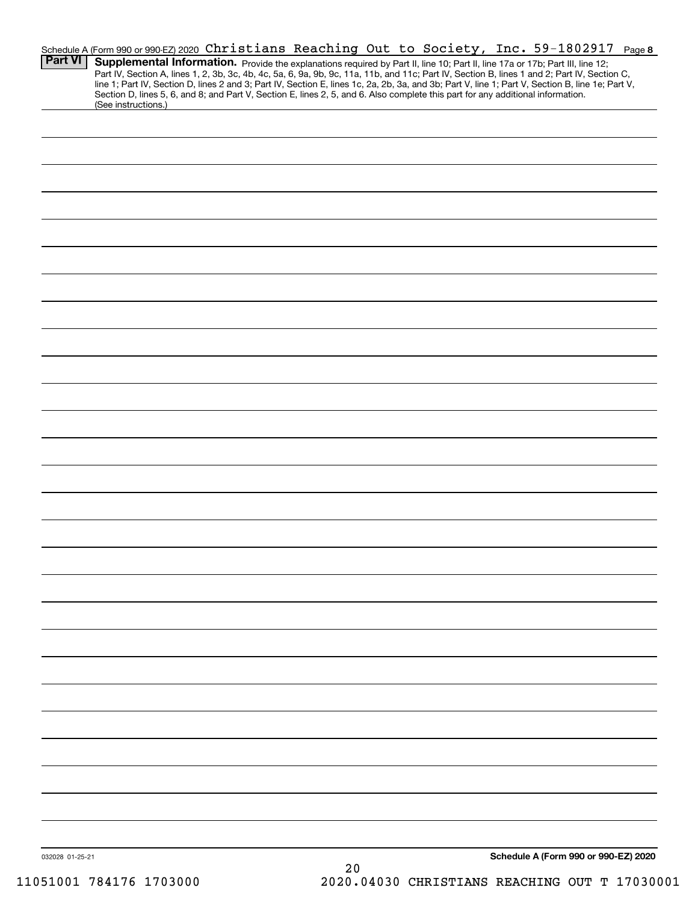|                 | Schedule A (Form 990 or 990-EZ) 2020 Christians Reaching Out to Society, Inc. 59-1802917 Page 8                                                                                                                                                                                                                                                                                                                                   |  |  |               |  |  |                                      |  |
|-----------------|-----------------------------------------------------------------------------------------------------------------------------------------------------------------------------------------------------------------------------------------------------------------------------------------------------------------------------------------------------------------------------------------------------------------------------------|--|--|---------------|--|--|--------------------------------------|--|
| <b>Part VI</b>  | Supplemental Information. Provide the explanations required by Part II, line 10; Part II, line 17a or 17b; Part III, line 12;<br>Part IV, Section A, lines 1, 2, 3b, 3c, 4b, 4c, 5a, 6, 9a, 9b, 9c, 11a, 11b, and 11c; Part IV, Section B, lines 1 and 2; Part IV, Section C,<br>line 1; Part IV, Section D, lines 2 and 3; Part IV, Section E, lines 1c, 2a, 2b, 3a, and 3b; Part V, line 1; Part V, Section B, line 1e; Part V, |  |  |               |  |  |                                      |  |
|                 | Section D, lines 5, 6, and 8; and Part V, Section E, lines 2, 5, and 6. Also complete this part for any additional information.<br>(See instructions.)                                                                                                                                                                                                                                                                            |  |  |               |  |  |                                      |  |
|                 |                                                                                                                                                                                                                                                                                                                                                                                                                                   |  |  |               |  |  |                                      |  |
|                 |                                                                                                                                                                                                                                                                                                                                                                                                                                   |  |  |               |  |  |                                      |  |
|                 |                                                                                                                                                                                                                                                                                                                                                                                                                                   |  |  |               |  |  |                                      |  |
|                 |                                                                                                                                                                                                                                                                                                                                                                                                                                   |  |  |               |  |  |                                      |  |
|                 |                                                                                                                                                                                                                                                                                                                                                                                                                                   |  |  |               |  |  |                                      |  |
|                 |                                                                                                                                                                                                                                                                                                                                                                                                                                   |  |  |               |  |  |                                      |  |
|                 |                                                                                                                                                                                                                                                                                                                                                                                                                                   |  |  |               |  |  |                                      |  |
|                 |                                                                                                                                                                                                                                                                                                                                                                                                                                   |  |  |               |  |  |                                      |  |
|                 |                                                                                                                                                                                                                                                                                                                                                                                                                                   |  |  |               |  |  |                                      |  |
|                 |                                                                                                                                                                                                                                                                                                                                                                                                                                   |  |  |               |  |  |                                      |  |
|                 |                                                                                                                                                                                                                                                                                                                                                                                                                                   |  |  |               |  |  |                                      |  |
|                 |                                                                                                                                                                                                                                                                                                                                                                                                                                   |  |  |               |  |  |                                      |  |
|                 |                                                                                                                                                                                                                                                                                                                                                                                                                                   |  |  |               |  |  |                                      |  |
|                 |                                                                                                                                                                                                                                                                                                                                                                                                                                   |  |  |               |  |  |                                      |  |
|                 |                                                                                                                                                                                                                                                                                                                                                                                                                                   |  |  |               |  |  |                                      |  |
|                 |                                                                                                                                                                                                                                                                                                                                                                                                                                   |  |  |               |  |  |                                      |  |
|                 |                                                                                                                                                                                                                                                                                                                                                                                                                                   |  |  |               |  |  |                                      |  |
|                 |                                                                                                                                                                                                                                                                                                                                                                                                                                   |  |  |               |  |  |                                      |  |
|                 |                                                                                                                                                                                                                                                                                                                                                                                                                                   |  |  |               |  |  |                                      |  |
|                 |                                                                                                                                                                                                                                                                                                                                                                                                                                   |  |  |               |  |  |                                      |  |
|                 |                                                                                                                                                                                                                                                                                                                                                                                                                                   |  |  |               |  |  |                                      |  |
|                 |                                                                                                                                                                                                                                                                                                                                                                                                                                   |  |  |               |  |  |                                      |  |
|                 |                                                                                                                                                                                                                                                                                                                                                                                                                                   |  |  |               |  |  |                                      |  |
|                 |                                                                                                                                                                                                                                                                                                                                                                                                                                   |  |  |               |  |  |                                      |  |
|                 |                                                                                                                                                                                                                                                                                                                                                                                                                                   |  |  |               |  |  |                                      |  |
|                 |                                                                                                                                                                                                                                                                                                                                                                                                                                   |  |  |               |  |  |                                      |  |
|                 |                                                                                                                                                                                                                                                                                                                                                                                                                                   |  |  |               |  |  |                                      |  |
|                 |                                                                                                                                                                                                                                                                                                                                                                                                                                   |  |  |               |  |  |                                      |  |
|                 |                                                                                                                                                                                                                                                                                                                                                                                                                                   |  |  |               |  |  |                                      |  |
|                 |                                                                                                                                                                                                                                                                                                                                                                                                                                   |  |  |               |  |  |                                      |  |
|                 |                                                                                                                                                                                                                                                                                                                                                                                                                                   |  |  |               |  |  |                                      |  |
|                 |                                                                                                                                                                                                                                                                                                                                                                                                                                   |  |  |               |  |  |                                      |  |
|                 |                                                                                                                                                                                                                                                                                                                                                                                                                                   |  |  |               |  |  |                                      |  |
|                 |                                                                                                                                                                                                                                                                                                                                                                                                                                   |  |  |               |  |  |                                      |  |
|                 |                                                                                                                                                                                                                                                                                                                                                                                                                                   |  |  |               |  |  |                                      |  |
|                 |                                                                                                                                                                                                                                                                                                                                                                                                                                   |  |  |               |  |  |                                      |  |
| 032028 01-25-21 |                                                                                                                                                                                                                                                                                                                                                                                                                                   |  |  | $\sim$ $\sim$ |  |  | Schedule A (Form 990 or 990-EZ) 2020 |  |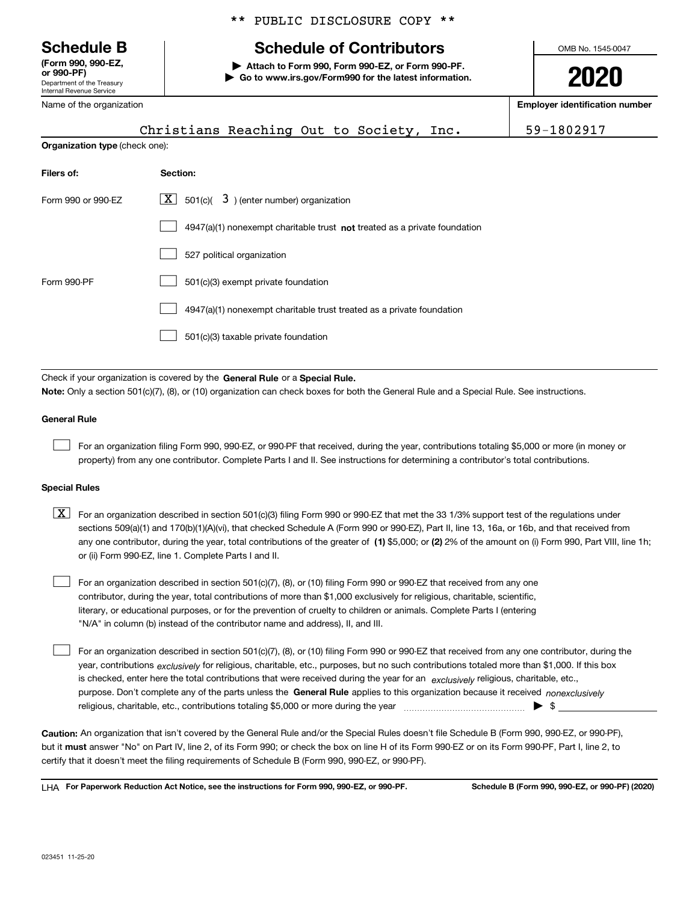Department of the Treasury Internal Revenue Service **(Form 990, 990-EZ, or 990-PF)**

Name of the organization

\*\* PUBLIC DISCLOSURE COPY \*\*

## **Schedule B Schedule of Contributors**

**| Attach to Form 990, Form 990-EZ, or Form 990-PF. | Go to www.irs.gov/Form990 for the latest information.** OMB No. 1545-0047

**2020**

**Employer identification number**

|                                | Christians Reaching Out to Society, Inc.                                                                                                                                                                                                                                                                                                                                                                                                                                                                  | 59-1802917 |
|--------------------------------|-----------------------------------------------------------------------------------------------------------------------------------------------------------------------------------------------------------------------------------------------------------------------------------------------------------------------------------------------------------------------------------------------------------------------------------------------------------------------------------------------------------|------------|
| Organization type (check one): |                                                                                                                                                                                                                                                                                                                                                                                                                                                                                                           |            |
| Filers of:                     | Section:                                                                                                                                                                                                                                                                                                                                                                                                                                                                                                  |            |
| Form 990 or 990-EZ             | 501(c)( $3$ ) (enter number) organization<br>$\mathbf{X}$                                                                                                                                                                                                                                                                                                                                                                                                                                                 |            |
|                                | 4947(a)(1) nonexempt charitable trust not treated as a private foundation                                                                                                                                                                                                                                                                                                                                                                                                                                 |            |
|                                | 527 political organization                                                                                                                                                                                                                                                                                                                                                                                                                                                                                |            |
| Form 990-PF                    | 501(c)(3) exempt private foundation                                                                                                                                                                                                                                                                                                                                                                                                                                                                       |            |
|                                | 4947(a)(1) nonexempt charitable trust treated as a private foundation                                                                                                                                                                                                                                                                                                                                                                                                                                     |            |
|                                | 501(c)(3) taxable private foundation                                                                                                                                                                                                                                                                                                                                                                                                                                                                      |            |
|                                | Check if your organization is covered by the General Rule or a Special Rule.<br>Note: Only a section 501(c)(7), (8), or (10) organization can check boxes for both the General Rule and a Special Rule. See instructions.                                                                                                                                                                                                                                                                                 |            |
| <b>General Rule</b>            |                                                                                                                                                                                                                                                                                                                                                                                                                                                                                                           |            |
|                                | For an organization filing Form 990, 990-EZ, or 990-PF that received, during the year, contributions totaling \$5,000 or more (in money or<br>property) from any one contributor. Complete Parts I and II. See instructions for determining a contributor's total contributions.                                                                                                                                                                                                                          |            |
| <b>Special Rules</b>           |                                                                                                                                                                                                                                                                                                                                                                                                                                                                                                           |            |
| $\mid$ X $\mid$                | For an organization described in section 501(c)(3) filing Form 990 or 990-EZ that met the 33 1/3% support test of the regulations under<br>sections 509(a)(1) and 170(b)(1)(A)(vi), that checked Schedule A (Form 990 or 990-EZ), Part II, line 13, 16a, or 16b, and that received from<br>any one contributor, during the year, total contributions of the greater of (1) \$5,000; or (2) 2% of the amount on (i) Form 990, Part VIII, line 1h;<br>or (ii) Form 990-EZ, line 1. Complete Parts I and II. |            |

For an organization described in section 501(c)(7), (8), or (10) filing Form 990 or 990-EZ that received from any one contributor, during the year, total contributions of more than \$1,000 exclusively for religious, charitable, scientific, literary, or educational purposes, or for the prevention of cruelty to children or animals. Complete Parts I (entering "N/A" in column (b) instead of the contributor name and address), II, and III.

purpose. Don't complete any of the parts unless the **General Rule** applies to this organization because it received *nonexclusively* year, contributions <sub>exclusively</sub> for religious, charitable, etc., purposes, but no such contributions totaled more than \$1,000. If this box is checked, enter here the total contributions that were received during the year for an  $\;$ exclusively religious, charitable, etc., For an organization described in section 501(c)(7), (8), or (10) filing Form 990 or 990-EZ that received from any one contributor, during the religious, charitable, etc., contributions totaling \$5,000 or more during the year  $\Box$ — $\Box$  =  $\Box$  $\mathcal{L}^{\text{max}}$ 

**Caution:**  An organization that isn't covered by the General Rule and/or the Special Rules doesn't file Schedule B (Form 990, 990-EZ, or 990-PF), but it **must** answer "No" on Part IV, line 2, of its Form 990; or check the box on line H of its Form 990-EZ or on its Form 990-PF, Part I, line 2, to<br>cortify that it doesn't meet the filipe requirements of Schodule B (Fer certify that it doesn't meet the filing requirements of Schedule B (Form 990, 990-EZ, or 990-PF).

**For Paperwork Reduction Act Notice, see the instructions for Form 990, 990-EZ, or 990-PF. Schedule B (Form 990, 990-EZ, or 990-PF) (2020)** LHA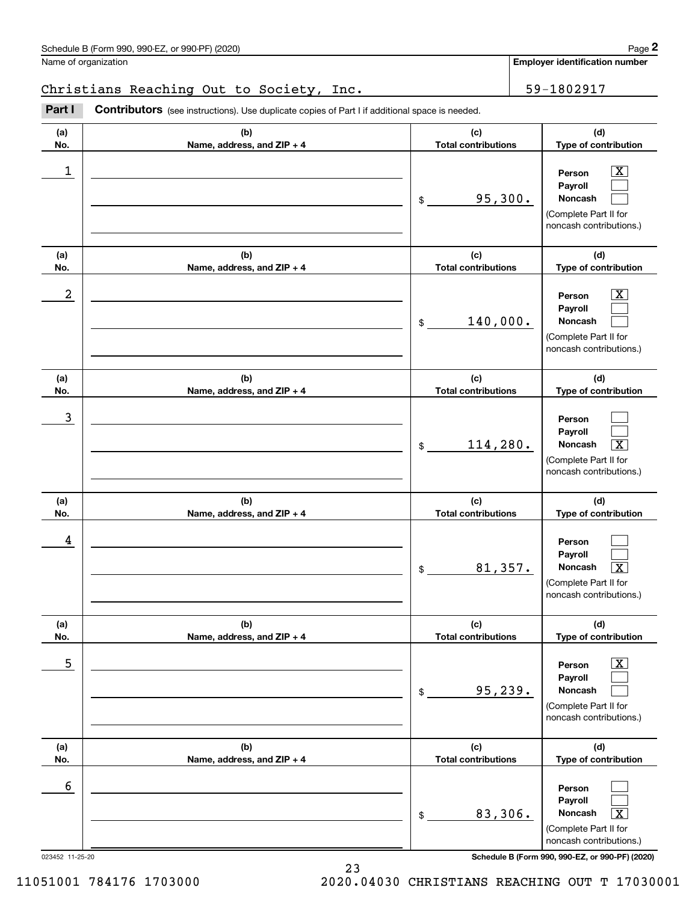## Christians Reaching Out to Society, Inc. 59-1802917

|                      | Schedule B (Form 990, 990-EZ, or 990-PF) (2020)                                                       |                                   | Page 2                                                                                                      |
|----------------------|-------------------------------------------------------------------------------------------------------|-----------------------------------|-------------------------------------------------------------------------------------------------------------|
| Name of organization |                                                                                                       |                                   | Employer identification number                                                                              |
|                      | Christians Reaching Out to Society, Inc.                                                              |                                   | 59-1802917                                                                                                  |
| Part I               | <b>Contributors</b> (see instructions). Use duplicate copies of Part I if additional space is needed. |                                   |                                                                                                             |
| (a)<br>No.           | (b)<br>Name, address, and ZIP + 4                                                                     | (c)<br><b>Total contributions</b> | (d)<br>Type of contribution                                                                                 |
| 1                    |                                                                                                       | 95,300.<br>\$                     | $\overline{\mathbf{X}}$<br>Person<br>Payroll<br>Noncash<br>(Complete Part II for<br>noncash contributions.) |
| (a)<br>No.           | (b)<br>Name, address, and ZIP + 4                                                                     | (c)<br><b>Total contributions</b> | (d)<br>Type of contribution                                                                                 |
| 2                    |                                                                                                       | 140,000.<br>\$                    | $\overline{\mathbf{X}}$<br>Person<br>Payroll<br>Noncash<br>(Complete Part II for<br>noncash contributions.) |
| (a)<br>No.           | (b)<br>Name, address, and ZIP + 4                                                                     | (c)<br><b>Total contributions</b> | (d)<br>Type of contribution                                                                                 |
| 3                    |                                                                                                       | 114,280.<br>\$                    | Person<br>Payroll<br>$\overline{\text{X}}$<br>Noncash<br>(Complete Part II for<br>noncash contributions.)   |
| (a)<br>No.           | (b)<br>Name, address, and ZIP + 4                                                                     | (c)<br><b>Total contributions</b> | (d)<br>Type of contribution                                                                                 |
| 4                    |                                                                                                       | 81,357.<br>\$                     | Person<br>Payroll<br>Noncash<br>$\overline{\mathbf{X}}$<br>(Complete Part II for<br>noncash contributions.) |
| (a)<br>No.           | (b)<br>Name, address, and ZIP + 4                                                                     | (c)<br><b>Total contributions</b> | (d)<br>Type of contribution                                                                                 |
| 5                    |                                                                                                       | 95, 239.<br>\$                    | $\overline{\mathbf{X}}$<br>Person<br>Payroll<br>Noncash<br>(Complete Part II for<br>noncash contributions.) |
| (a)<br>No.           | (b)<br>Name, address, and ZIP + 4                                                                     | (c)<br><b>Total contributions</b> | (d)<br>Type of contribution                                                                                 |
| 6                    |                                                                                                       | 83,306.<br>\$                     | Person<br>Payroll<br>$\overline{\text{X}}$<br>Noncash<br>(Complete Part II for<br>noncash contributions.)   |
| 023452 11-25-20      |                                                                                                       |                                   | Schedule B (Form 990, 990-EZ, or 990-PF) (2020)                                                             |

23

11051001 784176 1703000 2020.04030 CHRISTIANS REACHING OUT T 17030001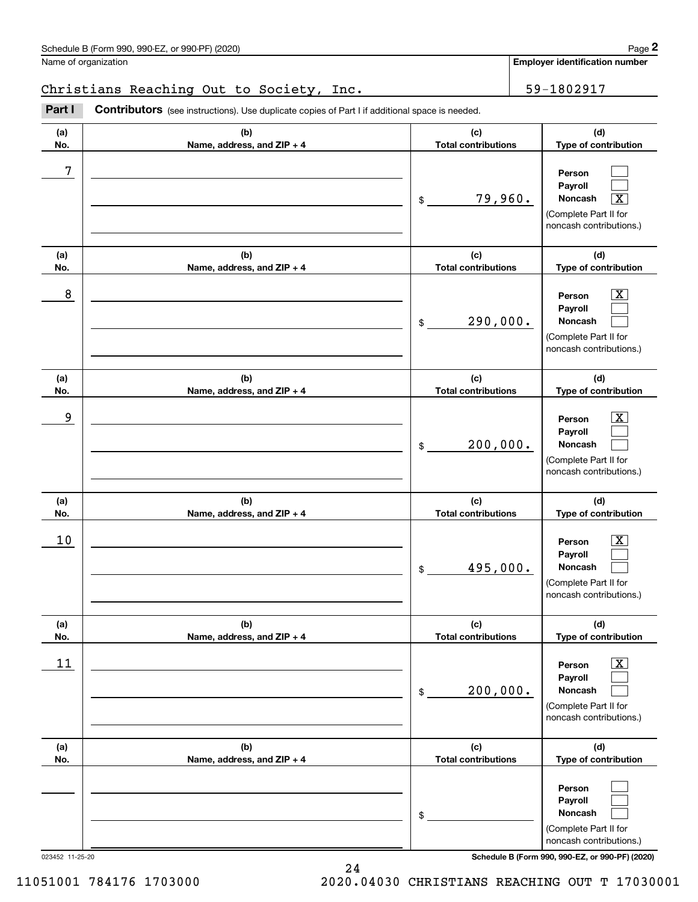Name of organization

**Employer identification number**

Christians Reaching Out to Society, Inc. [10] 199-1802917

**(a)No.(b)Name, address, and ZIP + 4 (c)Total contributions (d)Type of contribution PersonPayrollNoncash (a)No.(b)Name, address, and ZIP + 4 (c)Total contributions (d)Type of contribution PersonPayrollNoncash (a)No.(b)Name, address, and ZIP + 4 (c)Total contributions (d)Type of contribution PersonPayrollNoncash (a) No.(b) Name, address, and ZIP + 4 (c) Total contributions (d) Type of contribution PersonPayrollNoncash (a) No.(b)Name, address, and ZIP + 4 (c) Total contributions (d) Type of contribution PersonPayrollNoncash (a) No.(b)Name, address, and ZIP + 4 (c) Total contributions (d)Type of contribution PersonPayrollNoncash Contributors** (see instructions). Use duplicate copies of Part I if additional space is needed. \$(Complete Part II for noncash contributions.) \$(Complete Part II for noncash contributions.) \$(Complete Part II for noncash contributions.) \$(Complete Part II for noncash contributions.) \$(Complete Part II for noncash contributions.) \$(Complete Part II for noncash contributions.) **2Part II Contributors** (see instructions). Use duplicate copies of Part I if additional space is needed.<br> **Part I Contributors** (see instructions). Use duplicate copies of Part I if additional space is needed.  $\mathcal{L}^{\text{max}}$  $\mathcal{L}^{\text{max}}$  $\boxed{\text{X}}$  $\boxed{\text{X}}$  $\mathcal{L}^{\text{max}}$  $\mathcal{L}^{\text{max}}$  $|X|$  $\mathcal{L}^{\text{max}}$  $\mathcal{L}^{\text{max}}$  $|X|$  $\mathcal{L}^{\text{max}}$  $\mathcal{L}^{\text{max}}$  $\boxed{\text{X}}$  $\mathcal{L}^{\text{max}}$  $\mathcal{L}^{\text{max}}$  $\mathcal{L}^{\text{max}}$  $\mathcal{L}^{\text{max}}$  $\mathcal{L}^{\text{max}}$ 7 79,960. X 8 X 290,000. example and the set of the set of the set of the set of the set of the set of the set of the set of the set of 200,000.  $10$  Person  $\overline{\text{X}}$ 495,000.  $11$  Person X 200,000.

023452 11-25-20 **Schedule B (Form 990, 990-EZ, or 990-PF) (2020)**

11051001 784176 1703000 2020.04030 CHRISTIANS REACHING OUT T 17030001

24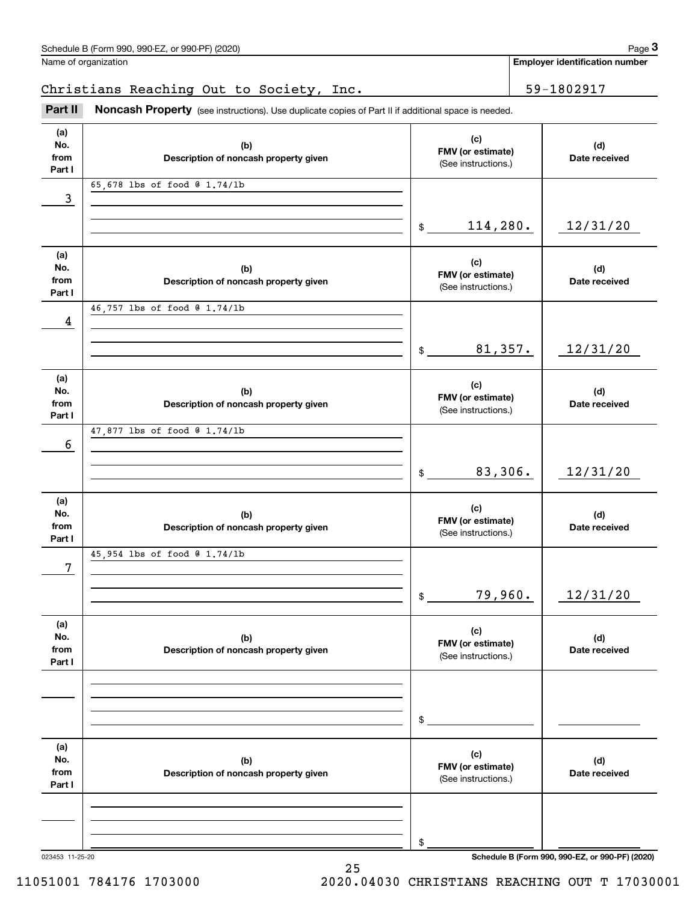|                              | Schedule B (Form 990, 990-EZ, or 990-PF) (2020)                                                     |                                                 | Page 3                                |
|------------------------------|-----------------------------------------------------------------------------------------------------|-------------------------------------------------|---------------------------------------|
|                              | Name of organization                                                                                |                                                 | <b>Employer identification number</b> |
|                              | Christians Reaching Out to Society, Inc.                                                            |                                                 | 59-1802917                            |
| Part II                      | Noncash Property (see instructions). Use duplicate copies of Part II if additional space is needed. |                                                 |                                       |
| (a)<br>No.<br>from<br>Part I | (b)<br>Description of noncash property given                                                        | (c)<br>FMV (or estimate)<br>(See instructions.) | (d)<br>Date received                  |
| 3                            | 65,678 lbs of food @ 1.74/lb                                                                        |                                                 |                                       |
|                              |                                                                                                     | 114,280.<br>\$                                  | 12/31/20                              |
| (a)<br>No.<br>from<br>Part I | (b)<br>Description of noncash property given                                                        | (c)<br>FMV (or estimate)<br>(See instructions.) | (d)<br>Date received                  |
| 4                            | 46,757 lbs of food @ 1.74/lb                                                                        |                                                 |                                       |
|                              |                                                                                                     | 81,357.<br>$\frac{1}{2}$                        | 12/31/20                              |
| (a)<br>No.<br>from<br>Part I | (b)<br>Description of noncash property given                                                        | (c)<br>FMV (or estimate)<br>(See instructions.) | (d)<br>Date received                  |
| 6                            | 47,877 lbs of food @ 1.74/lb                                                                        | 83,306.<br>$\frac{1}{2}$                        | 12/31/20                              |
| (a)<br>No.<br>from<br>Part I | (b)<br>Description of noncash property given                                                        | (c)<br>FMV (or estimate)<br>(See instructions.) | (d)<br>Date received                  |
| 7                            | 45,954 lbs of food @ 1.74/lb                                                                        |                                                 |                                       |
|                              |                                                                                                     | 79,960.<br>\$                                   | 12/31/20                              |
| (a)<br>No.<br>from<br>Part I | (b)<br>Description of noncash property given                                                        | (c)<br>FMV (or estimate)<br>(See instructions.) | (d)<br>Date received                  |
|                              |                                                                                                     | \$                                              |                                       |
| (a)<br>No.<br>from<br>Part I | (b)<br>Description of noncash property given                                                        | (c)<br>FMV (or estimate)<br>(See instructions.) | (d)<br>Date received                  |
|                              |                                                                                                     |                                                 |                                       |
|                              |                                                                                                     | \$                                              |                                       |

023453 11-25-20 **Schedule B (Form 990, 990-EZ, or 990-PF) (2020)**

25 11051001 784176 1703000 2020.04030 CHRISTIANS REACHING OUT T 17030001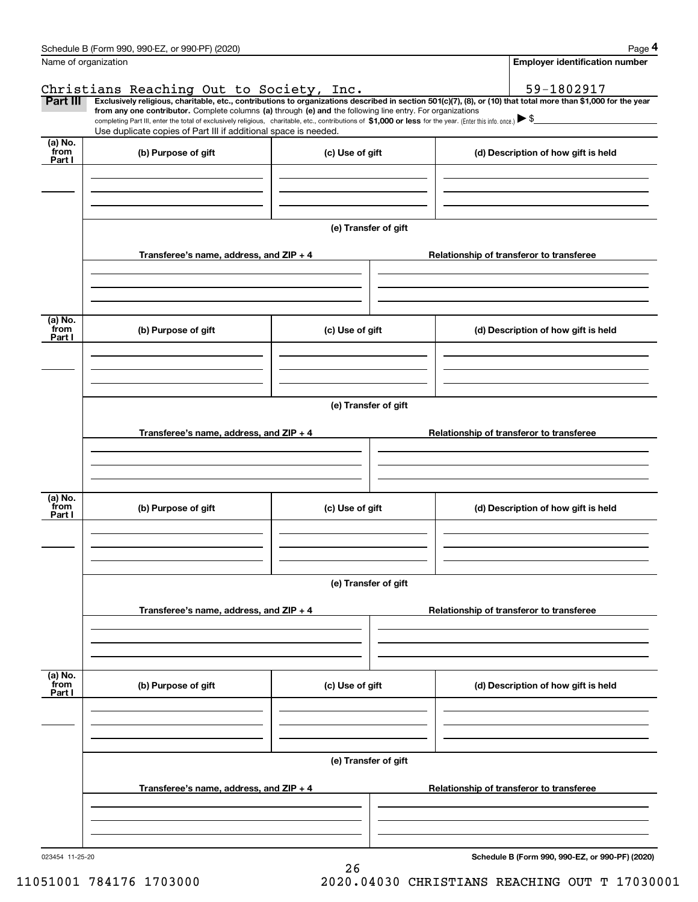|                      | Schedule B (Form 990, 990-EZ, or 990-PF) (2020)                                                                                                               |                      | Page 4                                                                                                                                                         |  |  |  |  |
|----------------------|---------------------------------------------------------------------------------------------------------------------------------------------------------------|----------------------|----------------------------------------------------------------------------------------------------------------------------------------------------------------|--|--|--|--|
| Name of organization |                                                                                                                                                               |                      | <b>Employer identification number</b>                                                                                                                          |  |  |  |  |
|                      | Christians Reaching Out to Society, Inc.                                                                                                                      |                      | 59-1802917                                                                                                                                                     |  |  |  |  |
| Part III             | from any one contributor. Complete columns (a) through (e) and the following line entry. For organizations                                                    |                      | Exclusively religious, charitable, etc., contributions to organizations described in section 501(c)(7), (8), or (10) that total more than \$1,000 for the year |  |  |  |  |
|                      | completing Part III, enter the total of exclusively religious, charitable, etc., contributions of \$1,000 or less for the year. (Enter this info. once.) > \$ |                      |                                                                                                                                                                |  |  |  |  |
| (a) No.              | Use duplicate copies of Part III if additional space is needed.                                                                                               |                      |                                                                                                                                                                |  |  |  |  |
| from<br>Part I       | (b) Purpose of gift                                                                                                                                           | (c) Use of gift      | (d) Description of how gift is held                                                                                                                            |  |  |  |  |
|                      |                                                                                                                                                               |                      |                                                                                                                                                                |  |  |  |  |
|                      |                                                                                                                                                               |                      |                                                                                                                                                                |  |  |  |  |
|                      |                                                                                                                                                               |                      |                                                                                                                                                                |  |  |  |  |
|                      |                                                                                                                                                               | (e) Transfer of gift |                                                                                                                                                                |  |  |  |  |
|                      |                                                                                                                                                               |                      |                                                                                                                                                                |  |  |  |  |
|                      | Transferee's name, address, and ZIP + 4                                                                                                                       |                      | Relationship of transferor to transferee                                                                                                                       |  |  |  |  |
|                      |                                                                                                                                                               |                      |                                                                                                                                                                |  |  |  |  |
|                      |                                                                                                                                                               |                      |                                                                                                                                                                |  |  |  |  |
|                      |                                                                                                                                                               |                      |                                                                                                                                                                |  |  |  |  |
| (a) No.<br>from      | (b) Purpose of gift                                                                                                                                           | (c) Use of gift      | (d) Description of how gift is held                                                                                                                            |  |  |  |  |
| Part I               |                                                                                                                                                               |                      |                                                                                                                                                                |  |  |  |  |
|                      |                                                                                                                                                               |                      |                                                                                                                                                                |  |  |  |  |
|                      |                                                                                                                                                               |                      |                                                                                                                                                                |  |  |  |  |
|                      |                                                                                                                                                               |                      |                                                                                                                                                                |  |  |  |  |
|                      | (e) Transfer of gift                                                                                                                                          |                      |                                                                                                                                                                |  |  |  |  |
|                      | Transferee's name, address, and $ZIP + 4$                                                                                                                     |                      | Relationship of transferor to transferee                                                                                                                       |  |  |  |  |
|                      |                                                                                                                                                               |                      |                                                                                                                                                                |  |  |  |  |
|                      |                                                                                                                                                               |                      |                                                                                                                                                                |  |  |  |  |
|                      |                                                                                                                                                               |                      |                                                                                                                                                                |  |  |  |  |
| (a) No.<br>from      |                                                                                                                                                               |                      |                                                                                                                                                                |  |  |  |  |
| Part I               | (b) Purpose of gift                                                                                                                                           | (c) Use of gift      | (d) Description of how gift is held                                                                                                                            |  |  |  |  |
|                      |                                                                                                                                                               |                      |                                                                                                                                                                |  |  |  |  |
|                      |                                                                                                                                                               |                      |                                                                                                                                                                |  |  |  |  |
|                      |                                                                                                                                                               |                      |                                                                                                                                                                |  |  |  |  |
|                      |                                                                                                                                                               | (e) Transfer of gift |                                                                                                                                                                |  |  |  |  |
|                      | Transferee's name, address, and ZIP + 4                                                                                                                       |                      | Relationship of transferor to transferee                                                                                                                       |  |  |  |  |
|                      |                                                                                                                                                               |                      |                                                                                                                                                                |  |  |  |  |
|                      |                                                                                                                                                               |                      |                                                                                                                                                                |  |  |  |  |
|                      |                                                                                                                                                               |                      |                                                                                                                                                                |  |  |  |  |
| (a) No.<br>from      |                                                                                                                                                               |                      |                                                                                                                                                                |  |  |  |  |
| Part I               | (b) Purpose of gift                                                                                                                                           | (c) Use of gift      | (d) Description of how gift is held                                                                                                                            |  |  |  |  |
|                      |                                                                                                                                                               |                      |                                                                                                                                                                |  |  |  |  |
|                      |                                                                                                                                                               |                      |                                                                                                                                                                |  |  |  |  |
|                      |                                                                                                                                                               |                      |                                                                                                                                                                |  |  |  |  |
|                      | (e) Transfer of gift                                                                                                                                          |                      |                                                                                                                                                                |  |  |  |  |
|                      |                                                                                                                                                               |                      |                                                                                                                                                                |  |  |  |  |
|                      | Transferee's name, address, and $ZIP + 4$                                                                                                                     |                      | Relationship of transferor to transferee                                                                                                                       |  |  |  |  |
|                      |                                                                                                                                                               |                      |                                                                                                                                                                |  |  |  |  |
|                      |                                                                                                                                                               |                      |                                                                                                                                                                |  |  |  |  |
|                      |                                                                                                                                                               |                      | Schodule B (Form 000, 000 F7, or 000 BE) (2020)                                                                                                                |  |  |  |  |

26

023454 11-25-20

**Schedule B (Form 990, 990-EZ, or 990-PF) (2020)**

11051001 784176 1703000 2020.04030 CHRISTIANS REACHING OUT T 17030001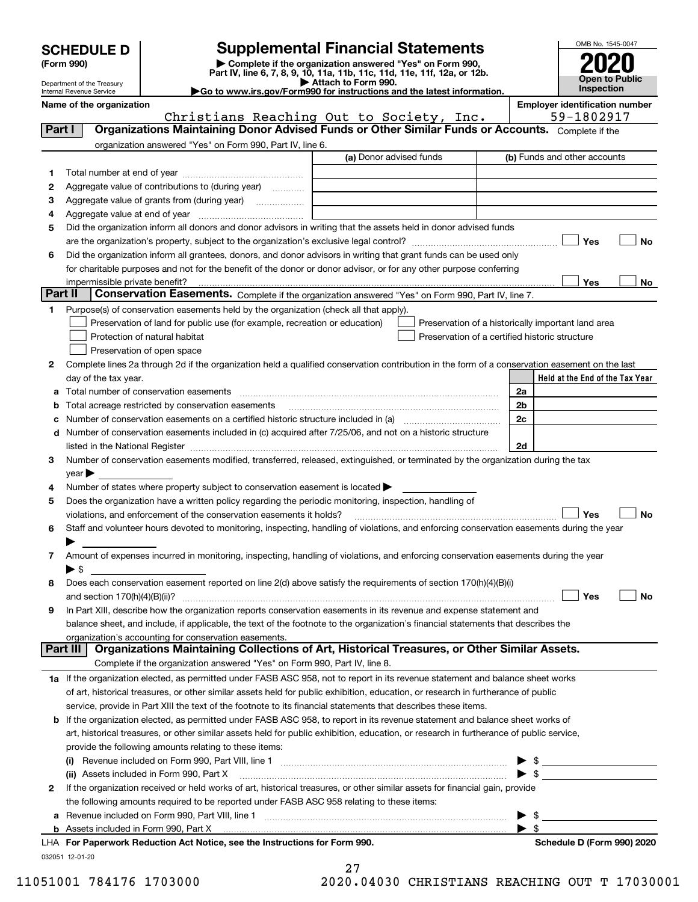Department of the Treasury Internal Revenue Service

| (Form 990) |  |
|------------|--|
|------------|--|

# **SCHEDULE D Supplemental Financial Statements**

(Form 990)<br>
Pepartment of the Treasury<br>
Department of the Treasury<br>
Department of the Treasury<br>
Department of the Treasury<br> **Co to www.irs.gov/Form990 for instructions and the latest information.**<br> **Co to www.irs.gov/Form9** 



OMB No. 1545-0047 **Open to Public Inspection2020**

|  |  |  |  | Name of the organization |  |  |
|--|--|--|--|--------------------------|--|--|
|--|--|--|--|--------------------------|--|--|

**Name of the orientification of the organization of the orientification of the orientification of the orientification of the orientification of the orientification of the orientification of the orientification of the orien** 

|          | Christians Reaching Out to Society, Inc.                                                                                                              |                         | 59-1802917                                         |
|----------|-------------------------------------------------------------------------------------------------------------------------------------------------------|-------------------------|----------------------------------------------------|
| Part I   | Organizations Maintaining Donor Advised Funds or Other Similar Funds or Accounts. Complete if the                                                     |                         |                                                    |
|          | organization answered "Yes" on Form 990, Part IV, line 6.                                                                                             |                         |                                                    |
|          |                                                                                                                                                       | (a) Donor advised funds | (b) Funds and other accounts                       |
| 1.       |                                                                                                                                                       |                         |                                                    |
| 2        | Aggregate value of contributions to (during year)                                                                                                     |                         |                                                    |
| з        | Aggregate value of grants from (during year)                                                                                                          |                         |                                                    |
| 4        |                                                                                                                                                       |                         |                                                    |
| 5        | Did the organization inform all donors and donor advisors in writing that the assets held in donor advised funds                                      |                         |                                                    |
|          |                                                                                                                                                       |                         | Yes<br>No                                          |
| 6        | Did the organization inform all grantees, donors, and donor advisors in writing that grant funds can be used only                                     |                         |                                                    |
|          | for charitable purposes and not for the benefit of the donor or donor advisor, or for any other purpose conferring                                    |                         |                                                    |
|          | impermissible private benefit?                                                                                                                        |                         | Yes<br>No                                          |
| Part II  | Conservation Easements. Complete if the organization answered "Yes" on Form 990, Part IV, line 7.                                                     |                         |                                                    |
| 1.       | Purpose(s) of conservation easements held by the organization (check all that apply).                                                                 |                         |                                                    |
|          | Preservation of land for public use (for example, recreation or education)                                                                            |                         | Preservation of a historically important land area |
|          | Protection of natural habitat                                                                                                                         |                         | Preservation of a certified historic structure     |
|          | Preservation of open space                                                                                                                            |                         |                                                    |
| 2        | Complete lines 2a through 2d if the organization held a qualified conservation contribution in the form of a conservation easement on the last        |                         |                                                    |
|          | day of the tax year.                                                                                                                                  |                         | Held at the End of the Tax Year                    |
|          |                                                                                                                                                       |                         | 2a                                                 |
|          |                                                                                                                                                       |                         |                                                    |
|          | <b>b</b> Total acreage restricted by conservation easements                                                                                           |                         | 2b                                                 |
|          |                                                                                                                                                       |                         | 2c                                                 |
|          | d Number of conservation easements included in (c) acquired after 7/25/06, and not on a historic structure                                            |                         |                                                    |
|          |                                                                                                                                                       |                         | 2d                                                 |
| 3        | Number of conservation easements modified, transferred, released, extinguished, or terminated by the organization during the tax                      |                         |                                                    |
|          | $year \blacktriangleright$                                                                                                                            |                         |                                                    |
| 4        | Number of states where property subject to conservation easement is located $\blacktriangleright$                                                     |                         |                                                    |
| 5        | Does the organization have a written policy regarding the periodic monitoring, inspection, handling of                                                |                         |                                                    |
|          | violations, and enforcement of the conservation easements it holds?                                                                                   |                         | Yes<br><b>No</b>                                   |
| 6        | Staff and volunteer hours devoted to monitoring, inspecting, handling of violations, and enforcing conservation easements during the year             |                         |                                                    |
|          |                                                                                                                                                       |                         |                                                    |
| 7        | Amount of expenses incurred in monitoring, inspecting, handling of violations, and enforcing conservation easements during the year                   |                         |                                                    |
|          | $\blacktriangleright$ \$                                                                                                                              |                         |                                                    |
| 8        | Does each conservation easement reported on line 2(d) above satisfy the requirements of section 170(h)(4)(B)(i)                                       |                         |                                                    |
|          |                                                                                                                                                       |                         | Yes<br>No                                          |
| 9        | In Part XIII, describe how the organization reports conservation easements in its revenue and expense statement and                                   |                         |                                                    |
|          | balance sheet, and include, if applicable, the text of the footnote to the organization's financial statements that describes the                     |                         |                                                    |
|          | organization's accounting for conservation easements.<br>Organizations Maintaining Collections of Art, Historical Treasures, or Other Similar Assets. |                         |                                                    |
| Part III |                                                                                                                                                       |                         |                                                    |
|          | Complete if the organization answered "Yes" on Form 990, Part IV, line 8.                                                                             |                         |                                                    |
|          | 1a If the organization elected, as permitted under FASB ASC 958, not to report in its revenue statement and balance sheet works                       |                         |                                                    |
|          | of art, historical treasures, or other similar assets held for public exhibition, education, or research in furtherance of public                     |                         |                                                    |
|          | service, provide in Part XIII the text of the footnote to its financial statements that describes these items.                                        |                         |                                                    |
|          | <b>b</b> If the organization elected, as permitted under FASB ASC 958, to report in its revenue statement and balance sheet works of                  |                         |                                                    |
|          | art, historical treasures, or other similar assets held for public exhibition, education, or research in furtherance of public service,               |                         |                                                    |
|          | provide the following amounts relating to these items:                                                                                                |                         |                                                    |
|          |                                                                                                                                                       |                         |                                                    |
|          | (ii) Assets included in Form 990, Part X                                                                                                              |                         | $\blacktriangleright$ \$                           |
| 2        | If the organization received or held works of art, historical treasures, or other similar assets for financial gain, provide                          |                         |                                                    |
|          | the following amounts required to be reported under FASB ASC 958 relating to these items:                                                             |                         |                                                    |
|          |                                                                                                                                                       |                         | -\$                                                |
|          | <b>b</b> Assets included in Form 990, Part X                                                                                                          |                         | $\blacktriangleright$ s                            |
|          | LHA For Paperwork Reduction Act Notice, see the Instructions for Form 990.                                                                            |                         | Schedule D (Form 990) 2020                         |

032051 12-01-20

| 27 |                        |  |
|----|------------------------|--|
|    | םם מאודחמדסטימ מותות ה |  |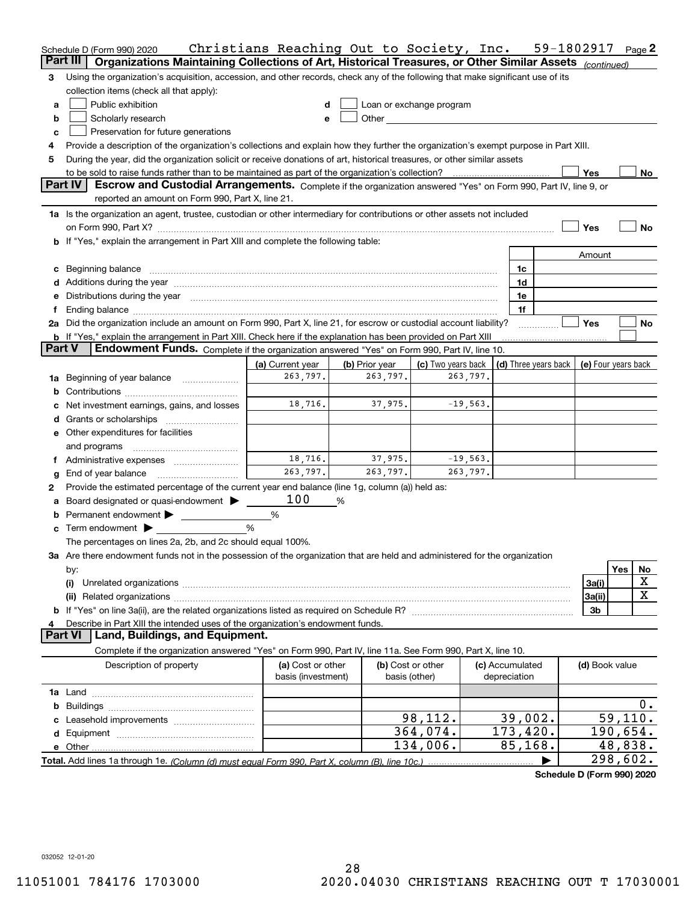|                | Schedule D (Form 990) 2020                                                                                                                                                                                                     | Christians Reaching Out to Society, Inc. |                |                                                                                                                                                                                                                                |            |                                                                             | 59-1802917 |                |          | Page 2 |
|----------------|--------------------------------------------------------------------------------------------------------------------------------------------------------------------------------------------------------------------------------|------------------------------------------|----------------|--------------------------------------------------------------------------------------------------------------------------------------------------------------------------------------------------------------------------------|------------|-----------------------------------------------------------------------------|------------|----------------|----------|--------|
|                | Part III<br>Organizations Maintaining Collections of Art, Historical Treasures, or Other Similar Assets (continued)                                                                                                            |                                          |                |                                                                                                                                                                                                                                |            |                                                                             |            |                |          |        |
| 3              | Using the organization's acquisition, accession, and other records, check any of the following that make significant use of its                                                                                                |                                          |                |                                                                                                                                                                                                                                |            |                                                                             |            |                |          |        |
|                | collection items (check all that apply):                                                                                                                                                                                       |                                          |                |                                                                                                                                                                                                                                |            |                                                                             |            |                |          |        |
| a              | Public exhibition                                                                                                                                                                                                              | d                                        |                | Loan or exchange program                                                                                                                                                                                                       |            |                                                                             |            |                |          |        |
| b              | Scholarly research                                                                                                                                                                                                             | e                                        |                | Other and the control of the control of the control of the control of the control of the control of the control of the control of the control of the control of the control of the control of the control of the control of th |            |                                                                             |            |                |          |        |
| c              | Preservation for future generations                                                                                                                                                                                            |                                          |                |                                                                                                                                                                                                                                |            |                                                                             |            |                |          |        |
| 4              | Provide a description of the organization's collections and explain how they further the organization's exempt purpose in Part XIII.                                                                                           |                                          |                |                                                                                                                                                                                                                                |            |                                                                             |            |                |          |        |
| 5              | During the year, did the organization solicit or receive donations of art, historical treasures, or other similar assets                                                                                                       |                                          |                |                                                                                                                                                                                                                                |            |                                                                             |            |                |          |        |
|                |                                                                                                                                                                                                                                |                                          |                |                                                                                                                                                                                                                                |            |                                                                             |            | <b>Yes</b>     |          | No     |
|                | <b>Part IV</b><br>Escrow and Custodial Arrangements. Complete if the organization answered "Yes" on Form 990, Part IV, line 9, or                                                                                              |                                          |                |                                                                                                                                                                                                                                |            |                                                                             |            |                |          |        |
|                | reported an amount on Form 990, Part X, line 21.                                                                                                                                                                               |                                          |                |                                                                                                                                                                                                                                |            |                                                                             |            |                |          |        |
|                | 1a Is the organization an agent, trustee, custodian or other intermediary for contributions or other assets not included                                                                                                       |                                          |                |                                                                                                                                                                                                                                |            |                                                                             |            |                |          |        |
|                | on Form 990, Part X? [11] matter contracts and contracts and contracts are contracted as a function of the set of the set of the set of the set of the set of the set of the set of the set of the set of the set of the set o |                                          |                |                                                                                                                                                                                                                                |            |                                                                             |            | Yes            |          | No     |
|                | <b>b</b> If "Yes," explain the arrangement in Part XIII and complete the following table:                                                                                                                                      |                                          |                |                                                                                                                                                                                                                                |            |                                                                             |            |                |          |        |
|                |                                                                                                                                                                                                                                |                                          |                |                                                                                                                                                                                                                                |            |                                                                             |            | Amount         |          |        |
|                | c Beginning balance measurements and the contract of the contract of the contract of the contract of the contract of the contract of the contract of the contract of the contract of the contract of the contract of the contr |                                          |                |                                                                                                                                                                                                                                |            | 1c                                                                          |            |                |          |        |
|                | d Additions during the year measurements are all an according to the year measurement of the year measurement                                                                                                                  |                                          |                |                                                                                                                                                                                                                                |            | 1d                                                                          |            |                |          |        |
|                | e Distributions during the year manufactured and continuum and contract the year manufactured and contract the                                                                                                                 |                                          |                |                                                                                                                                                                                                                                |            | 1e                                                                          |            |                |          |        |
| f.             |                                                                                                                                                                                                                                |                                          |                |                                                                                                                                                                                                                                |            | 1f                                                                          |            |                |          |        |
|                | 2a Did the organization include an amount on Form 990, Part X, line 21, for escrow or custodial account liability?                                                                                                             |                                          |                |                                                                                                                                                                                                                                |            |                                                                             |            | <b>Yes</b>     |          | No     |
|                | <b>b</b> If "Yes," explain the arrangement in Part XIII. Check here if the explanation has been provided on Part XIII                                                                                                          |                                          |                |                                                                                                                                                                                                                                |            |                                                                             |            |                |          |        |
|                | <b>Part V</b><br>Endowment Funds. Complete if the organization answered "Yes" on Form 990, Part IV, line 10.                                                                                                                   |                                          |                |                                                                                                                                                                                                                                |            |                                                                             |            |                |          |        |
|                |                                                                                                                                                                                                                                | (a) Current year                         | (b) Prior year |                                                                                                                                                                                                                                |            | (c) Two years back $\vert$ (d) Three years back $\vert$ (e) Four years back |            |                |          |        |
|                | <b>1a</b> Beginning of year balance <i>manumumum</i>                                                                                                                                                                           | 263,797.                                 | 263,797.       |                                                                                                                                                                                                                                | 263,797.   |                                                                             |            |                |          |        |
|                |                                                                                                                                                                                                                                |                                          |                |                                                                                                                                                                                                                                |            |                                                                             |            |                |          |        |
|                | c Net investment earnings, gains, and losses                                                                                                                                                                                   | 18,716.                                  | 37,975.        |                                                                                                                                                                                                                                | $-19,563.$ |                                                                             |            |                |          |        |
|                |                                                                                                                                                                                                                                |                                          |                |                                                                                                                                                                                                                                |            |                                                                             |            |                |          |        |
|                | <b>e</b> Other expenditures for facilities                                                                                                                                                                                     |                                          |                |                                                                                                                                                                                                                                |            |                                                                             |            |                |          |        |
|                |                                                                                                                                                                                                                                |                                          |                |                                                                                                                                                                                                                                |            |                                                                             |            |                |          |        |
|                | f Administrative expenses <i></i>                                                                                                                                                                                              | 18,716.                                  | 37,975.        |                                                                                                                                                                                                                                | $-19,563.$ |                                                                             |            |                |          |        |
| g              | End of year balance                                                                                                                                                                                                            | 263,797.                                 | 263,797.       |                                                                                                                                                                                                                                | 263,797.   |                                                                             |            |                |          |        |
| 2              | Provide the estimated percentage of the current year end balance (line 1g, column (a)) held as:                                                                                                                                |                                          |                |                                                                                                                                                                                                                                |            |                                                                             |            |                |          |        |
|                | <b>a</b> Board designated or quasi-endowment <b>D</b>                                                                                                                                                                          | 100                                      | %              |                                                                                                                                                                                                                                |            |                                                                             |            |                |          |        |
|                | <b>b</b> Permanent endowment > __________                                                                                                                                                                                      | %                                        |                |                                                                                                                                                                                                                                |            |                                                                             |            |                |          |        |
|                | $\mathbf c$ Term endowment $\blacktriangleright$                                                                                                                                                                               | %                                        |                |                                                                                                                                                                                                                                |            |                                                                             |            |                |          |        |
|                | The percentages on lines 2a, 2b, and 2c should equal 100%.                                                                                                                                                                     |                                          |                |                                                                                                                                                                                                                                |            |                                                                             |            |                |          |        |
|                | 3a Are there endowment funds not in the possession of the organization that are held and administered for the organization                                                                                                     |                                          |                |                                                                                                                                                                                                                                |            |                                                                             |            |                |          |        |
|                | by:                                                                                                                                                                                                                            |                                          |                |                                                                                                                                                                                                                                |            |                                                                             |            |                | Yes      | No     |
|                | (i)                                                                                                                                                                                                                            |                                          |                |                                                                                                                                                                                                                                |            |                                                                             |            | 3a(i)          |          | X      |
|                |                                                                                                                                                                                                                                |                                          |                |                                                                                                                                                                                                                                |            |                                                                             |            | 3a(ii)         |          | X      |
|                |                                                                                                                                                                                                                                |                                          |                |                                                                                                                                                                                                                                |            |                                                                             |            | 3 <sub>b</sub> |          |        |
| 4              | Describe in Part XIII the intended uses of the organization's endowment funds.                                                                                                                                                 |                                          |                |                                                                                                                                                                                                                                |            |                                                                             |            |                |          |        |
| <b>Part VI</b> | Land, Buildings, and Equipment.                                                                                                                                                                                                |                                          |                |                                                                                                                                                                                                                                |            |                                                                             |            |                |          |        |
|                | Complete if the organization answered "Yes" on Form 990, Part IV, line 11a. See Form 990, Part X, line 10.                                                                                                                     |                                          |                |                                                                                                                                                                                                                                |            |                                                                             |            |                |          |        |
|                | Description of property                                                                                                                                                                                                        | (a) Cost or other                        |                | (b) Cost or other                                                                                                                                                                                                              |            | (c) Accumulated                                                             |            | (d) Book value |          |        |
|                |                                                                                                                                                                                                                                | basis (investment)                       |                | basis (other)                                                                                                                                                                                                                  |            | depreciation                                                                |            |                |          |        |
|                |                                                                                                                                                                                                                                |                                          |                |                                                                                                                                                                                                                                |            |                                                                             |            |                |          |        |
|                |                                                                                                                                                                                                                                |                                          |                |                                                                                                                                                                                                                                |            |                                                                             |            |                |          | 0.     |
|                |                                                                                                                                                                                                                                |                                          |                | 98,112.                                                                                                                                                                                                                        |            | 39,002.                                                                     |            |                | 59, 110. |        |
|                |                                                                                                                                                                                                                                |                                          |                | 364,074.                                                                                                                                                                                                                       |            | 173,420.                                                                    |            |                | 190,654. |        |
|                |                                                                                                                                                                                                                                |                                          |                | 134,006.                                                                                                                                                                                                                       |            | 85,168.                                                                     |            |                | 48,838.  |        |
|                |                                                                                                                                                                                                                                |                                          |                |                                                                                                                                                                                                                                |            |                                                                             |            |                | 298,602. |        |
|                |                                                                                                                                                                                                                                |                                          |                |                                                                                                                                                                                                                                |            |                                                                             |            |                |          |        |

**Schedule D (Form 990) 2020**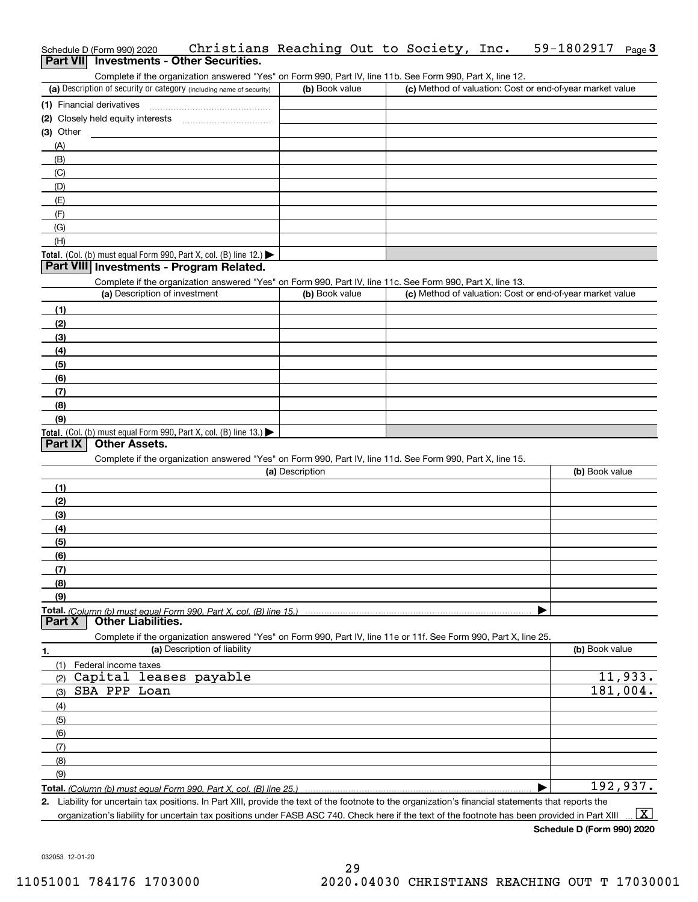| Schedule D (Form 990) 2020 | Christians Reaching Out to Society, Inc.                                                                   |  |  | $59-1802917$ Page 3 |  |
|----------------------------|------------------------------------------------------------------------------------------------------------|--|--|---------------------|--|
|                            | Part VII Investments - Other Securities.                                                                   |  |  |                     |  |
|                            | Complete if the organization answered "Yes" on Form 990, Part IV, line 11b. See Form 990, Part X, line 12. |  |  |                     |  |

| (a) Description of security or category (including name of security)                          | (b) Book value | (c) Method of valuation: Cost or end-of-year market value |
|-----------------------------------------------------------------------------------------------|----------------|-----------------------------------------------------------|
| (1) Financial derivatives                                                                     |                |                                                           |
| (2) Closely held equity interests                                                             |                |                                                           |
| $(3)$ Other                                                                                   |                |                                                           |
| (A)                                                                                           |                |                                                           |
| (B)                                                                                           |                |                                                           |
| (C)                                                                                           |                |                                                           |
| (D)                                                                                           |                |                                                           |
| (E)                                                                                           |                |                                                           |
| (F)                                                                                           |                |                                                           |
| (G)                                                                                           |                |                                                           |
| (H)                                                                                           |                |                                                           |
| <b>Total.</b> (Col. (b) must equal Form 990, Part X, col. (B) line 12.) $\blacktriangleright$ |                |                                                           |

### **Part VIII Investments - Program Related.**

Complete if the organization answered "Yes" on Form 990, Part IV, line 11c. See Form 990, Part X, line 13.

| (a) Description of investment                                       | (b) Book value | (c) Method of valuation: Cost or end-of-year market value |
|---------------------------------------------------------------------|----------------|-----------------------------------------------------------|
| (1)                                                                 |                |                                                           |
| (2)                                                                 |                |                                                           |
| $\qquad \qquad (3)$                                                 |                |                                                           |
| (4)                                                                 |                |                                                           |
| (5)                                                                 |                |                                                           |
| (6)                                                                 |                |                                                           |
| (7)                                                                 |                |                                                           |
| (8)                                                                 |                |                                                           |
| (9)                                                                 |                |                                                           |
| Total. (Col. (b) must equal Form 990, Part X, col. (B) line $13.$ ) |                |                                                           |

## **Part IX Other Assets.**

Complete if the organization answered "Yes" on Form 990, Part IV, line 11d. See Form 990, Part X, line 15.

| (a) Description                                                                                                   | (b) Book value |
|-------------------------------------------------------------------------------------------------------------------|----------------|
| (1)                                                                                                               |                |
| (2)                                                                                                               |                |
| $\frac{1}{2}$                                                                                                     |                |
| (4)                                                                                                               |                |
| (5)                                                                                                               |                |
| (6)                                                                                                               |                |
|                                                                                                                   |                |
| (8)                                                                                                               |                |
| (9)                                                                                                               |                |
|                                                                                                                   |                |
| Part X<br><b>Other Liabilities.</b>                                                                               |                |
| Complete if the organization answered "Yes" on Form 990, Part IV, line 11e or 11f. See Form 990, Part X, line 25. |                |

**1.(a)** Description of liability **Book value** Book value Book value Book value Book value **Total.**  *(Column (b) must equal Form 990, Part X, col. (B) line 25.)* (1)Federal income taxes (2)(3)(4)(5) (6)(7)(8)(9)Capital leases payable SBA PPP Loan 11,933. 181,004. 192,937.

| Liability for uncertain tax positions. In Part XIII, provide the text of the footnote to the organization's financial statements that reports the

**2.**organization's liability for uncertain tax positions under FASB ASC 740. Check here if the text of the footnote has been provided in Part XIII  $\boxed{\text{X}}$ 

**Schedule D (Form 990) 2020**

032053 12-01-20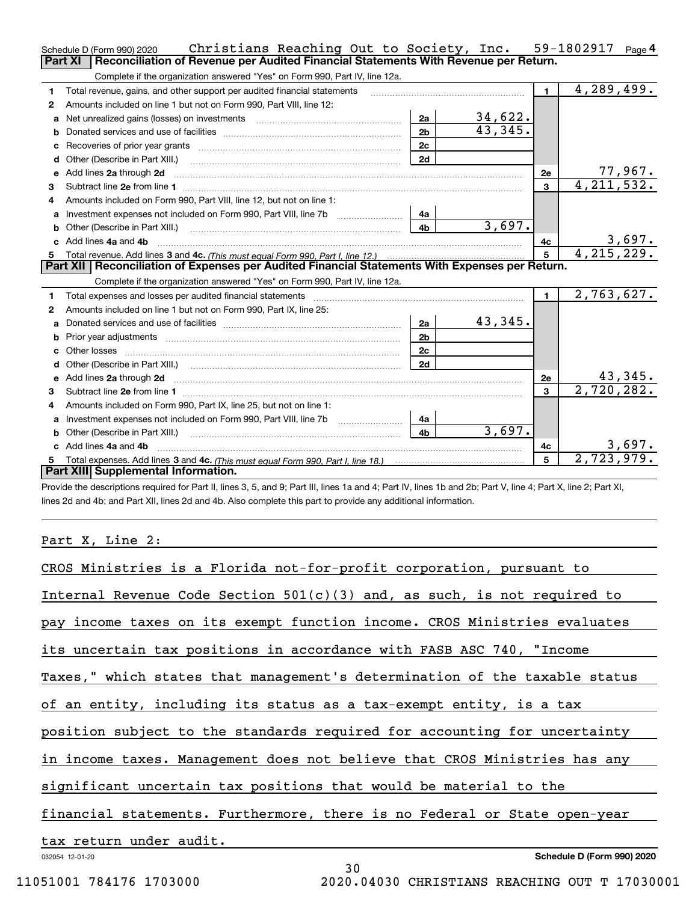|    | Christians Reaching Out to Society, Inc.<br>Schedule D (Form 990) 2020                                                                                                                                                              |                |         |                         | 59-1802917 Page 4          |
|----|-------------------------------------------------------------------------------------------------------------------------------------------------------------------------------------------------------------------------------------|----------------|---------|-------------------------|----------------------------|
|    | Reconciliation of Revenue per Audited Financial Statements With Revenue per Return.<br>Part XI                                                                                                                                      |                |         |                         |                            |
|    | Complete if the organization answered "Yes" on Form 990, Part IV, line 12a.                                                                                                                                                         |                |         |                         |                            |
| 1  | Total revenue, gains, and other support per audited financial statements                                                                                                                                                            |                |         | $\blacksquare$          | $\overline{4}$ , 289, 499. |
| 2  | Amounts included on line 1 but not on Form 990, Part VIII, line 12:                                                                                                                                                                 |                |         |                         |                            |
| a  | Net unrealized gains (losses) on investments [11] matter contracts and the unrealized gains (losses) on investments                                                                                                                 | 2a             | 34,622. |                         |                            |
| b  |                                                                                                                                                                                                                                     | 2 <sub>b</sub> | 43,345. |                         |                            |
|    |                                                                                                                                                                                                                                     | 2 <sub>c</sub> |         |                         |                            |
| d  |                                                                                                                                                                                                                                     | 2d             |         |                         |                            |
| e  | Add lines 2a through 2d                                                                                                                                                                                                             |                |         | 2e                      | 77,967.                    |
| 3  |                                                                                                                                                                                                                                     |                |         | 3                       | 4, 211, 532.               |
| 4  | Amounts included on Form 990, Part VIII, line 12, but not on line 1:                                                                                                                                                                |                |         |                         |                            |
| a  |                                                                                                                                                                                                                                     | 4a             |         |                         |                            |
|    |                                                                                                                                                                                                                                     | 4 <sub>b</sub> | 3,697.  |                         |                            |
|    | Add lines 4a and 4b                                                                                                                                                                                                                 |                |         | 4с                      | 3,697.                     |
| 5  |                                                                                                                                                                                                                                     |                |         |                         | 4, 215, 229.               |
|    | Part XII   Reconciliation of Expenses per Audited Financial Statements With Expenses per Return.                                                                                                                                    |                |         |                         |                            |
|    | Complete if the organization answered "Yes" on Form 990, Part IV, line 12a.                                                                                                                                                         |                |         |                         |                            |
|    |                                                                                                                                                                                                                                     |                |         |                         |                            |
| 1. |                                                                                                                                                                                                                                     |                |         | $\mathbf{1}$            | 2,763,627.                 |
| 2  | Amounts included on line 1 but not on Form 990, Part IX, line 25:                                                                                                                                                                   |                |         |                         |                            |
| a  |                                                                                                                                                                                                                                     | 2a             | 43,345. |                         |                            |
|    |                                                                                                                                                                                                                                     | 2 <sub>b</sub> |         |                         |                            |
|    |                                                                                                                                                                                                                                     | 2c             |         |                         |                            |
|    |                                                                                                                                                                                                                                     | 2d             |         |                         |                            |
| e  |                                                                                                                                                                                                                                     |                |         | <b>2e</b>               | 43,345.                    |
| 3  | Add lines 2a through 2d <b>contract and all anomalisation</b> and all and all anomalisation of the state of the state of the state of the state of the state of the state of the state of the state of the state of the state of th |                |         | $\overline{\mathbf{3}}$ | 2,720,282.                 |
| 4  | Amounts included on Form 990, Part IX, line 25, but not on line 1:                                                                                                                                                                  |                |         |                         |                            |
| a  |                                                                                                                                                                                                                                     | 4a             |         |                         |                            |
|    | Investment expenses not included on Form 990, Part VIII, line 7b [11, 111, 111, 111]                                                                                                                                                | 4 <sub>b</sub> | 3.697.  |                         |                            |
|    | Add lines 4a and 4b                                                                                                                                                                                                                 |                |         | 4с                      | 3,697.                     |
| 5  |                                                                                                                                                                                                                                     |                |         | 5                       | 2,723,979.                 |
|    | Part XIII Supplemental Information.                                                                                                                                                                                                 |                |         |                         |                            |

lines 2d and 4b; and Part XII, lines 2d and 4b. Also complete this part to provide any additional information.

Part X, Line 2:

| Schedule D (Form 990) 2020<br>032054 12-01-20<br>30                        |
|----------------------------------------------------------------------------|
| tax return under audit.                                                    |
| financial statements. Furthermore, there is no Federal or State open-year  |
| significant uncertain tax positions that would be material to the          |
| in income taxes. Management does not believe that CROS Ministries has any  |
| position subject to the standards required for accounting for uncertainty  |
| of an entity, including its status as a tax-exempt entity, is a tax        |
| Taxes," which states that management's determination of the taxable status |
| its uncertain tax positions in accordance with FASB ASC 740, "Income       |
| pay income taxes on its exempt function income. CROS Ministries evaluates  |
| Internal Revenue Code Section $501(c)(3)$ and, as such, is not required to |
| CROS Ministries is a Florida not-for-profit corporation, pursuant to       |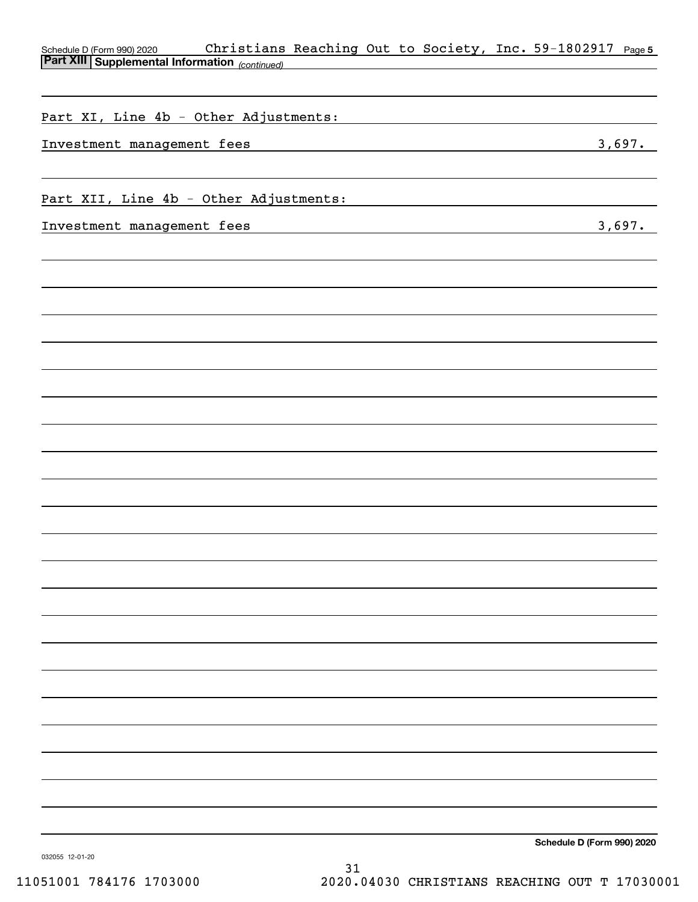| Schedule D (Form 990) 2020                                       |  |                                                                                                                      | Christians Reaching Out to Society, Inc. 59-1802917 Page 5 |                            |
|------------------------------------------------------------------|--|----------------------------------------------------------------------------------------------------------------------|------------------------------------------------------------|----------------------------|
| <b>Part XIII</b> Supplemental Information <sub>(continued)</sub> |  |                                                                                                                      |                                                            |                            |
|                                                                  |  |                                                                                                                      |                                                            |                            |
| Part XI, Line 4b - Other Adjustments:                            |  |                                                                                                                      |                                                            |                            |
| Investment management fees                                       |  |                                                                                                                      |                                                            | 3,697.                     |
|                                                                  |  |                                                                                                                      |                                                            |                            |
|                                                                  |  |                                                                                                                      |                                                            |                            |
| Part XII, Line 4b - Other Adjustments:                           |  |                                                                                                                      |                                                            |                            |
| Investment management fees                                       |  | <u> 1989 - Johann Stein, marwolaethau a bhann an t-Amhair an t-Amhair an t-Amhair an t-Amhair an t-Amhair an t-A</u> |                                                            | 3,697.                     |
|                                                                  |  |                                                                                                                      |                                                            |                            |
|                                                                  |  |                                                                                                                      |                                                            |                            |
|                                                                  |  |                                                                                                                      |                                                            |                            |
|                                                                  |  |                                                                                                                      |                                                            |                            |
|                                                                  |  |                                                                                                                      |                                                            |                            |
|                                                                  |  |                                                                                                                      |                                                            |                            |
|                                                                  |  |                                                                                                                      |                                                            |                            |
|                                                                  |  |                                                                                                                      |                                                            |                            |
|                                                                  |  |                                                                                                                      |                                                            |                            |
|                                                                  |  |                                                                                                                      |                                                            |                            |
|                                                                  |  |                                                                                                                      |                                                            |                            |
|                                                                  |  |                                                                                                                      |                                                            |                            |
|                                                                  |  |                                                                                                                      |                                                            |                            |
|                                                                  |  |                                                                                                                      |                                                            |                            |
|                                                                  |  |                                                                                                                      |                                                            |                            |
|                                                                  |  |                                                                                                                      |                                                            |                            |
|                                                                  |  |                                                                                                                      |                                                            |                            |
|                                                                  |  |                                                                                                                      |                                                            |                            |
|                                                                  |  |                                                                                                                      |                                                            |                            |
|                                                                  |  |                                                                                                                      |                                                            |                            |
|                                                                  |  |                                                                                                                      |                                                            |                            |
|                                                                  |  |                                                                                                                      |                                                            |                            |
|                                                                  |  |                                                                                                                      |                                                            |                            |
|                                                                  |  |                                                                                                                      |                                                            |                            |
|                                                                  |  |                                                                                                                      |                                                            |                            |
|                                                                  |  |                                                                                                                      |                                                            |                            |
|                                                                  |  |                                                                                                                      |                                                            |                            |
|                                                                  |  |                                                                                                                      |                                                            |                            |
|                                                                  |  |                                                                                                                      |                                                            | Schedule D (Form 990) 2020 |

032055 12-01-20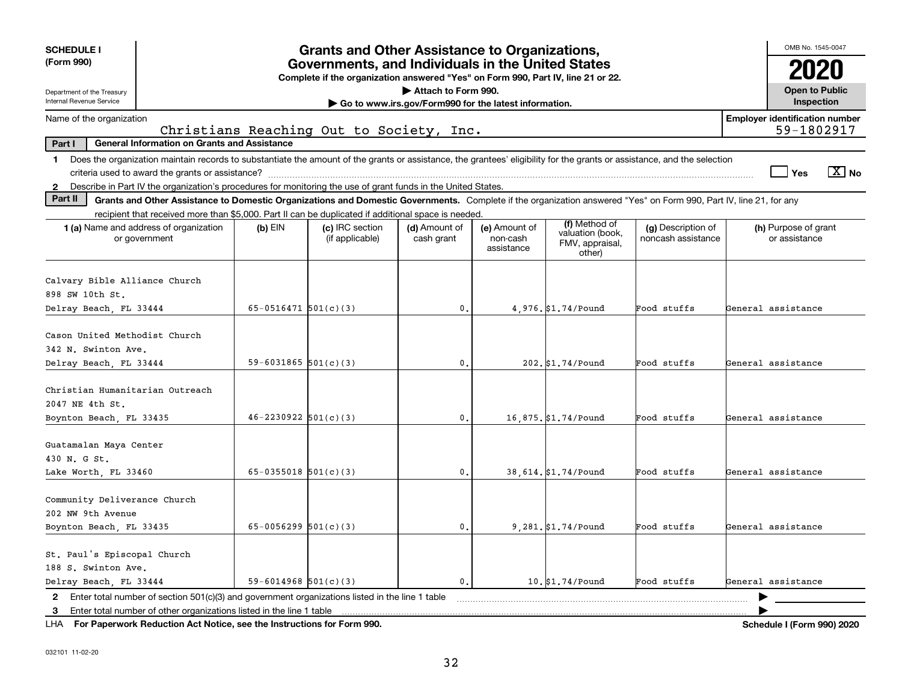| <b>SCHEDULE I</b><br>(Form 990)                                                                                                                                                                                                                                                                                                                                                                           | <b>Grants and Other Assistance to Organizations,</b><br>Governments, and Individuals in the United States<br>Complete if the organization answered "Yes" on Form 990, Part IV, line 21 or 22. |  |                |  |                      |             |  |                    |                                       |  |  |  |
|-----------------------------------------------------------------------------------------------------------------------------------------------------------------------------------------------------------------------------------------------------------------------------------------------------------------------------------------------------------------------------------------------------------|-----------------------------------------------------------------------------------------------------------------------------------------------------------------------------------------------|--|----------------|--|----------------------|-------------|--|--------------------|---------------------------------------|--|--|--|
| Department of the Treasury<br>Internal Revenue Service                                                                                                                                                                                                                                                                                                                                                    | Attach to Form 990.<br>Go to www.irs.gov/Form990 for the latest information.                                                                                                                  |  |                |  |                      |             |  |                    |                                       |  |  |  |
| <b>Employer identification number</b><br>Name of the organization<br>Christians Reaching Out to Society, Inc.<br>59-1802917                                                                                                                                                                                                                                                                               |                                                                                                                                                                                               |  |                |  |                      |             |  |                    |                                       |  |  |  |
| <b>General Information on Grants and Assistance</b><br>Part I                                                                                                                                                                                                                                                                                                                                             |                                                                                                                                                                                               |  |                |  |                      |             |  |                    |                                       |  |  |  |
| 1 Does the organization maintain records to substantiate the amount of the grants or assistance, the grantees' eligibility for the grants or assistance, and the selection<br>Yes                                                                                                                                                                                                                         |                                                                                                                                                                                               |  |                |  |                      |             |  |                    |                                       |  |  |  |
| 2 Describe in Part IV the organization's procedures for monitoring the use of grant funds in the United States.<br>Part II                                                                                                                                                                                                                                                                                |                                                                                                                                                                                               |  |                |  |                      |             |  |                    |                                       |  |  |  |
| Grants and Other Assistance to Domestic Organizations and Domestic Governments. Complete if the organization answered "Yes" on Form 990, Part IV, line 21, for any                                                                                                                                                                                                                                        |                                                                                                                                                                                               |  |                |  |                      |             |  |                    |                                       |  |  |  |
| recipient that received more than \$5,000. Part II can be duplicated if additional space is needed.<br>(f) Method of<br>1 (a) Name and address of organization<br>(c) IRC section<br>(d) Amount of<br>(g) Description of<br>$(b)$ EIN<br>(e) Amount of<br>valuation (book,<br>or government<br>(if applicable)<br>cash grant<br>non-cash<br>noncash assistance<br>FMV, appraisal,<br>assistance<br>other) |                                                                                                                                                                                               |  |                |  |                      |             |  |                    | (h) Purpose of grant<br>or assistance |  |  |  |
| Calvary Bible Alliance Church<br>898 SW 10th St.                                                                                                                                                                                                                                                                                                                                                          |                                                                                                                                                                                               |  |                |  |                      |             |  |                    |                                       |  |  |  |
| Delray Beach, FL 33444                                                                                                                                                                                                                                                                                                                                                                                    | $65 - 0516471$ $501(c)(3)$                                                                                                                                                                    |  | 0.             |  | 4.976. \$1.74/Pound  | Food stuffs |  | General assistance |                                       |  |  |  |
| Cason United Methodist Church<br>342 N. Swinton Ave.<br>Delray Beach, FL 33444                                                                                                                                                                                                                                                                                                                            | $59 - 6031865$ 501(c)(3)                                                                                                                                                                      |  | $\mathbf{0}$ . |  | 202.\$1.74/Pound     | Food stuffs |  | General assistance |                                       |  |  |  |
| Christian Humanitarian Outreach<br>2047 NE 4th St.<br>Boynton Beach, FL 33435                                                                                                                                                                                                                                                                                                                             | $46 - 2230922$ $501(c)(3)$                                                                                                                                                                    |  | $\mathbf{0}$ . |  | 16,875.\$1.74/Pound  | Food stuffs |  | General assistance |                                       |  |  |  |
| Guatamalan Maya Center<br>430 N. G St.<br>Lake Worth, FL 33460                                                                                                                                                                                                                                                                                                                                            | $65-0355018$ $501(c)(3)$                                                                                                                                                                      |  | 0.             |  | 38,614. \$1.74/Pound | Food stuffs |  | General assistance |                                       |  |  |  |
| Community Deliverance Church<br>202 NW 9th Avenue<br>Boynton Beach, FL 33435                                                                                                                                                                                                                                                                                                                              | $65-0056299$ $501(c)(3)$                                                                                                                                                                      |  | $\mathbf{0}$ . |  | 9.281. \$1.74/Pound  | Food stuffs |  | General assistance |                                       |  |  |  |
| St. Paul's Episcopal Church<br>188 S. Swinton Ave.<br>Delray Beach, FL 33444                                                                                                                                                                                                                                                                                                                              | $59-6014968$ $501(c)(3)$                                                                                                                                                                      |  | $\mathbf{0}$ . |  | 10.\$1.74/Pound      | Food stuffs |  | General assistance |                                       |  |  |  |
| 2 Enter total number of section 501(c)(3) and government organizations listed in the line 1 table<br>3 Enter total number of other organizations listed in the line 1 table                                                                                                                                                                                                                               |                                                                                                                                                                                               |  |                |  |                      |             |  |                    |                                       |  |  |  |

**For Paperwork Reduction Act Notice, see the Instructions for Form 990. Schedule I (Form 990) 2020** LHA

Schedule I (Form 990) 2020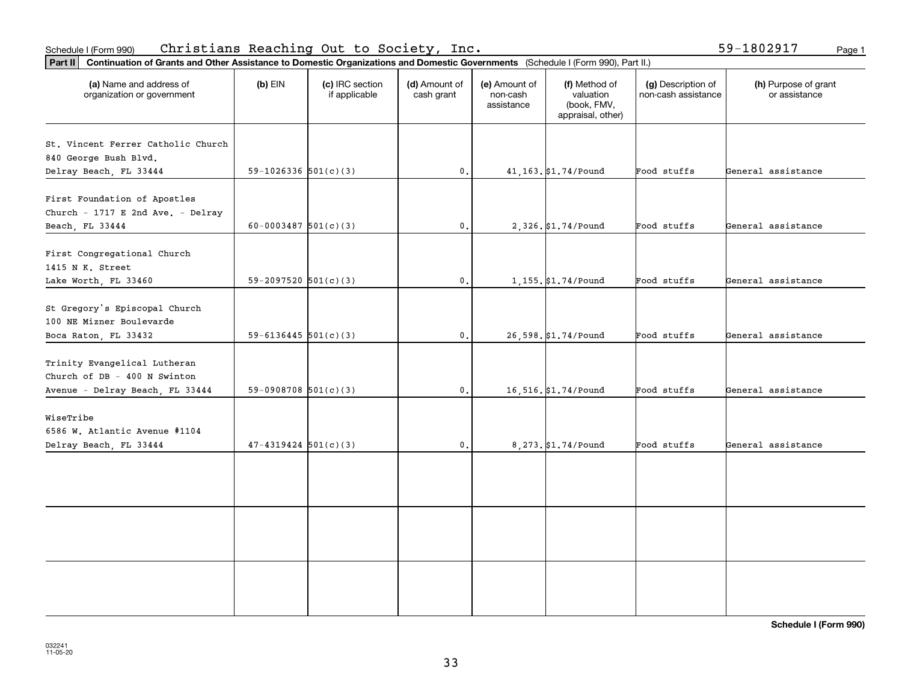| (a) Name and address of<br>organization or government                                                     | $(b)$ EIN                                                | (c) IRC section<br>if applicable | (d) Amount of<br>cash grant | (e) Amount of<br>non-cash<br>assistance | (f) Method of<br>valuation<br>(book, FMV,<br>appraisal, other) | (g) Description of<br>non-cash assistance | (h) Purpose of grant<br>or assistance    |
|-----------------------------------------------------------------------------------------------------------|----------------------------------------------------------|----------------------------------|-----------------------------|-----------------------------------------|----------------------------------------------------------------|-------------------------------------------|------------------------------------------|
| St. Vincent Ferrer Catholic Church<br>840 George Bush Blvd.                                               |                                                          |                                  |                             |                                         |                                                                |                                           |                                          |
| Delray Beach, FL 33444                                                                                    | $59-1026336$ $501(c)(3)$                                 |                                  | 0.                          |                                         | 41, 163. \$1.74/Pound                                          | Food stuffs                               | General assistance                       |
| First Foundation of Apostles<br>Church - 1717 E 2nd Ave. - Delray<br>Beach, FL 33444                      | $60 - 0003487$ $501(c)(3)$                               |                                  | 0.                          |                                         | 2,326. \$1.74/Pound                                            | Food stuffs                               | General assistance                       |
| First Congregational Church<br>1415 N K. Street                                                           |                                                          |                                  |                             |                                         |                                                                |                                           |                                          |
| Lake Worth, FL 33460<br>St Gregory's Episcopal Church<br>100 NE Mizner Boulevarde<br>Boca Raton, FL 33432 | $59 - 2097520$ $501(c)(3)$<br>$59 - 6136445$ $501(c)(3)$ |                                  | 0.<br>0.                    |                                         | 1,155.\$1.74/Pound<br>26,598. \$1.74/Pound                     | Food stuffs<br>Food stuffs                | General assistance<br>General assistance |
| Trinity Evangelical Lutheran<br>Church of DB - 400 N Swinton<br>Avenue - Delray Beach, FL 33444           | $59-0908708$ $501(c)(3)$                                 |                                  | 0.                          |                                         | 16,516.\$1.74/Pound                                            | Food stuffs                               | General assistance                       |
| WiseTribe<br>6586 W. Atlantic Avenue #1104<br>Delray Beach, FL 33444                                      | $47 - 4319424$ 501(c)(3)                                 |                                  | $\mathbf{0}$ .              |                                         | 8,273.\$1.74/Pound                                             | Food stuffs                               | General assistance                       |
|                                                                                                           |                                                          |                                  |                             |                                         |                                                                |                                           |                                          |
|                                                                                                           |                                                          |                                  |                             |                                         |                                                                |                                           |                                          |

## Schedule I(Form 990) Christians Reaching Out to Society, Inc. 59-1802917 <sub>Page 1</sub>

**Schedule I (Form 990)**

59-1802917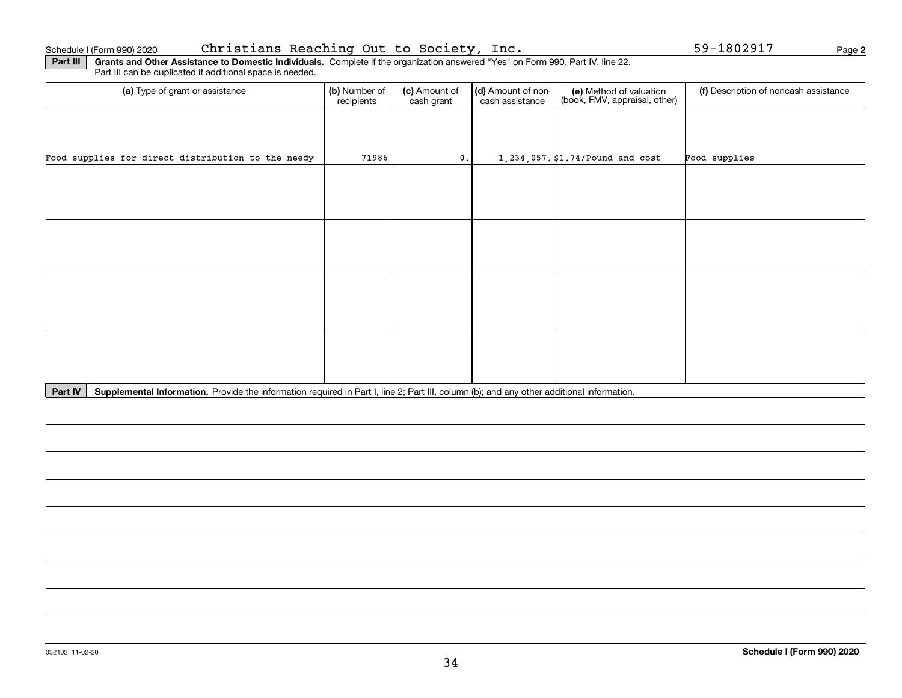### Schedule I (Form 990) 2020 Christians Reaching Out to Society, Inc. 59-1802917 Page

**2**

**Part III | Grants and Other Assistance to Domestic Individuals. Complete if the organization answered "Yes" on Form 990, Part IV, line 22.** Part III can be duplicated if additional space is needed.

| (a) Type of grant or assistance                    | (b) Number of<br>recipients | (c) Amount of<br>cash grant | (d) Amount of non-<br>cash assistance | (e) Method of valuation<br>(book, FMV, appraisal, other) | (f) Description of noncash assistance |  |
|----------------------------------------------------|-----------------------------|-----------------------------|---------------------------------------|----------------------------------------------------------|---------------------------------------|--|
|                                                    |                             |                             |                                       |                                                          |                                       |  |
| Food supplies for direct distribution to the needy | 71986                       | 0.                          |                                       | 1,234,057. \$1.74/Pound and cost                         | Food supplies                         |  |
|                                                    |                             |                             |                                       |                                                          |                                       |  |
|                                                    |                             |                             |                                       |                                                          |                                       |  |
|                                                    |                             |                             |                                       |                                                          |                                       |  |
|                                                    |                             |                             |                                       |                                                          |                                       |  |
|                                                    |                             |                             |                                       |                                                          |                                       |  |
|                                                    |                             |                             |                                       |                                                          |                                       |  |
|                                                    |                             |                             |                                       |                                                          |                                       |  |
|                                                    |                             |                             |                                       |                                                          |                                       |  |

**Part IV** | Supplemental Information. Provide the information required in Part I, line 2; Part III, column (b); and any other additional information.<br>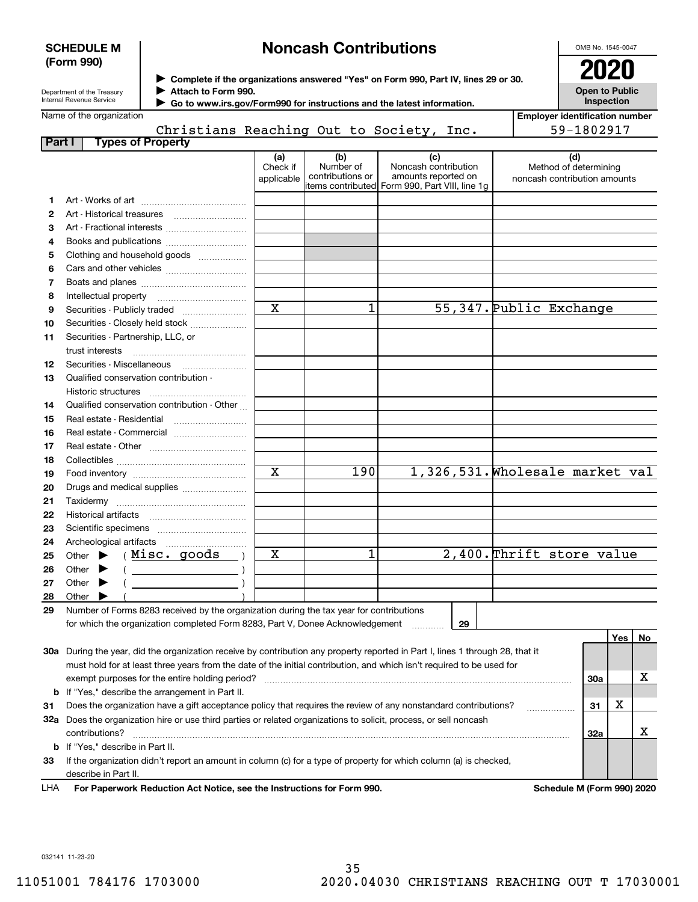## **SCHEDULE M (Form 990)**

# **Noncash Contributions**

OMB No. 1545-0047

| Department of the Treasury |
|----------------------------|
| Internal Revenue Service   |

**Complete if the organizations answered "Yes" on Form 990, Part IV, lines 29 or 30.** <sup>J</sup>**2020 Attach to Form 990.** J

**Open to Public Inspection**

|  | Name of the organization |
|--|--------------------------|

| Go to www.irs.gov/Form990 for instructions and the latest information. | Inspection |                                |
|------------------------------------------------------------------------|------------|--------------------------------|
|                                                                        |            | Emplover identification number |
| Christians Reaching Out to Society, Inc.                               |            | 59-1802917                     |
|                                                                        |            |                                |

| Part I | <b>Types of Property</b>                                                                                                                                                  |                               |                                                           |                                                                                    |                                                              |     |     |    |
|--------|---------------------------------------------------------------------------------------------------------------------------------------------------------------------------|-------------------------------|-----------------------------------------------------------|------------------------------------------------------------------------------------|--------------------------------------------------------------|-----|-----|----|
|        |                                                                                                                                                                           | (a)<br>Check if<br>applicable | (b)<br>Number of<br>contributions or<br>items contributed | (c)<br>Noncash contribution<br>amounts reported on<br>Form 990, Part VIII, line 1g | (d)<br>Method of determining<br>noncash contribution amounts |     |     |    |
| 1      |                                                                                                                                                                           |                               |                                                           |                                                                                    |                                                              |     |     |    |
| 2      |                                                                                                                                                                           |                               |                                                           |                                                                                    |                                                              |     |     |    |
| З      | Art - Fractional interests                                                                                                                                                |                               |                                                           |                                                                                    |                                                              |     |     |    |
| 4      | Books and publications                                                                                                                                                    |                               |                                                           |                                                                                    |                                                              |     |     |    |
| 5      | Clothing and household goods                                                                                                                                              |                               |                                                           |                                                                                    |                                                              |     |     |    |
| 6      |                                                                                                                                                                           |                               |                                                           |                                                                                    |                                                              |     |     |    |
| 7      |                                                                                                                                                                           |                               |                                                           |                                                                                    |                                                              |     |     |    |
| 8      |                                                                                                                                                                           |                               |                                                           |                                                                                    |                                                              |     |     |    |
| 9      | Securities - Publicly traded                                                                                                                                              | X                             | 1                                                         |                                                                                    | 55,347. Public Exchange                                      |     |     |    |
| 10     | Securities - Closely held stock                                                                                                                                           |                               |                                                           |                                                                                    |                                                              |     |     |    |
| 11     | Securities - Partnership, LLC, or<br>trust interests                                                                                                                      |                               |                                                           |                                                                                    |                                                              |     |     |    |
| 12     |                                                                                                                                                                           |                               |                                                           |                                                                                    |                                                              |     |     |    |
| 13     | Qualified conservation contribution -                                                                                                                                     |                               |                                                           |                                                                                    |                                                              |     |     |    |
|        |                                                                                                                                                                           |                               |                                                           |                                                                                    |                                                              |     |     |    |
| 14     | Qualified conservation contribution - Other                                                                                                                               |                               |                                                           |                                                                                    |                                                              |     |     |    |
| 15     | Real estate - Residential                                                                                                                                                 |                               |                                                           |                                                                                    |                                                              |     |     |    |
| 16     | Real estate - Commercial                                                                                                                                                  |                               |                                                           |                                                                                    |                                                              |     |     |    |
| 17     |                                                                                                                                                                           |                               |                                                           |                                                                                    |                                                              |     |     |    |
| 18     |                                                                                                                                                                           |                               |                                                           |                                                                                    |                                                              |     |     |    |
| 19     |                                                                                                                                                                           | X                             | 190                                                       |                                                                                    | 1,326,531. Wholesale market val                              |     |     |    |
| 20     | Drugs and medical supplies                                                                                                                                                |                               |                                                           |                                                                                    |                                                              |     |     |    |
| 21     |                                                                                                                                                                           |                               |                                                           |                                                                                    |                                                              |     |     |    |
| 22     |                                                                                                                                                                           |                               |                                                           |                                                                                    |                                                              |     |     |    |
| 23     |                                                                                                                                                                           |                               |                                                           |                                                                                    |                                                              |     |     |    |
| 24     | Archeological artifacts                                                                                                                                                   |                               |                                                           |                                                                                    |                                                              |     |     |    |
| 25     | (Misc. goods<br>Other $\blacktriangleright$                                                                                                                               | X                             | 1                                                         |                                                                                    | 2,400. Thrift store value                                    |     |     |    |
| 26     | Other                                                                                                                                                                     |                               |                                                           |                                                                                    |                                                              |     |     |    |
| 27     | Other<br>▶                                                                                                                                                                |                               |                                                           |                                                                                    |                                                              |     |     |    |
| 28     | Other                                                                                                                                                                     |                               |                                                           |                                                                                    |                                                              |     |     |    |
| 29     | Number of Forms 8283 received by the organization during the tax year for contributions                                                                                   |                               |                                                           |                                                                                    |                                                              |     |     |    |
|        | for which the organization completed Form 8283, Part V, Donee Acknowledgement                                                                                             |                               |                                                           | 29                                                                                 |                                                              |     |     |    |
|        |                                                                                                                                                                           |                               |                                                           |                                                                                    |                                                              |     | Yes | No |
|        | 30a During the year, did the organization receive by contribution any property reported in Part I, lines 1 through 28, that it                                            |                               |                                                           |                                                                                    |                                                              |     |     |    |
|        | must hold for at least three years from the date of the initial contribution, and which isn't required to be used for                                                     |                               |                                                           |                                                                                    |                                                              |     |     |    |
|        | exempt purposes for the entire holding period?                                                                                                                            |                               |                                                           |                                                                                    |                                                              | 30a |     | х  |
|        | <b>b</b> If "Yes," describe the arrangement in Part II.<br>Does the organization have a gift acceptance policy that requires the review of any nonstandard contributions? |                               |                                                           |                                                                                    |                                                              |     | х   |    |
| 31     | 32a Does the organization hire or use third parties or related organizations to solicit, process, or sell noncash                                                         |                               |                                                           |                                                                                    |                                                              | 31  |     |    |
|        | contributions?                                                                                                                                                            |                               |                                                           |                                                                                    |                                                              | 32a |     | х  |
|        | <b>b</b> If "Yes," describe in Part II.                                                                                                                                   |                               |                                                           |                                                                                    |                                                              |     |     |    |

**33**If the organization didn't report an amount in column (c) for a type of property for which column (a) is checked, describe in Part II.

For Paperwork Reduction Act Notice, see the Instructions for Form 990. **Schedule M (Form 990) 2020** LHA

032141 11-23-20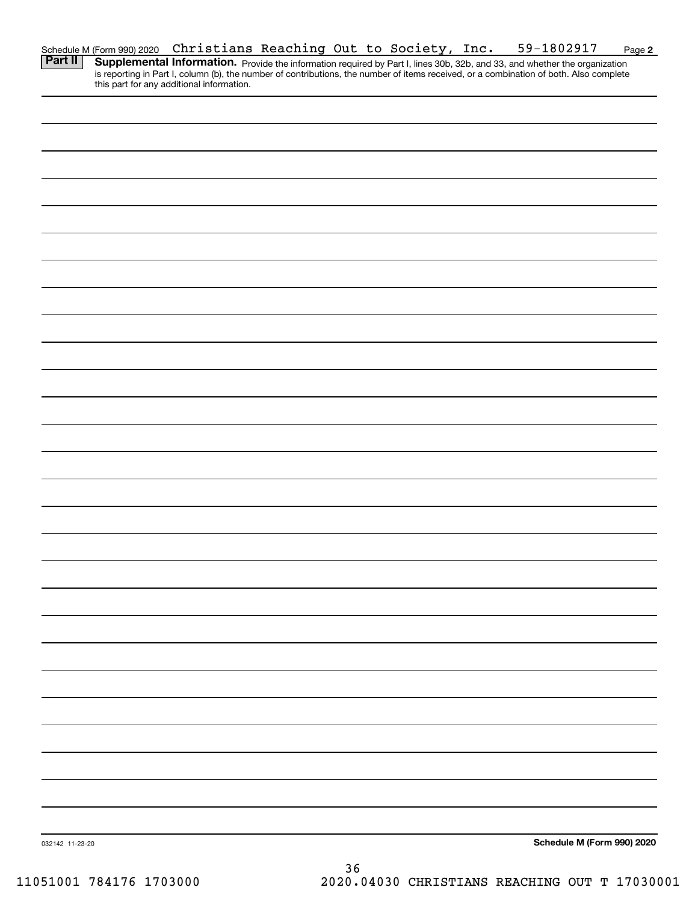|                 | Schedule M (Form 990) 2020<br><b>Part II</b>   Supplementa | Christians Reaching Out to Society, Inc.  |  |  | 59-1802917                                                                                                                                                                                                                                                           | Page 2 |
|-----------------|------------------------------------------------------------|-------------------------------------------|--|--|----------------------------------------------------------------------------------------------------------------------------------------------------------------------------------------------------------------------------------------------------------------------|--------|
|                 |                                                            | this part for any additional information. |  |  | Supplemental Information. Provide the information required by Part I, lines 30b, 32b, and 33, and whether the organization<br>is reporting in Part I, column (b), the number of contributions, the number of items received, or a combination of both. Also complete |        |
|                 |                                                            |                                           |  |  |                                                                                                                                                                                                                                                                      |        |
|                 |                                                            |                                           |  |  |                                                                                                                                                                                                                                                                      |        |
|                 |                                                            |                                           |  |  |                                                                                                                                                                                                                                                                      |        |
|                 |                                                            |                                           |  |  |                                                                                                                                                                                                                                                                      |        |
|                 |                                                            |                                           |  |  |                                                                                                                                                                                                                                                                      |        |
|                 |                                                            |                                           |  |  |                                                                                                                                                                                                                                                                      |        |
|                 |                                                            |                                           |  |  |                                                                                                                                                                                                                                                                      |        |
|                 |                                                            |                                           |  |  |                                                                                                                                                                                                                                                                      |        |
|                 |                                                            |                                           |  |  |                                                                                                                                                                                                                                                                      |        |
|                 |                                                            |                                           |  |  |                                                                                                                                                                                                                                                                      |        |
|                 |                                                            |                                           |  |  |                                                                                                                                                                                                                                                                      |        |
|                 |                                                            |                                           |  |  |                                                                                                                                                                                                                                                                      |        |
|                 |                                                            |                                           |  |  |                                                                                                                                                                                                                                                                      |        |
|                 |                                                            |                                           |  |  |                                                                                                                                                                                                                                                                      |        |
|                 |                                                            |                                           |  |  |                                                                                                                                                                                                                                                                      |        |
|                 |                                                            |                                           |  |  |                                                                                                                                                                                                                                                                      |        |
|                 |                                                            |                                           |  |  |                                                                                                                                                                                                                                                                      |        |
|                 |                                                            |                                           |  |  |                                                                                                                                                                                                                                                                      |        |
|                 |                                                            |                                           |  |  |                                                                                                                                                                                                                                                                      |        |
|                 |                                                            |                                           |  |  |                                                                                                                                                                                                                                                                      |        |
|                 |                                                            |                                           |  |  |                                                                                                                                                                                                                                                                      |        |
|                 |                                                            |                                           |  |  |                                                                                                                                                                                                                                                                      |        |
|                 |                                                            |                                           |  |  |                                                                                                                                                                                                                                                                      |        |
|                 |                                                            |                                           |  |  |                                                                                                                                                                                                                                                                      |        |
|                 |                                                            |                                           |  |  |                                                                                                                                                                                                                                                                      |        |
|                 |                                                            |                                           |  |  |                                                                                                                                                                                                                                                                      |        |
|                 |                                                            |                                           |  |  |                                                                                                                                                                                                                                                                      |        |
| 032142 11-23-20 |                                                            |                                           |  |  | Schedule M (Form 990) 2020                                                                                                                                                                                                                                           |        |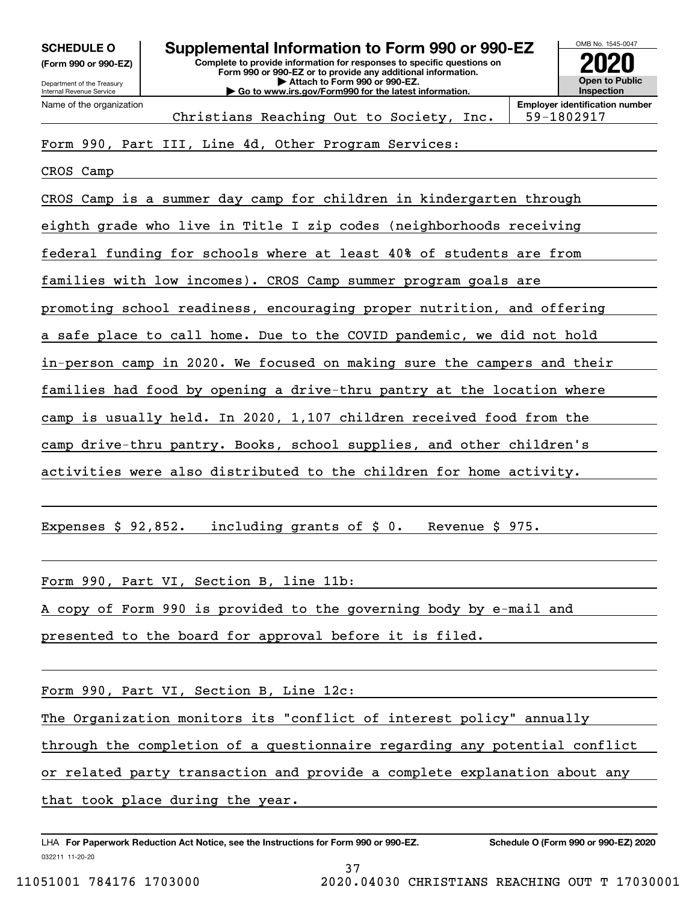**(Form 990 or 990-EZ)**

Department of the Treasury Internal Revenue Service Name of the organization

OMB No. 1545-0047 **Complete to provide information for responses to specific questions on Form 990 or 990-EZ or to provide any additional information. | Attach to Form 990 or 990-EZ. | Go to www.irs.gov/Form990 for the latest information. Open to Public InspectionEmployer identification number SCHEDULE O Supplemental Information to Form 990 or 990-EZ 2020**

Christians Reaching Out to Society, Inc.  $\vert$  59-1802917

## Form 990, Part III, Line 4d, Other Program Services:

CROS Camp

CROS Camp is a summer day camp for children in kindergarten through

eighth grade who live in Title I zip codes (neighborhoods receiving

federal funding for schools where at least 40% of students are from

families with low incomes). CROS Camp summer program goals are

promoting school readiness, encouraging proper nutrition, and offering

a safe place to call home. Due to the COVID pandemic, we did not hold

in-person camp in 2020. We focused on making sure the campers and their

families had food by opening a drive-thru pantry at the location where

camp is usually held. In 2020, 1,107 children received food from the

camp drive-thru pantry. Books, school supplies, and other children's

activities were also distributed to the children for home activity.

Expenses \$ 92,852. including grants of \$ 0. Revenue \$ 975.

Form 990, Part VI, Section B, line 11b:

A copy of Form 990 is provided to the governing body by e-mail and

presented to the board for approval before it is filed.

Form 990, Part VI, Section B, Line 12c:

The Organization monitors its "conflict of interest policy" annually

through the completion of a questionnaire regarding any potential conflict

or related party transaction and provide a complete explanation about any

37

that took place during the year.

032211 11-20-20 LHA For Paperwork Reduction Act Notice, see the Instructions for Form 990 or 990-EZ. Schedule O (Form 990 or 990-EZ) 2020